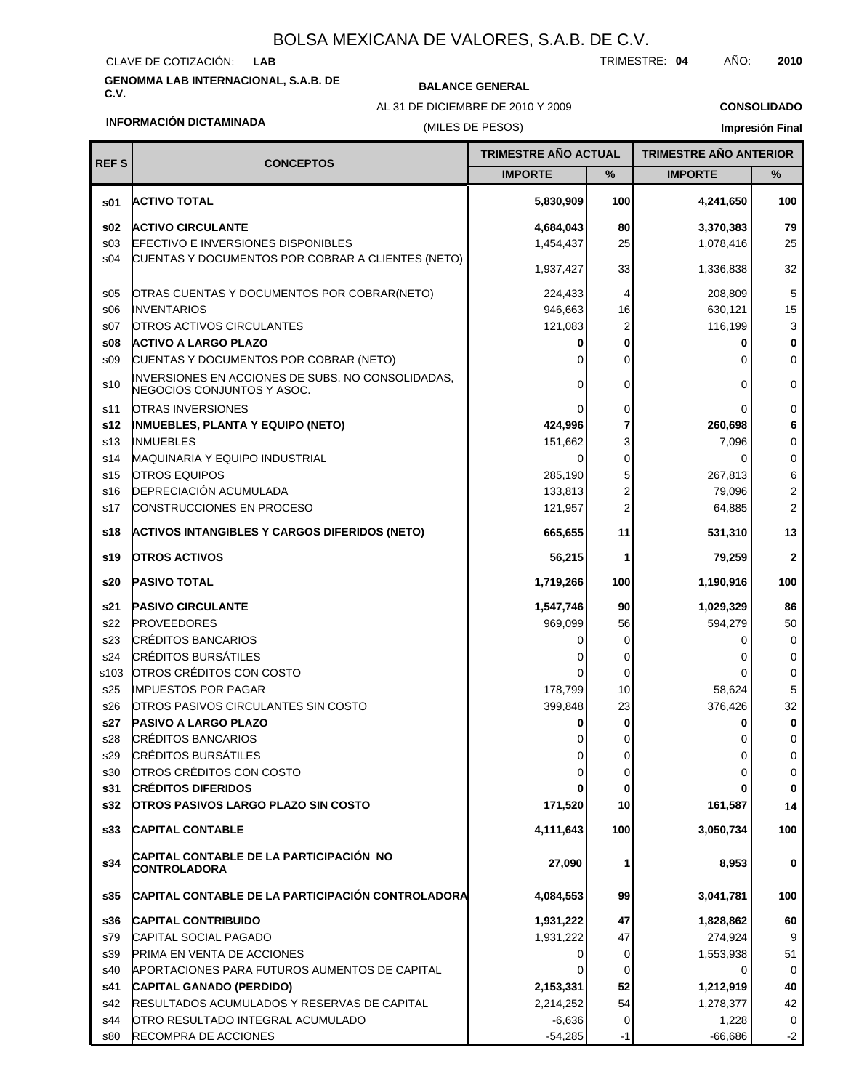#### CLAVE DE COTIZACIÓN: **LAB**

**INFORMACIÓN DICTAMINADA**

# **GENOMMA LAB INTERNACIONAL, S.A.B. DE C.V. BALANCE GENERAL**

AL 31 DE DICIEMBRE DE 2010 Y 2009

**CONSOLIDADO**

#### (MILES DE PESOS)

|                 |                                                                                 | TRIMESTRE AÑO ACTUAL |                 | <b>TRIMESTRE AÑO ANTERIOR</b> |                |
|-----------------|---------------------------------------------------------------------------------|----------------------|-----------------|-------------------------------|----------------|
| <b>REFS</b>     | <b>CONCEPTOS</b>                                                                | <b>IMPORTE</b>       | $\%$            | <b>IMPORTE</b>                | $\%$           |
| s <sub>01</sub> | <b>ACTIVO TOTAL</b>                                                             | 5,830,909            | 100             | 4,241,650                     | 100            |
| \$02            | <b>ACTIVO CIRCULANTE</b>                                                        |                      | 80<br>4,684,043 |                               | 79             |
| s <sub>03</sub> | <b>EFECTIVO E INVERSIONES DISPONIBLES</b>                                       | 1,454,437            | 25              | 3,370,383<br>1,078,416        | 25             |
| s04             | CUENTAS Y DOCUMENTOS POR COBRAR A CLIENTES (NETO)                               |                      |                 |                               |                |
|                 |                                                                                 | 1,937,427            | 33              | 1,336,838                     | 32             |
| \$05            | OTRAS CUENTAS Y DOCUMENTOS POR COBRAR(NETO)                                     | 224,433              | 4               | 208,809                       | 5              |
| \$06            | <b>INVENTARIOS</b>                                                              | 946.663              | 16              | 630,121                       | 15             |
| S <sub>07</sub> | <b>OTROS ACTIVOS CIRCULANTES</b>                                                | 121,083              | 2               | 116,199                       | 3              |
| \$08            | <b>ACTIVO A LARGO PLAZO</b>                                                     | 0                    | 0               | 0                             | 0              |
| \$09            | CUENTAS Y DOCUMENTOS POR COBRAR (NETO)                                          | 0                    | $\mathbf 0$     |                               | 0              |
| s10             | INVERSIONES EN ACCIONES DE SUBS. NO CONSOLIDADAS,<br>NEGOCIOS CONJUNTOS Y ASOC. | 0                    | 0               | 0                             | 0              |
| s11             | <b>OTRAS INVERSIONES</b>                                                        | 0                    | 0               |                               | 0              |
| s12             | INMUEBLES, PLANTA Y EQUIPO (NETO)                                               | 424,996              | 7               | 260,698                       | 6              |
| s <sub>13</sub> | <b>INMUEBLES</b>                                                                | 151,662              | 3               | 7,096                         | 0              |
| s14             | MAQUINARIA Y EQUIPO INDUSTRIAL                                                  | $\mathbf 0$          | 0               | $\Omega$                      | 0              |
| s15             | <b>OTROS EQUIPOS</b>                                                            | 285,190              | 5               | 267,813                       | 6              |
| s16             | <b>DEPRECIACIÓN ACUMULADA</b>                                                   | 133,813              | 2               | 79,096                        | 2              |
| s17             | CONSTRUCCIONES EN PROCESO                                                       | 121,957              | $\overline{2}$  | 64,885                        | $\overline{2}$ |
| s18             | <b>ACTIVOS INTANGIBLES Y CARGOS DIFERIDOS (NETO)</b>                            | 665,655              | 11              | 531,310                       | 13             |
| s19             | <b>OTROS ACTIVOS</b>                                                            | 56,215               | 1               | 79,259                        | $\mathbf{2}$   |
| s20             | <b>PASIVO TOTAL</b>                                                             | 1,719,266            | 100             | 1,190,916                     | 100            |
| s21             | <b>PASIVO CIRCULANTE</b>                                                        | 1,547,746            | 90              | 1,029,329                     | 86             |
| s22             | <b>PROVEEDORES</b>                                                              | 969,099              | 56              | 594,279                       | 50             |
| s23             | <b>CRÉDITOS BANCARIOS</b>                                                       | 0                    | 0               | $\Omega$                      | 0              |
| s24             | <b>CRÉDITOS BURSÁTILES</b>                                                      | 0                    | 0               |                               | 0              |
| s103            | OTROS CRÉDITOS CON COSTO                                                        | 0                    | 0               |                               | 0              |
| s25             | <b>IMPUESTOS POR PAGAR</b>                                                      | 178,799              | 10              | 58,624                        | 5              |
| s26             | <b>OTROS PASIVOS CIRCULANTES SIN COSTO</b>                                      | 399,848              | 23              | 376,426                       | 32             |
| s27             | <b>PASIVO A LARGO PLAZO</b><br><b>CRÉDITOS BANCARIOS</b>                        | 0                    | 0               | 0                             | 0<br>0         |
| s28<br>s29      | <b>CRÉDITOS BURSÁTILES</b>                                                      |                      | 0               |                               | $\Omega$       |
| s30             | OTROS CRÉDITOS CON COSTO                                                        | 0                    | 0               | 0                             | 0              |
| s31             | <b>CRÉDITOS DIFERIDOS</b>                                                       |                      | 0               |                               | 0              |
| s32             | <b>OTROS PASIVOS LARGO PLAZO SIN COSTO</b>                                      | 171,520              | 10              | 161,587                       | 14             |
| s33             | <b>CAPITAL CONTABLE</b>                                                         | 4,111,643            | 100             | 3,050,734                     | 100            |
| s34             | CAPITAL CONTABLE DE LA PARTICIPACIÓN NO                                         | 27,090               | 1               | 8,953                         | 0              |
|                 | CONTROLADORA                                                                    |                      |                 |                               |                |
| s35             | CAPITAL CONTABLE DE LA PARTICIPACIÓN CONTROLADORA                               | 4,084,553            | 99              | 3,041,781                     | 100            |
| s36             | <b>CAPITAL CONTRIBUIDO</b>                                                      | 1,931,222            | 47              | 1,828,862                     | 60             |
| s79             | CAPITAL SOCIAL PAGADO                                                           | 1,931,222            | 47              | 274,924                       | 9              |
| s39             | <b>PRIMA EN VENTA DE ACCIONES</b>                                               | 0                    | 0               | 1,553,938                     | 51             |
| s40             | APORTACIONES PARA FUTUROS AUMENTOS DE CAPITAL                                   | 0                    | 0               | 0                             | 0              |
| s41             | <b>CAPITAL GANADO (PERDIDO)</b>                                                 | 2,153,331            | 52              | 1,212,919                     | 40             |
| s42             | <b>RESULTADOS ACUMULADOS Y RESERVAS DE CAPITAL</b>                              | 2,214,252            | 54              | 1,278,377                     | 42             |
| s44             | OTRO RESULTADO INTEGRAL ACUMULADO                                               | $-6,636$             | 0               | 1,228                         | 0              |
| s80             | RECOMPRA DE ACCIONES                                                            | $-54,285$            | -1              | $-66,686$                     | $-2$           |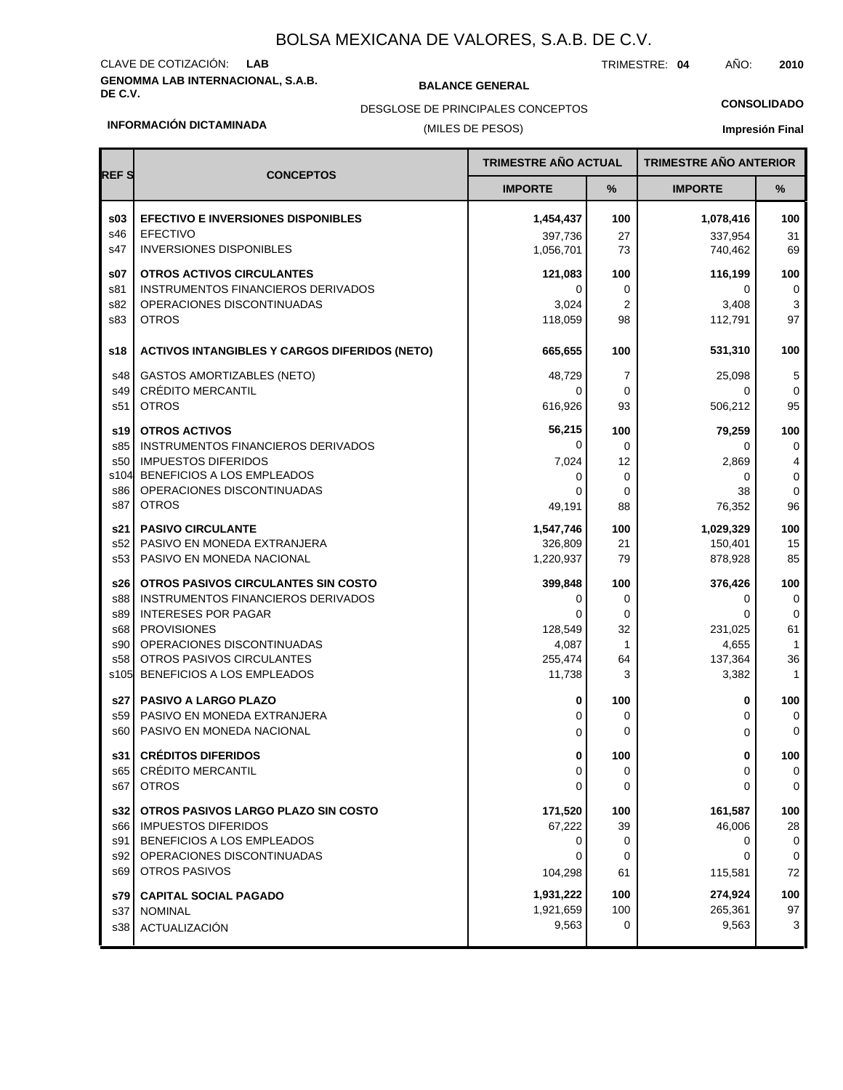# **GENOMMA LAB INTERNACIONAL, S.A.B. DE C.V. BALANCE GENERAL** CLAVE DE COTIZACIÓN: **LAB**

TRIMESTRE: **04** AÑO: **2010**

**CONSOLIDADO**

#### **INFORMACIÓN DICTAMINADA**

## (MILES DE PESOS) DESGLOSE DE PRINCIPALES CONCEPTOS

| <b>REFS</b>                     | <b>CONCEPTOS</b>                                                                                                                                                                      | <b>TRIMESTRE AÑO ACTUAL</b>                                |                                  | <b>TRIMESTRE AÑO ANTERIOR</b>                            |                                  |  |
|---------------------------------|---------------------------------------------------------------------------------------------------------------------------------------------------------------------------------------|------------------------------------------------------------|----------------------------------|----------------------------------------------------------|----------------------------------|--|
|                                 |                                                                                                                                                                                       | <b>IMPORTE</b>                                             | %                                | <b>IMPORTE</b>                                           | %                                |  |
| \$03                            | <b>EFECTIVO E INVERSIONES DISPONIBLES</b>                                                                                                                                             | 1,454,437                                                  | 100                              | 1,078,416                                                | 100                              |  |
| s46                             | <b>EFECTIVO</b>                                                                                                                                                                       | 397,736                                                    | 27                               | 337,954                                                  | 31                               |  |
| s47                             | <b>INVERSIONES DISPONIBLES</b>                                                                                                                                                        | 1,056,701                                                  | 73                               | 740,462                                                  | 69                               |  |
| s07                             | <b>OTROS ACTIVOS CIRCULANTES</b>                                                                                                                                                      | 121,083                                                    | 100                              | 116,199                                                  | 100                              |  |
| s81                             | INSTRUMENTOS FINANCIEROS DERIVADOS                                                                                                                                                    | 0                                                          | 0                                | 0                                                        | 0                                |  |
| s82                             | OPERACIONES DISCONTINUADAS                                                                                                                                                            | 3,024                                                      | 2                                | 3,408                                                    | $\mathbf{3}$                     |  |
| s83                             | <b>OTROS</b>                                                                                                                                                                          | 118,059                                                    | 98                               | 112,791                                                  | 97                               |  |
| s18                             | <b>ACTIVOS INTANGIBLES Y CARGOS DIFERIDOS (NETO)</b>                                                                                                                                  | 665,655                                                    | 100                              | 531,310                                                  | 100                              |  |
| s48                             | <b>GASTOS AMORTIZABLES (NETO)</b>                                                                                                                                                     | 48,729                                                     | 7                                | 25,098                                                   | 5                                |  |
| s49                             | <b>CRÉDITO MERCANTIL</b>                                                                                                                                                              | 0                                                          | 0                                | 0                                                        | 0                                |  |
| s51                             | <b>OTROS</b>                                                                                                                                                                          | 616,926                                                    | 93                               | 506,212                                                  | 95                               |  |
| s19                             | <b>OTROS ACTIVOS</b>                                                                                                                                                                  | 56,215                                                     | 100                              | 79,259                                                   | 100                              |  |
| s85                             | INSTRUMENTOS FINANCIEROS DERIVADOS                                                                                                                                                    | 0                                                          | 0                                | $\Omega$                                                 | 0                                |  |
| s50                             | <b>IMPUESTOS DIFERIDOS</b>                                                                                                                                                            | 7,024                                                      | 12                               | 2,869                                                    | 4                                |  |
| s104                            | BENEFICIOS A LOS EMPLEADOS                                                                                                                                                            | 0                                                          | 0                                | 0                                                        | 0                                |  |
| s86                             | OPERACIONES DISCONTINUADAS                                                                                                                                                            | 0                                                          | 0                                | 38                                                       | 0                                |  |
| s87                             | <b>OTROS</b>                                                                                                                                                                          | 49,191                                                     | 88                               | 76,352                                                   | 96                               |  |
| s21                             | <b>PASIVO CIRCULANTE</b>                                                                                                                                                              | 1,547,746                                                  | 100                              | 1,029,329                                                | 100                              |  |
| s52                             | PASIVO EN MONEDA EXTRANJERA                                                                                                                                                           | 326,809                                                    | 21                               | 150,401                                                  | 15                               |  |
| s53                             | PASIVO EN MONEDA NACIONAL                                                                                                                                                             | 1,220,937                                                  | 79                               | 878,928                                                  | 85                               |  |
| s26                             | OTROS PASIVOS CIRCULANTES SIN COSTO                                                                                                                                                   | 399,848                                                    | 100                              | 376,426                                                  | 100                              |  |
| s88                             | INSTRUMENTOS FINANCIEROS DERIVADOS                                                                                                                                                    | 0                                                          | 0                                | 0                                                        | 0                                |  |
| s89                             | <b>INTERESES POR PAGAR</b>                                                                                                                                                            | 0                                                          | 0                                | 0                                                        | $\mathbf 0$                      |  |
| s68                             | <b>PROVISIONES</b>                                                                                                                                                                    | 128,549                                                    | 32                               | 231,025                                                  | 61                               |  |
| s90                             | OPERACIONES DISCONTINUADAS                                                                                                                                                            | 4,087                                                      | 1                                | 4,655                                                    | $\mathbf{1}$                     |  |
| s58                             | OTROS PASIVOS CIRCULANTES                                                                                                                                                             | 255,474                                                    | 64                               | 137,364                                                  | 36                               |  |
| s105                            | BENEFICIOS A LOS EMPLEADOS                                                                                                                                                            | 11,738                                                     | 3                                | 3,382                                                    | $\mathbf{1}$                     |  |
| s27                             | PASIVO A LARGO PLAZO                                                                                                                                                                  | 0                                                          | 100                              | 0                                                        | 100                              |  |
| s59                             | PASIVO EN MONEDA EXTRANJERA                                                                                                                                                           | 0                                                          | 0                                | 0                                                        | 0                                |  |
| s60                             | PASIVO EN MONEDA NACIONAL                                                                                                                                                             | 0                                                          | $\Omega$                         | $\Omega$                                                 | 0                                |  |
| s31                             | <b>CRÉDITOS DIFERIDOS</b>                                                                                                                                                             | 0                                                          | 100                              | 0                                                        | 100                              |  |
| S65                             | CRÉDITO MERCANTIL                                                                                                                                                                     | $\cup$                                                     | $\mathsf{o}$                     | $\cup$                                                   | $\mathbf{0}$                     |  |
| s67                             | <b>OTROS</b>                                                                                                                                                                          | $\mathbf 0$                                                | 0                                | 0                                                        | $\mathbf 0$                      |  |
| s32<br>s66<br>s91<br>s92<br>s69 | OTROS PASIVOS LARGO PLAZO SIN COSTO<br><b>IMPUESTOS DIFERIDOS</b><br>BENEFICIOS A LOS EMPLEADOS<br>OPERACIONES DISCONTINUADAS<br><b>OTROS PASIVOS</b><br><b>CAPITAL SOCIAL PAGADO</b> | 171,520<br>67,222<br>0<br>$\Omega$<br>104,298<br>1,931,222 | 100<br>39<br>0<br>0<br>61<br>100 | 161,587<br>46,006<br>0<br>$\Omega$<br>115,581<br>274,924 | 100<br>28<br>0<br>0<br>72<br>100 |  |
| s79<br>s37<br>s38               | <b>NOMINAL</b><br>ACTUALIZACIÓN                                                                                                                                                       | 1,921,659<br>9,563                                         | 100<br>0                         | 265,361<br>9,563                                         | 97<br>3                          |  |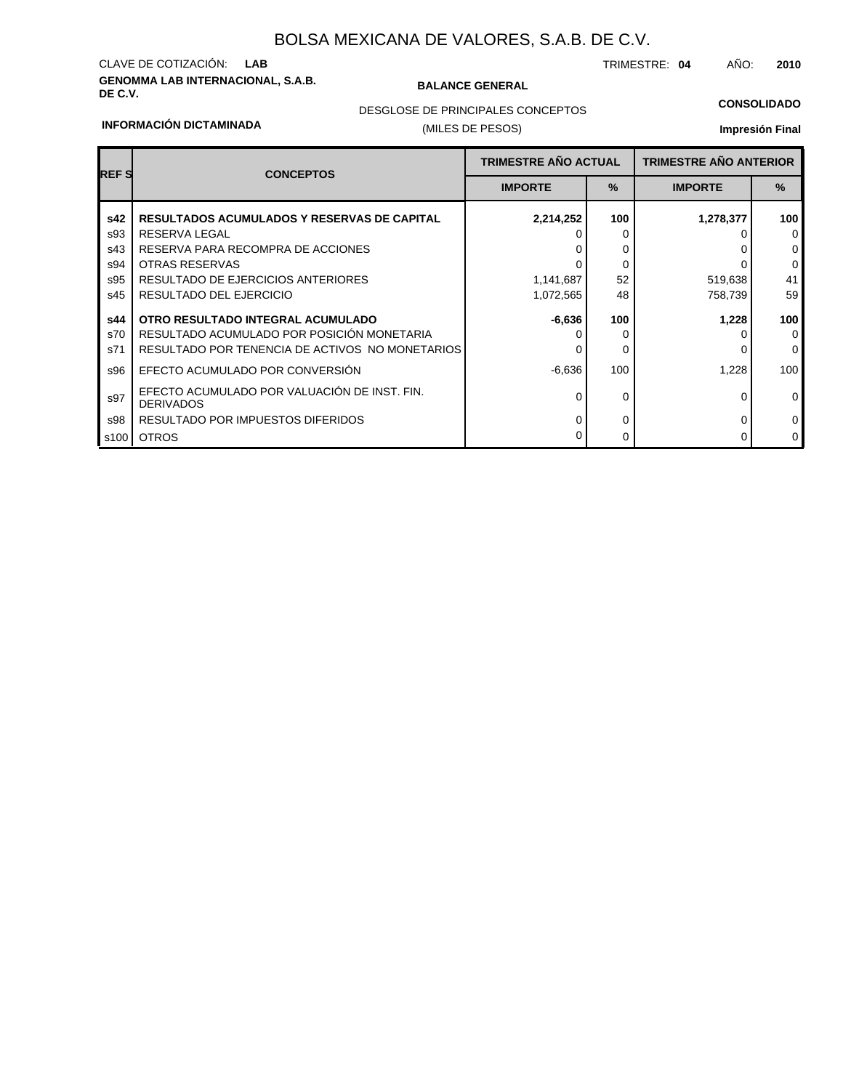# **GENOMMA LAB INTERNACIONAL, S.A.B. DE C.V. BALANCE GENERAL** CLAVE DE COTIZACIÓN: **LAB**

TRIMESTRE: **04** AÑO: **2010**

### **CONSOLIDADO**

#### **INFORMACIÓN DICTAMINADA**

## (MILES DE PESOS) DESGLOSE DE PRINCIPALES CONCEPTOS

| <b>REFS</b> | <b>CONCEPTOS</b>                                                 | <b>TRIMESTRE AÑO ACTUAL</b>     |     | <b>TRIMESTRE AÑO ANTERIOR</b> |               |  |
|-------------|------------------------------------------------------------------|---------------------------------|-----|-------------------------------|---------------|--|
|             |                                                                  | $\frac{9}{6}$<br><b>IMPORTE</b> |     | <b>IMPORTE</b>                | $\frac{9}{6}$ |  |
| s42         | <b>RESULTADOS ACUMULADOS Y RESERVAS DE CAPITAL</b>               | 2,214,252                       | 100 | 1,278,377                     | 100           |  |
| s93         | RESERVA LEGAL                                                    |                                 | 0   |                               | 0             |  |
| s43         | RESERVA PARA RECOMPRA DE ACCIONES                                |                                 | 0   |                               | 0             |  |
| s94         | <b>OTRAS RESERVAS</b>                                            |                                 | 0   |                               | 0             |  |
| s95         | RESULTADO DE EJERCICIOS ANTERIORES                               | 1,141,687                       | 52  | 519,638                       | 41            |  |
| s45         | RESULTADO DEL EJERCICIO                                          | 1,072,565                       | 48  | 758,739                       | 59            |  |
| s44         | OTRO RESULTADO INTEGRAL ACUMULADO                                | $-6,636$                        | 100 | 1,228                         | 100           |  |
| s70         | RESULTADO ACUMULADO POR POSICIÓN MONETARIA                       |                                 | 0   |                               | $\mathbf 0$   |  |
| s71         | RESULTADO POR TENENCIA DE ACTIVOS NO MONETARIOS                  |                                 | 0   | O                             | $\Omega$      |  |
| s96         | EFECTO ACUMULADO POR CONVERSIÓN                                  | $-6,636$                        | 100 | 1,228                         | 100           |  |
| s97         | EFECTO ACUMULADO POR VALUACIÓN DE INST. FIN.<br><b>DERIVADOS</b> | $\Omega$                        | 0   | 0                             | $\mathbf 0$   |  |
| s98         | RESULTADO POR IMPUESTOS DIFERIDOS                                | $\Omega$                        | 0   | <sup>0</sup>                  | $\mathbf 0$   |  |
| s100        | <b>OTROS</b>                                                     |                                 | 0   |                               | $\mathbf 0$   |  |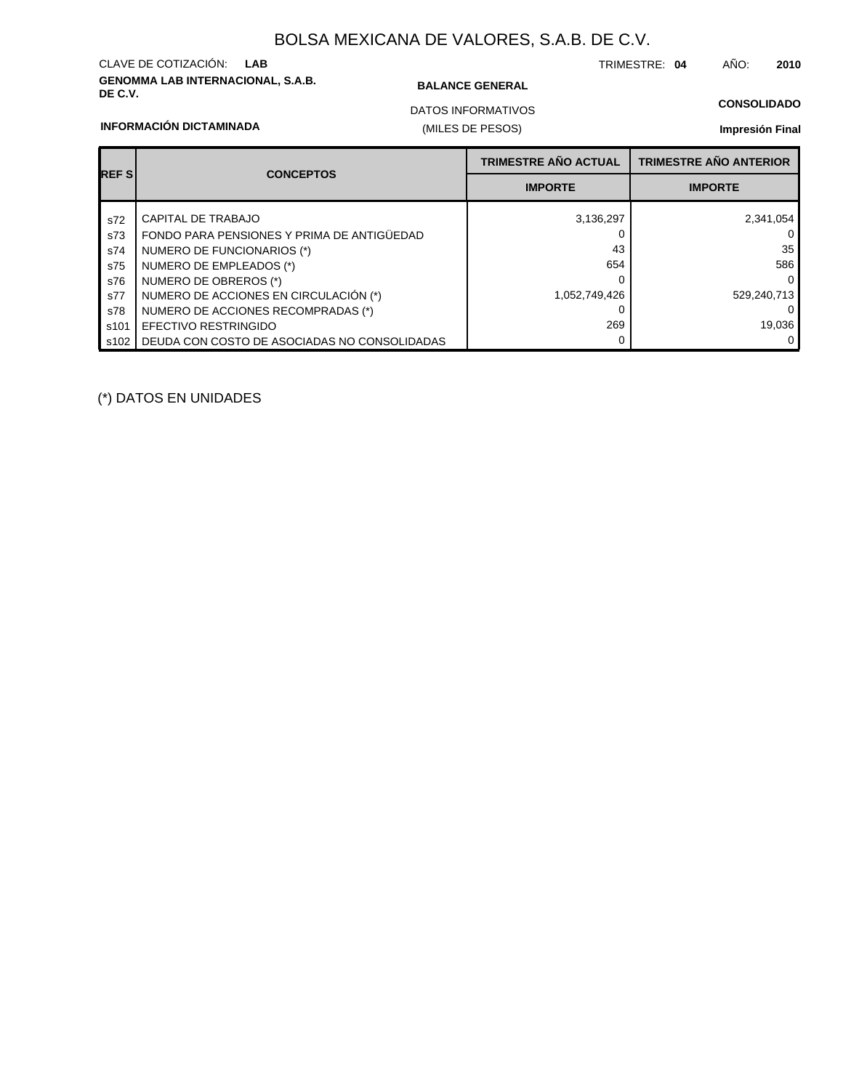## **GENOMMA LAB INTERNACIONAL, S.A.B. DE C.V. BALANCE GENERAL** CLAVE DE COTIZACIÓN: **LAB**

TRIMESTRE: **04** AÑO: **2010**

## **CONSOLIDADO**

**INFORMACIÓN DICTAMINADA**

## DATOS INFORMATIVOS

(MILES DE PESOS)

## **Impresión Final**

|              | <b>CONCEPTOS</b>                             | <b>TRIMESTRE AÑO ACTUAL</b> | <b>TRIMESTRE AÑO ANTERIOR</b> |
|--------------|----------------------------------------------|-----------------------------|-------------------------------|
| <b>REFSI</b> |                                              | <b>IMPORTE</b>              | <b>IMPORTE</b>                |
| s72          | CAPITAL DE TRABAJO                           | 3,136,297                   | 2,341,054                     |
| s73          | FONDO PARA PENSIONES Y PRIMA DE ANTIGÜEDAD   |                             | $\overline{0}$                |
| s74          | NUMERO DE FUNCIONARIOS (*)                   | 43                          | 35                            |
| s75          | NUMERO DE EMPLEADOS (*)                      | 654                         | 586                           |
| s76          | NUMERO DE OBREROS (*)                        |                             | $\Omega$                      |
| s77          | NUMERO DE ACCIONES EN CIRCULACIÓN (*)        | 1,052,749,426               | 529.240.713                   |
| s78          | NUMERO DE ACCIONES RECOMPRADAS (*)           |                             | $\overline{0}$                |
| s101         | EFECTIVO RESTRINGIDO                         | 269                         | 19,036                        |
| s102         | DEUDA CON COSTO DE ASOCIADAS NO CONSOLIDADAS |                             | $\overline{0}$                |

(\*) DATOS EN UNIDADES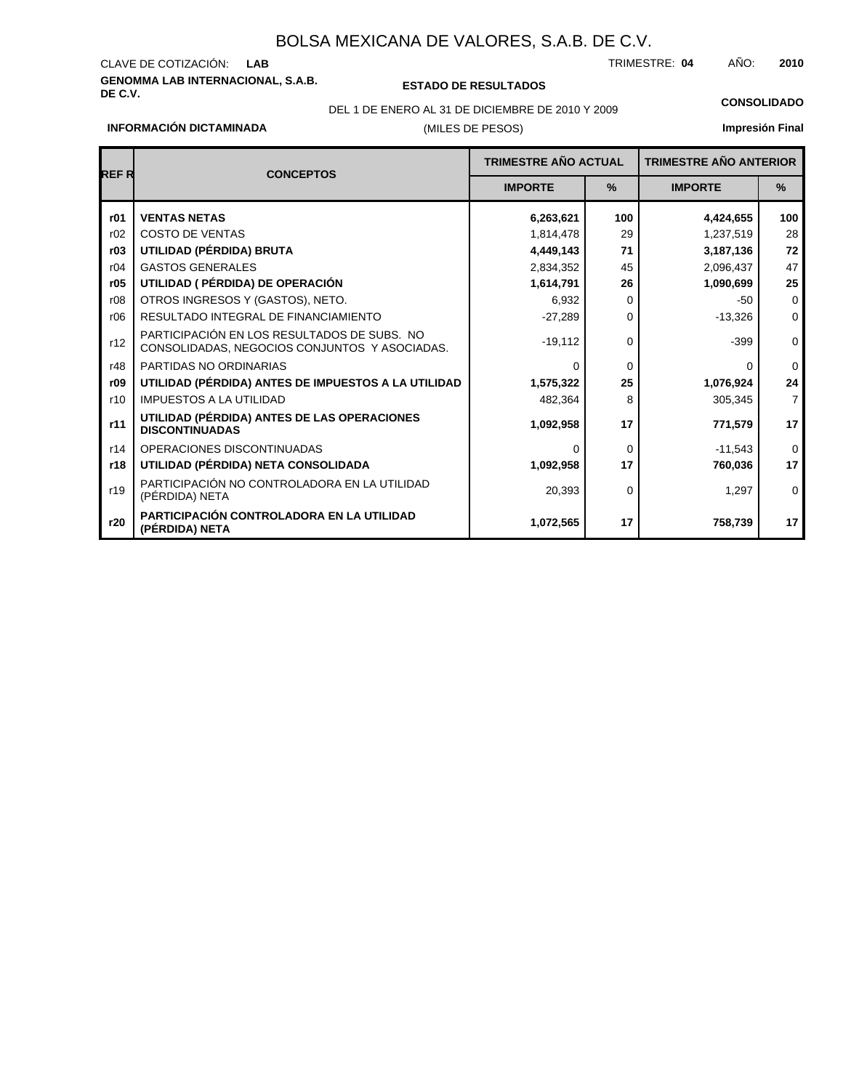# **GENOMMA LAB INTERNACIONAL, S.A.B.** CLAVE DE COTIZACIÓN:

**INFORMACIÓN DICTAMINADA**

**DE C.V. ESTADO DE RESULTADOS**

TRIMESTRE: AÑO: **LAB 04 2010**

# (MILES DE PESOS) DEL 1 DE ENERO AL 31 DE DICIEMBRE DE 2010 Y 2009 **CONSOLIDADO**

| <b>REFR</b> |                                                                                              | <b>TRIMESTRE AÑO ACTUAL</b> |          | <b>TRIMESTRE AÑO ANTERIOR</b> |                |  |
|-------------|----------------------------------------------------------------------------------------------|-----------------------------|----------|-------------------------------|----------------|--|
|             | <b>CONCEPTOS</b>                                                                             | <b>IMPORTE</b>              | $\%$     | <b>IMPORTE</b>                | $\%$           |  |
| r01         | <b>VENTAS NETAS</b>                                                                          | 6,263,621                   | 100      | 4,424,655                     | 100            |  |
| r02         | <b>COSTO DE VENTAS</b>                                                                       | 1,814,478                   | 29       | 1,237,519                     | 28             |  |
| r03         | UTILIDAD (PÉRDIDA) BRUTA                                                                     | 4,449,143                   | 71       | 3,187,136                     | 72             |  |
| r04         | <b>GASTOS GENERALES</b>                                                                      | 2,834,352                   | 45       | 2,096,437                     | 47             |  |
| r05         | UTILIDAD ( PÉRDIDA) DE OPERACIÓN                                                             | 1,614,791                   | 26       | 1,090,699                     | 25             |  |
| r08         | OTROS INGRESOS Y (GASTOS), NETO.                                                             | 6,932                       | 0        | $-50$                         | $\overline{0}$ |  |
| r06         | RESULTADO INTEGRAL DE FINANCIAMIENTO                                                         | $-27,289$                   | 0        | $-13,326$                     | 0              |  |
| r12         | PARTICIPACIÓN EN LOS RESULTADOS DE SUBS. NO<br>CONSOLIDADAS, NEGOCIOS CONJUNTOS Y ASOCIADAS. | $-19,112$                   | 0        | $-399$                        | $\mathbf 0$    |  |
| r48         | PARTIDAS NO ORDINARIAS                                                                       | $\Omega$                    | $\Omega$ | $\Omega$                      | $\Omega$       |  |
| r09         | UTILIDAD (PÉRDIDA) ANTES DE IMPUESTOS A LA UTILIDAD                                          | 1,575,322                   | 25       | 1,076,924                     | 24             |  |
| r10         | <b>IMPUESTOS A LA UTILIDAD</b>                                                               | 482,364                     | 8        | 305,345                       | $\overline{7}$ |  |
| r11         | UTILIDAD (PÉRDIDA) ANTES DE LAS OPERACIONES<br><b>DISCONTINUADAS</b>                         | 1,092,958                   | 17       | 771,579                       | 17             |  |
| r14         | OPERACIONES DISCONTINUADAS                                                                   | $\Omega$                    | 0        | $-11,543$                     | $\mathbf 0$    |  |
| r18         | UTILIDAD (PÉRDIDA) NETA CONSOLIDADA                                                          | 1,092,958                   | 17       | 760,036                       | 17             |  |
| r19         | PARTICIPACIÓN NO CONTROLADORA EN LA UTILIDAD<br>(PÉRDIDA) NETA                               | 20,393                      | $\Omega$ | 1,297                         | $\Omega$       |  |
| r20         | PARTICIPACIÓN CONTROLADORA EN LA UTILIDAD<br>(PÉRDIDA) NETA                                  | 1,072,565                   | 17       | 758,739                       | 17             |  |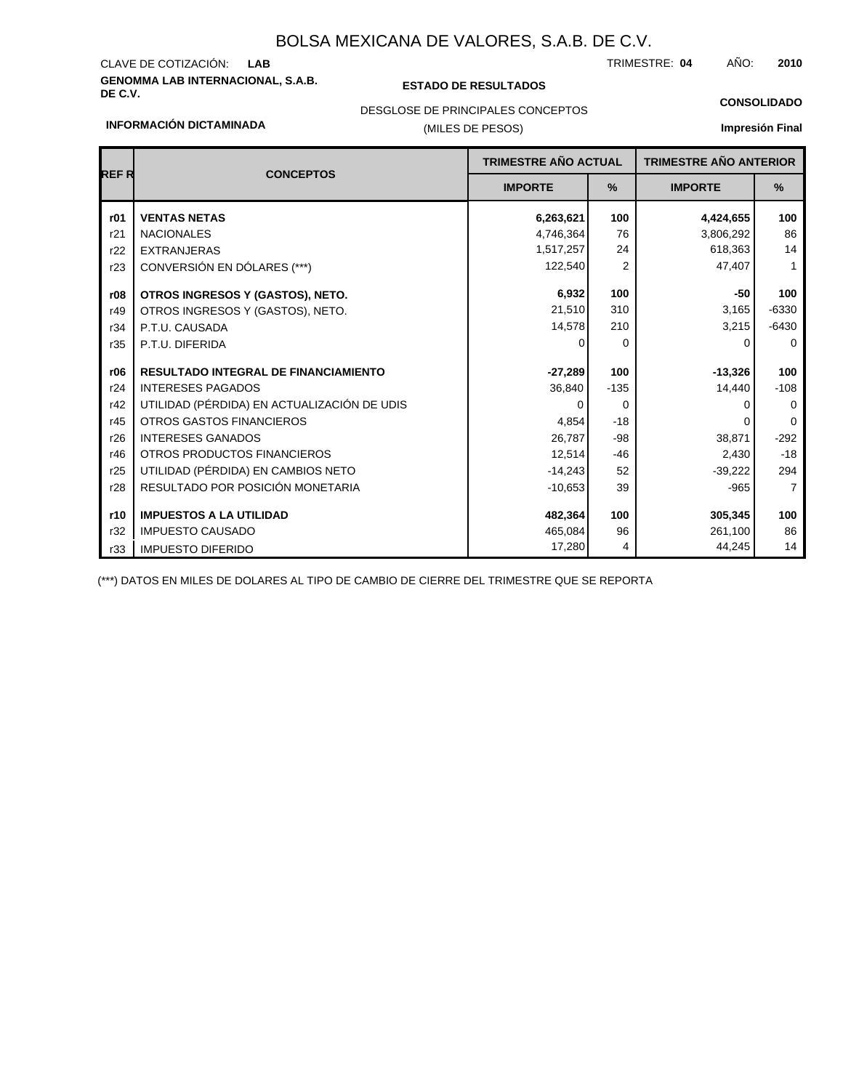# **GENOMMA LAB INTERNACIONAL, S.A.B. DE C.V. ESTADO DE RESULTADOS** CLAVE DE COTIZACIÓN:

TRIMESTRE: AÑO: **LAB 04 2010**

**CONSOLIDADO**

#### **INFORMACIÓN DICTAMINADA**

## (MILES DE PESOS) DESGLOSE DE PRINCIPALES CONCEPTOS

## **Impresión Final**

| REF R | <b>CONCEPTOS</b>                            | <b>TRIMESTRE AÑO ACTUAL</b> |                | <b>TRIMESTRE AÑO ANTERIOR</b> |                |  |
|-------|---------------------------------------------|-----------------------------|----------------|-------------------------------|----------------|--|
|       |                                             | <b>IMPORTE</b>              | $\%$           | <b>IMPORTE</b>                | %              |  |
| r01   | <b>VENTAS NETAS</b>                         | 6,263,621                   | 100            | 4,424,655                     | 100            |  |
| r21   | <b>NACIONALES</b>                           | 4,746,364                   | 76             | 3,806,292                     | 86             |  |
| r22   | <b>EXTRANJERAS</b>                          | 1,517,257                   | 24             | 618,363                       | 14             |  |
| r23   | CONVERSIÓN EN DÓLARES (***)                 | 122,540                     | $\overline{2}$ | 47,407                        | 1              |  |
| r08   | OTROS INGRESOS Y (GASTOS), NETO.            | 6.932                       | 100            | $-50$                         | 100            |  |
| r49   | OTROS INGRESOS Y (GASTOS), NETO.            | 21,510                      | 310            | 3,165                         | $-6330$        |  |
| r34   | P.T.U. CAUSADA                              | 14,578                      | 210            | 3,215                         | $-6430$        |  |
| r35   | P.T.U. DIFERIDA                             |                             | $\Omega$       | 0                             | $\Omega$       |  |
| r06   | <b>RESULTADO INTEGRAL DE FINANCIAMIENTO</b> | $-27,289$                   | 100            | $-13,326$                     | 100            |  |
| r24   | <b>INTERESES PAGADOS</b>                    | 36,840                      | $-135$         | 14,440                        | $-108$         |  |
| r42   | UTILIDAD (PÉRDIDA) EN ACTUALIZACIÓN DE UDIS | O                           | $\Omega$       | O                             | $\Omega$       |  |
| r45   | <b>OTROS GASTOS FINANCIEROS</b>             | 4.854                       | $-18$          |                               | $\Omega$       |  |
| r26   | <b>INTERESES GANADOS</b>                    | 26,787                      | $-98$          | 38,871                        | $-292$         |  |
| r46   | OTROS PRODUCTOS FINANCIEROS                 | 12.514                      | $-46$          | 2.430                         | $-18$          |  |
| r25   | UTILIDAD (PÉRDIDA) EN CAMBIOS NETO          | $-14,243$                   | 52             | $-39,222$                     | 294            |  |
| r28   | RESULTADO POR POSICIÓN MONETARIA            | $-10,653$                   | 39             | $-965$                        | $\overline{7}$ |  |
| r10   | <b>IMPUESTOS A LA UTILIDAD</b>              | 482,364                     | 100            | 305,345                       | 100            |  |
| r32   | <b>IMPUESTO CAUSADO</b>                     | 465,084                     | 96             | 261,100                       | 86             |  |
| r33   | <b>IMPUESTO DIFERIDO</b>                    | 17,280                      | 4              | 44,245                        | 14             |  |

(\*\*\*) DATOS EN MILES DE DOLARES AL TIPO DE CAMBIO DE CIERRE DEL TRIMESTRE QUE SE REPORTA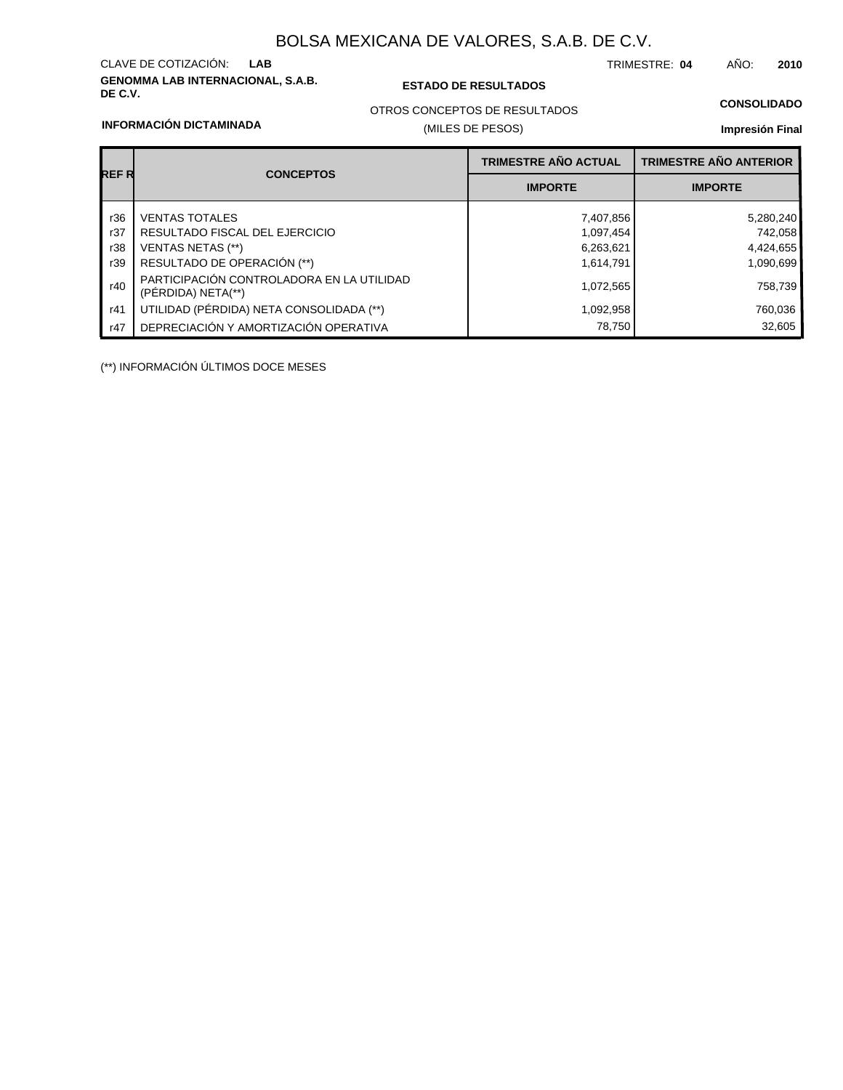# **GENOMMA LAB INTERNACIONAL, S.A.B.** CLAVE DE COTIZACIÓN:

## **DE C.V. ESTADO DE RESULTADOS**

TRIMESTRE: AÑO: **LAB 04 2010**

## **CONSOLIDADO**

#### **INFORMACIÓN DICTAMINADA**

## (MILES DE PESOS) OTROS CONCEPTOS DE RESULTADOS

## **Impresión Final**

|       |                                                                 | <b>TRIMESTRE AÑO ACTUAL</b> | <b>TRIMESTRE AÑO ANTERIOR</b> |  |
|-------|-----------------------------------------------------------------|-----------------------------|-------------------------------|--|
| REF R | <b>CONCEPTOS</b>                                                | <b>IMPORTE</b>              | <b>IMPORTE</b>                |  |
| r36   | <b>VENTAS TOTALES</b>                                           | 7,407,856                   | 5,280,240                     |  |
| r37   | RESULTADO FISCAL DEL EJERCICIO                                  | 1,097,454                   | 742,058                       |  |
| r38   | <b>VENTAS NETAS (**)</b>                                        | 6,263,621                   | 4,424,655                     |  |
| r39   | RESULTADO DE OPERACIÓN (**)                                     | 1,614,791                   | 1,090,699                     |  |
| r40   | PARTICIPACIÓN CONTROLADORA EN LA UTILIDAD<br>(PÉRDIDA) NETA(**) | 1,072,565                   | 758,739                       |  |
| r41   | UTILIDAD (PÉRDIDA) NETA CONSOLIDADA (**)                        | 1,092,958                   | 760,036                       |  |
| r47   | DEPRECIACIÓN Y AMORTIZACIÓN OPERATIVA                           | 78,750                      | 32,605                        |  |

(\*\*) INFORMACIÓN ÚLTIMOS DOCE MESES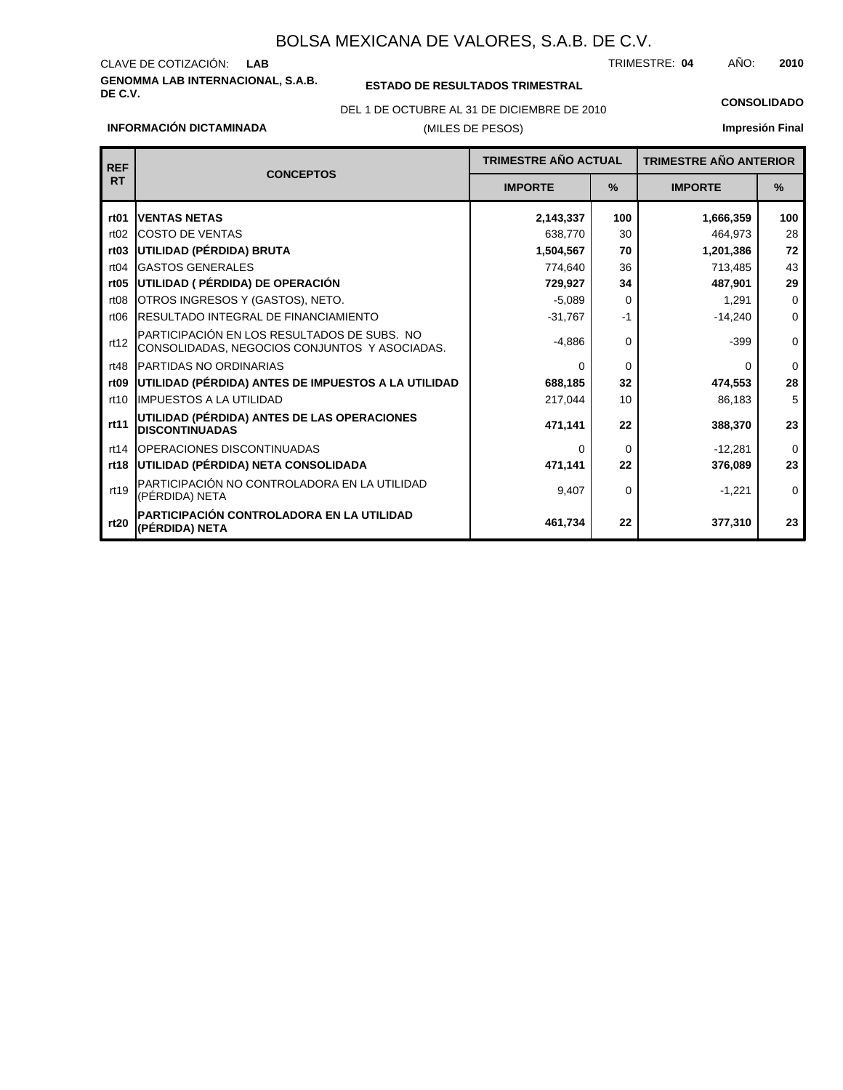### **GENOMMA LAB INTERNACIONAL, S.A.B.** CLAVE DE COTIZACIÓN: TRIMESTRE: AÑO: **LAB 04 2010**

## **ESTADO DE RESULTADOS TRIMESTRAL**

(MILES DE PESOS) DEL 1 DE OCTUBRE AL 31 DE DICIEMBRE DE 2010 **CONSOLIDADO**

**Impresión Final**

| <b>REF</b>       |                                                                                              | <b>TRIMESTRE AÑO ACTUAL</b> |          | <b>TRIMESTRE AÑO ANTERIOR</b> |               |  |
|------------------|----------------------------------------------------------------------------------------------|-----------------------------|----------|-------------------------------|---------------|--|
| <b>RT</b>        | <b>CONCEPTOS</b>                                                                             | <b>IMPORTE</b>              | $\%$     | <b>IMPORTE</b>                | $\frac{9}{6}$ |  |
| rt <sub>01</sub> | <b>VENTAS NETAS</b>                                                                          | 2,143,337                   | 100      | 1,666,359                     | 100           |  |
| rt02             | <b>ICOSTO DE VENTAS</b>                                                                      | 638,770                     | 30       | 464,973                       | 28            |  |
| rt <sub>03</sub> | UTILIDAD (PÉRDIDA) BRUTA                                                                     | 1,504,567                   | 70       | 1,201,386                     | 72            |  |
| rt04             | <b>GASTOS GENERALES</b>                                                                      | 774,640                     | 36       | 713,485                       | 43            |  |
| rt05             | UTILIDAD ( PÉRDIDA) DE OPERACIÓN                                                             | 729,927                     | 34       | 487,901                       | 29            |  |
| rt08             | OTROS INGRESOS Y (GASTOS), NETO.                                                             | $-5,089$                    | $\Omega$ | 1.291                         | $\Omega$      |  |
| rt06             | RESULTADO INTEGRAL DE FINANCIAMIENTO                                                         | $-31,767$                   | $-1$     | $-14,240$                     | $\mathbf 0$   |  |
| rt12             | PARTICIPACIÓN EN LOS RESULTADOS DE SUBS. NO<br>CONSOLIDADAS, NEGOCIOS CONJUNTOS Y ASOCIADAS. | $-4,886$                    | 0        | $-399$                        | $\mathbf 0$   |  |
| rt48             | PARTIDAS NO ORDINARIAS                                                                       | 0                           | $\Omega$ | 0                             | $\Omega$      |  |
| rt <sub>09</sub> | UTILIDAD (PÉRDIDA) ANTES DE IMPUESTOS A LA UTILIDAD                                          | 688,185                     | 32       | 474,553                       | 28            |  |
| rt10             | <b>IMPUESTOS A LA UTILIDAD</b>                                                               | 217,044                     | 10       | 86,183                        | 5             |  |
| rt11             | UTILIDAD (PÉRDIDA) ANTES DE LAS OPERACIONES<br><b>DISCONTINUADAS</b>                         | 471,141                     | 22       | 388,370                       | 23            |  |
| rt14             | <b>IOPERACIONES DISCONTINUADAS</b>                                                           | $\Omega$                    | $\Omega$ | $-12,281$                     | $\Omega$      |  |
| rt18             | UTILIDAD (PÉRDIDA) NETA CONSOLIDADA                                                          | 471,141                     | 22       | 376,089                       | 23            |  |
| rt19             | PARTICIPACIÓN NO CONTROLADORA EN LA UTILIDAD<br>(PÉRDIDA) NETA                               | 9,407                       | 0        | $-1,221$                      | $\Omega$      |  |
| rt20             | PARTICIPACIÓN CONTROLADORA EN LA UTILIDAD<br>(PÉRDIDA) NETA                                  | 461,734                     | 22       | 377,310                       | 23            |  |

#### **INFORMACIÓN DICTAMINADA**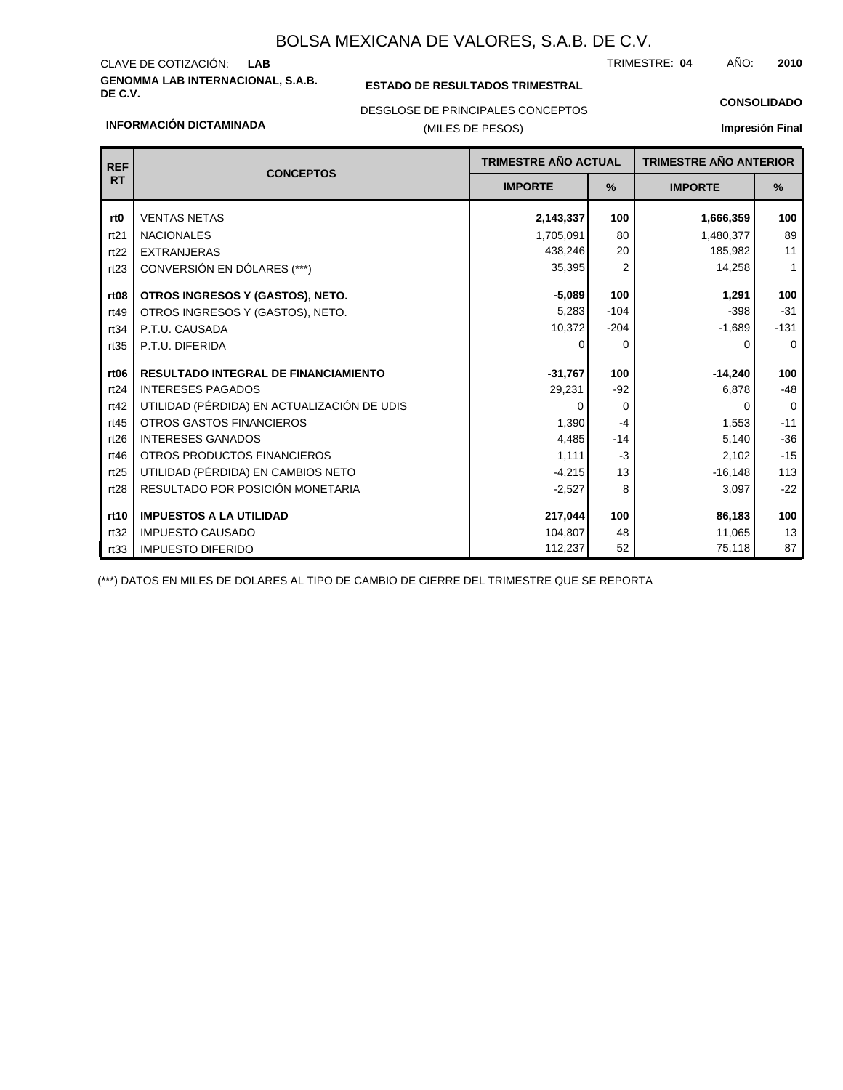# **GENOMMA LAB INTERNACIONAL, S.A.B.** CLAVE DE COTIZACIÓN:

**INFORMACIÓN DICTAMINADA**

### **ESTADO DE RESULTADOS TRIMESTRAL**

TRIMESTRE: AÑO: **LAB 04 2010**

## DESGLOSE DE PRINCIPALES CONCEPTOS

## (MILES DE PESOS)

## **CONSOLIDADO**

**Impresión Final**

| <b>REF</b>       | <b>CONCEPTOS</b>                            | TRIMESTRE AÑO ACTUAL |          | <b>TRIMESTRE AÑO ANTERIOR</b> |              |  |
|------------------|---------------------------------------------|----------------------|----------|-------------------------------|--------------|--|
| <b>RT</b>        |                                             | <b>IMPORTE</b>       | $\%$     | <b>IMPORTE</b>                | %            |  |
| rt0              | <b>VENTAS NETAS</b>                         | 2,143,337            | 100      | 1,666,359                     | 100          |  |
| rt21             | <b>NACIONALES</b>                           | 1,705,091            | 80       | 1,480,377                     | 89           |  |
| rt22             | <b>EXTRANJERAS</b>                          | 438,246              | 20       | 185,982                       | 11           |  |
| rt23             | CONVERSIÓN EN DÓLARES (***)                 | 35,395               | 2        | 14,258                        | $\mathbf{1}$ |  |
| rt <sub>08</sub> | OTROS INGRESOS Y (GASTOS), NETO.            | $-5,089$             | 100      | 1,291                         | 100          |  |
| rt49             | OTROS INGRESOS Y (GASTOS), NETO.            | 5,283                | $-104$   | $-398$                        | $-31$        |  |
| rt34             | P.T.U. CAUSADA                              | 10,372               | $-204$   | $-1,689$                      | $-131$       |  |
| rt35             | P.T.U. DIFERIDA                             | 0                    | 0        | 0                             | $\Omega$     |  |
|                  |                                             |                      |          |                               |              |  |
| rt <sub>06</sub> | <b>RESULTADO INTEGRAL DE FINANCIAMIENTO</b> | $-31,767$            | 100      | $-14,240$                     | 100          |  |
| rt24             | <b>INTERESES PAGADOS</b>                    | 29,231               | $-92$    | 6,878                         | $-48$        |  |
| rt42             | UTILIDAD (PÉRDIDA) EN ACTUALIZACIÓN DE UDIS | 0                    | $\Omega$ | <sup>0</sup>                  | $\Omega$     |  |
| rt45             | OTROS GASTOS FINANCIEROS                    | 1,390                | -4       | 1,553                         | $-11$        |  |
| rt26             | <b>INTERESES GANADOS</b>                    | 4,485                | $-14$    | 5,140                         | $-36$        |  |
| rt46             | OTROS PRODUCTOS FINANCIEROS                 | 1,111                | -3       | 2,102                         | $-15$        |  |
| rt25             | UTILIDAD (PÉRDIDA) EN CAMBIOS NETO          | $-4,215$             | 13       | $-16,148$                     | 113          |  |
| rt28             | RESULTADO POR POSICIÓN MONETARIA            | $-2,527$             | 8        | 3,097                         | $-22$        |  |
| rt10             | <b>IMPUESTOS A LA UTILIDAD</b>              | 217,044              | 100      | 86,183                        | 100          |  |
| rt32             | <b>IMPUESTO CAUSADO</b>                     | 104,807              | 48       | 11,065                        | 13           |  |
| rt33             | <b>IMPUESTO DIFERIDO</b>                    | 112,237              | 52       | 75,118                        | 87           |  |

(\*\*\*) DATOS EN MILES DE DOLARES AL TIPO DE CAMBIO DE CIERRE DEL TRIMESTRE QUE SE REPORTA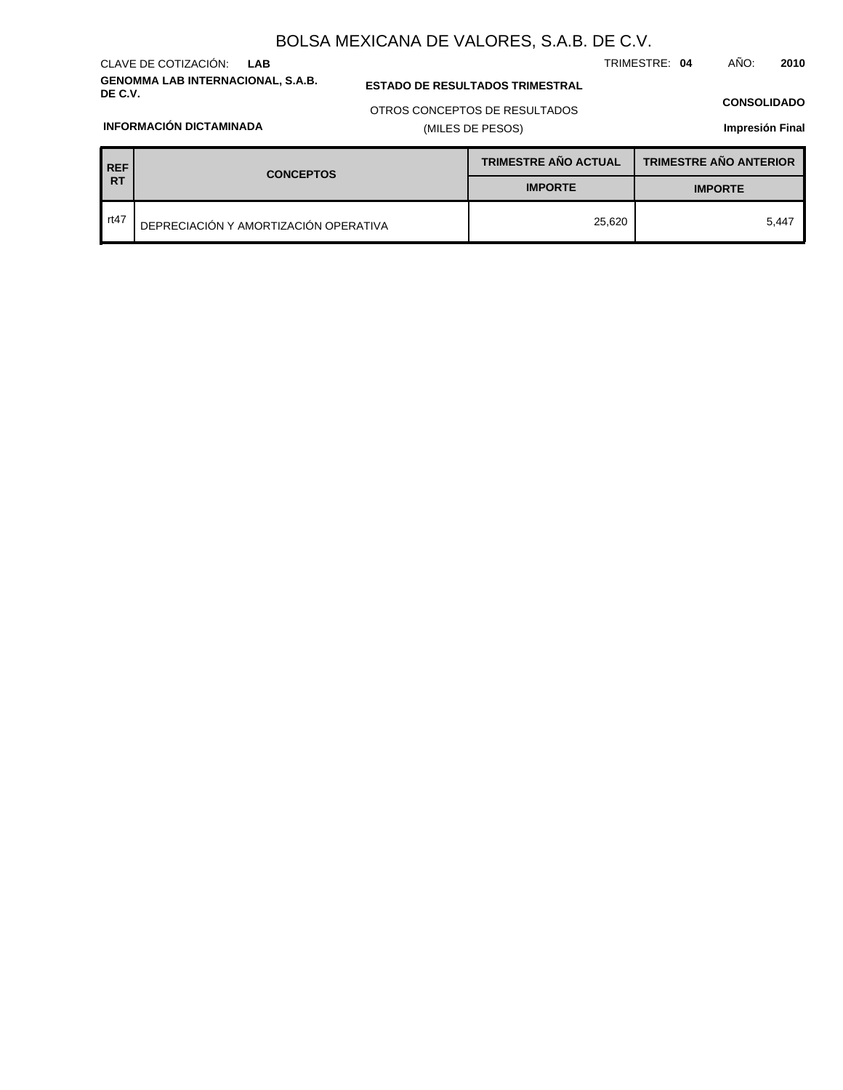# **GENOMMA LAB INTERNACIONAL, S.A.B.** CLAVE DE COTIZACIÓN: **LAB**

## **ESTADO DE RESULTADOS TRIMESTRAL**

TRIMESTRE: **04** AÑO: **2010**

## **CONSOLIDADO**

**INFORMACIÓN DICTAMINADA**

## OTROS CONCEPTOS DE RESULTADOS

(MILES DE PESOS)

| <b>REF</b> | <b>CONCEPTOS</b>                      | <b>TRIMESTRE AÑO ACTUAL</b> | <b>TRIMESTRE AÑO ANTERIOR</b> |  |
|------------|---------------------------------------|-----------------------------|-------------------------------|--|
| <b>RT</b>  |                                       | <b>IMPORTE</b>              | <b>IMPORTE</b>                |  |
| rt47       | DEPRECIACIÓN Y AMORTIZACIÓN OPERATIVA | 25,620                      | 5,447                         |  |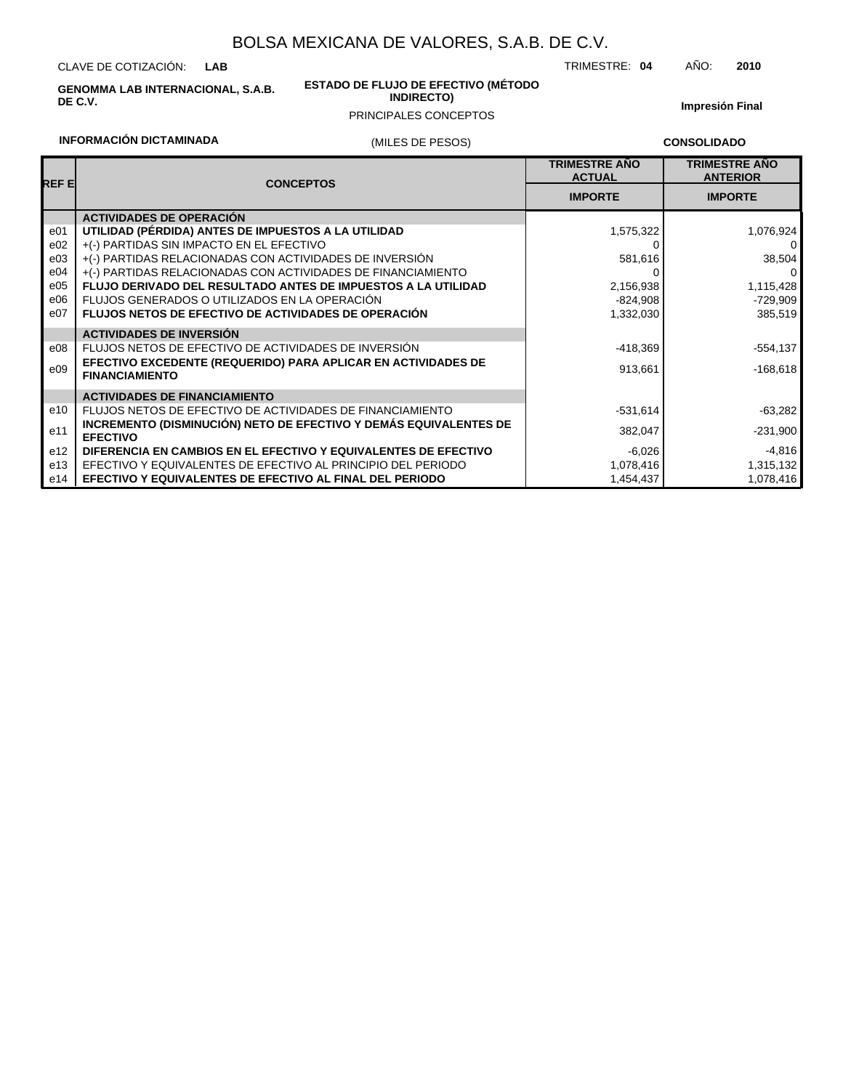CLAVE DE COTIZACIÓN: **LAB**

**GENOMMA LAB INTERNACIONAL, S.A.B. DE C.V.**

#### **ESTADO DE FLUJO DE EFECTIVO (MÉTODO INDIRECTO)**

PRINCIPALES CONCEPTOS

**Impresión Final**

## **INFORMACIÓN DICTAMINADA**

## (MILES DE PESOS)

**CONSOLIDADO**

TRIMESTRE: **04** AÑO: **2010**

| <b>REFE</b>     | <b>CONCEPTOS</b>                                                                       | <b>TRIMESTRE AÑO</b><br><b>ACTUAL</b> | <b>TRIMESTRE ANO</b><br><b>ANTERIOR</b> |
|-----------------|----------------------------------------------------------------------------------------|---------------------------------------|-----------------------------------------|
|                 |                                                                                        | <b>IMPORTE</b>                        | <b>IMPORTE</b>                          |
|                 | <b>ACTIVIDADES DE OPERACIÓN</b>                                                        |                                       |                                         |
| e01             | UTILIDAD (PÉRDIDA) ANTES DE IMPUESTOS A LA UTILIDAD                                    | 1,575,322                             | 1,076,924                               |
| e02             | +(-) PARTIDAS SIN IMPACTO EN EL EFECTIVO                                               |                                       | $\mathbf{0}$                            |
| e03             | +(-) PARTIDAS RELACIONADAS CON ACTIVIDADES DE INVERSIÓN                                | 581,616                               | 38,504                                  |
| e04             | +(-) PARTIDAS RELACIONADAS CON ACTIVIDADES DE FINANCIAMIENTO                           |                                       | $\Omega$                                |
| e05             | <b>FLUJO DERIVADO DEL RESULTADO ANTES DE IMPUESTOS A LA UTILIDAD</b>                   | 2,156,938                             | 1,115,428                               |
| e06             | FLUJOS GENERADOS O UTILIZADOS EN LA OPERACIÓN                                          | $-824,908$                            | -729,909                                |
| e07             | <b>FLUJOS NETOS DE EFECTIVO DE ACTIVIDADES DE OPERACIÓN</b>                            | 1,332,030                             | 385,519                                 |
|                 | <b>ACTIVIDADES DE INVERSIÓN</b>                                                        |                                       |                                         |
| e08             | FLUJOS NETOS DE EFECTIVO DE ACTIVIDADES DE INVERSIÓN                                   | -418,369                              | $-554.137$                              |
| e09             | EFECTIVO EXCEDENTE (REQUERIDO) PARA APLICAR EN ACTIVIDADES DE<br><b>FINANCIAMIENTO</b> | 913,661                               | $-168,618$                              |
|                 | <b>ACTIVIDADES DE FINANCIAMIENTO</b>                                                   |                                       |                                         |
| e10             | FLUJOS NETOS DE EFECTIVO DE ACTIVIDADES DE FINANCIAMIENTO                              | -531,614                              | $-63,282$                               |
| e11             | INCREMENTO (DISMINUCIÓN) NETO DE EFECTIVO Y DEMÁS EQUIVALENTES DE<br><b>EFECTIVO</b>   | 382,047                               | $-231,900$                              |
| e <sub>12</sub> | DIFERENCIA EN CAMBIOS EN EL EFECTIVO Y EQUIVALENTES DE EFECTIVO                        | $-6,026$                              | $-4,816$                                |
| e13             | EFECTIVO Y EQUIVALENTES DE EFECTIVO AL PRINCIPIO DEL PERIODO                           | 1,078,416                             | 1,315,132                               |
| e14             | EFECTIVO Y EQUIVALENTES DE EFECTIVO AL FINAL DEL PERIODO                               | 1,454,437                             | 1,078,416                               |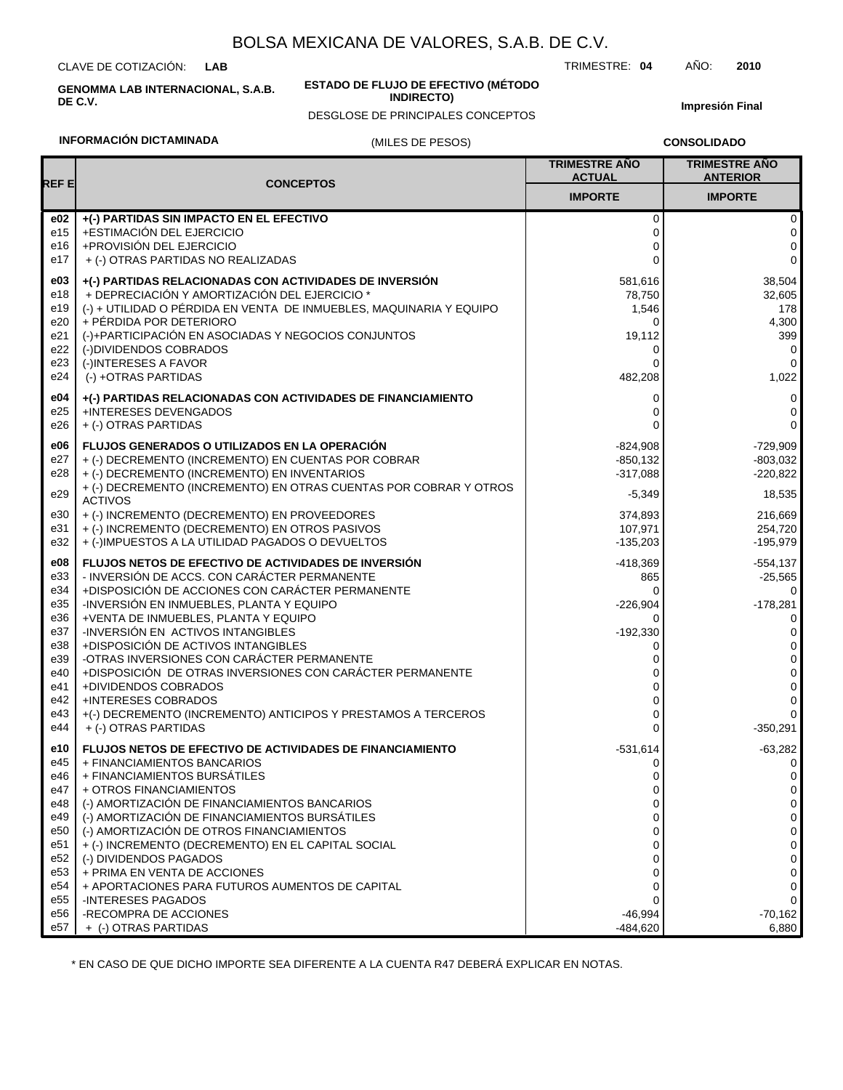CLAVE DE COTIZACIÓN: **LAB**

**INFORMACIÓN DICTAMINADA**

**GENOMMA LAB INTERNACIONAL, S.A.B. DE C.V.**

#### **ESTADO DE FLUJO DE EFECTIVO (MÉTODO INDIRECTO)**

(MILES DE PESOS) DESGLOSE DE PRINCIPALES CONCEPTOS **Impresión Final**

**CONSOLIDADO**

#### **REF E TRIMESTRE AÑO ACTUAL IMPORTE CONCEPTOS TRIMESTRE AÑO ANTERIOR IMPORTE e02**  $+(-)$  PARTIDAS SIN IMPACTO EN EL EFECTIVO e15 +ESTIMACIÓN DEL EJERCICIO 0 0 e16 +PROVISIÓN DEL EJERCICIO e17 + (-) OTRAS PARTIDAS NO REALIZADAS 0 0 0 0 **e03 +(-) PARTIDAS RELACIONADAS CON ACTIVIDADES DE INVERSIÓN** e18 + DEPRECIACIÓN Y AMORTIZACIÓN DEL EJERCICIO \* e19 (-) + UTILIDAD O PÉRDIDA EN VENTA DE INMUEBLES, MAQUINARIA Y EQUIPO 581,616 78,750 1,546 178 32,605 38,504 e20 + PÉRDIDA POR DETERIORO 0 4,300 399 0 0 0  $\Omega$ (-)+PARTICIPACIÓN EN ASOCIADAS Y NEGOCIOS CONJUNTOS 19,112 (-)DIVIDENDOS COBRADOS e23 (-)INTERESES A FAVOR e22 e21 e24 (-) +OTRAS PARTIDAS 482,208 1,022 **e04 +(-) PARTIDAS RELACIONADAS CON ACTIVIDADES DE FINANCIAMIENTO** 0 0 e25 e26 +INTERESES DEVENGADOS + (-) OTRAS PARTIDAS  $\Omega$  $\Omega$ 0 0 **e06 FLUJOS GENERADOS O UTILIZADOS EN LA OPERACIÓN** -824,908 -729,909 e32 e31 e30 e29 e28 e27 + (-)IMPUESTOS A LA UTILIDAD PAGADOS O DEVUELTOS + (-) INCREMENTO (DECREMENTO) EN OTROS PASIVOS + (-) INCREMENTO (DECREMENTO) EN PROVEEDORES + (-) DECREMENTO (INCREMENTO) EN OTRAS CUENTAS POR COBRAR Y OTROS ACTIVOS + (-) DECREMENTO (INCREMENTO) EN INVENTARIOS + (-) DECREMENTO (INCREMENTO) EN CUENTAS POR COBRAR -135,203 107,971 374,893 -5,349 -317,088 -850,132 -195,979 254,720 216,669 18,535 -220,822 -803,032 **e08 FLUJOS NETOS DE EFECTIVO DE ACTIVIDADES DE INVERSIÓN** -418,369 -554,137 e38 e37 e36 e35 e34 e33 +DISPOSICIÓN DE ACTIVOS INTANGIBLES -INVERSIÓN EN ACTIVOS INTANGIBLES +VENTA DE INMUEBLES, PLANTA Y EQUIPO -INVERSIÓN EN INMUEBLES, PLANTA Y EQUIPO +DISPOSICIÓN DE ACCIONES CON CARÁCTER PERMANENTE - INVERSIÓN DE ACCS. CON CARÁCTER PERMANENTE 0 -192,330  $\mathfrak{c}$ -226,904  $\Omega$ 865 0 0  $\Omega$ -178,281  $\Omega$ -25,565 e44 e43 e42 e41 e40 e39 + (-) OTRAS PARTIDAS +(-) DECREMENTO (INCREMENTO) ANTICIPOS Y PRESTAMOS A TERCEROS +INTERESES COBRADOS +DIVIDENDOS COBRADOS +DISPOSICIÓN DE OTRAS INVERSIONES CON CARÁCTER PERMANENTE -OTRAS INVERSIONES CON CARÁCTER PERMANENTE  $\overline{0}$  $\Omega$ 0  $\Omega$  $\Omega$ 0 -350,291 0 0 0 0 0 **e10 FLUJOS NETOS DE EFECTIVO DE ACTIVIDADES DE FINANCIAMIENTO** -531,614 -63,282 e50 e49 e48 e47 e46 e45 (-) AMORTIZACIÓN DE OTROS FINANCIAMIENTOS (-) AMORTIZACIÓN DE FINANCIAMIENTOS BURSÁTILES (-) AMORTIZACIÓN DE FINANCIAMIENTOS BANCARIOS + OTROS FINANCIAMIENTOS + FINANCIAMIENTOS BURSÁTILES + FINANCIAMIENTOS BANCARIOS 0  $\mathcal{C}$ 0 0 0  $\Omega$ 0 0 0 0 0 0 e56 e55 e54 e53 e52 e51 -RECOMPRA DE ACCIONES -INTERESES PAGADOS + APORTACIONES PARA FUTUROS AUMENTOS DE CAPITAL + PRIMA EN VENTA DE ACCIONES (-) DIVIDENDOS PAGADOS + (-) INCREMENTO (DECREMENTO) EN EL CAPITAL SOCIAL -46,994 0  $\mathsf{C}$ 0 0 0 -70,162 0 0 0 0 0 e57 + (-) OTRAS PARTIDAS -484,620 6,880

\* EN CASO DE QUE DICHO IMPORTE SEA DIFERENTE A LA CUENTA R47 DEBERÁ EXPLICAR EN NOTAS.

TRIMESTRE: **04** AÑO: **2010**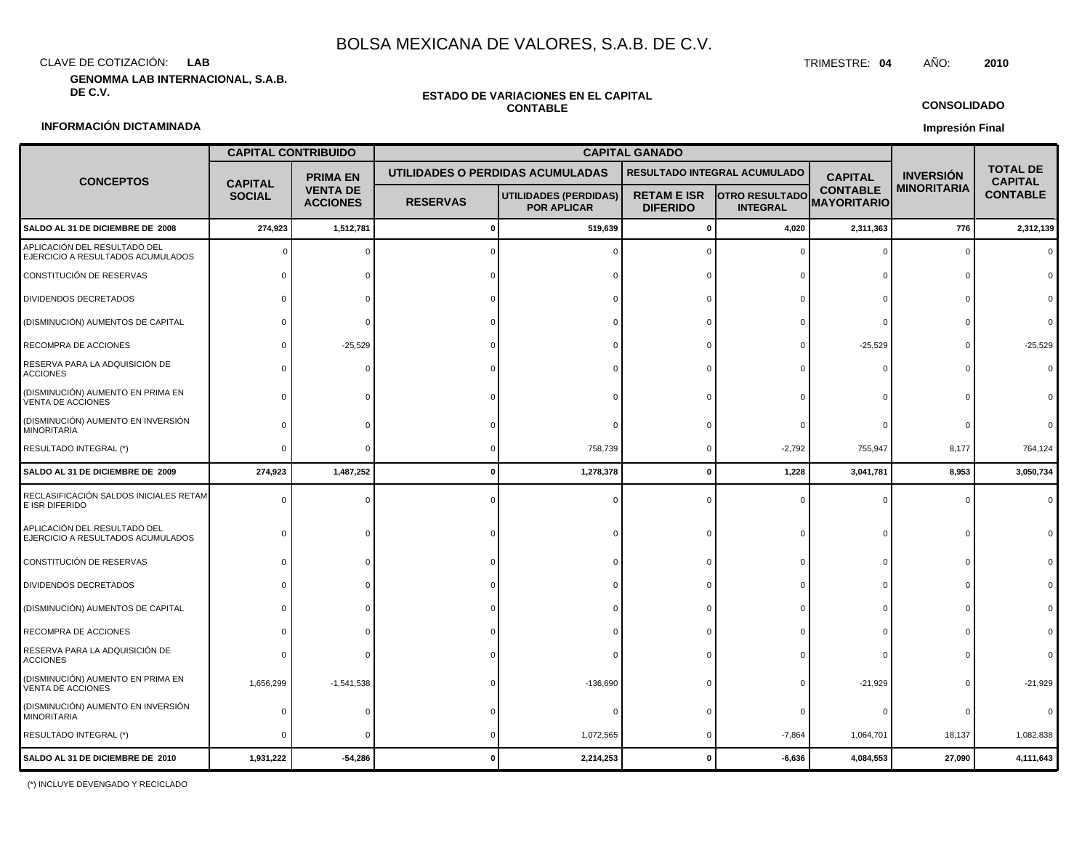CLAVE DE COTIZACIÓN: TRIMESTRE: **04** AÑO: **2010 LAB**

**GENOMMA LAB INTERNACIONAL, S.A.B.**

#### **ESTADO DE VARIACIONES EN EL CAPITAL CONTABLE**

**CONSOLIDADO**

#### **Impresión Final**

### **INFORMACIÓN DICTAMINADA**

|                                                                   | <b>CAPITAL CONTRIBUIDO</b>      |                                    |                                  | <b>CAPITAL GANADO</b>                              |                                       |                                          |                                       |                    |                                   |
|-------------------------------------------------------------------|---------------------------------|------------------------------------|----------------------------------|----------------------------------------------------|---------------------------------------|------------------------------------------|---------------------------------------|--------------------|-----------------------------------|
| <b>CONCEPTOS</b>                                                  |                                 | <b>PRIMA EN</b>                    | UTILIDADES O PERDIDAS ACUMULADAS |                                                    |                                       | RESULTADO INTEGRAL ACUMULADO             | <b>CAPITAL</b>                        | <b>INVERSION</b>   | <b>TOTAL DE</b><br><b>CAPITAL</b> |
|                                                                   | <b>CAPITAL</b><br><b>SOCIAL</b> | <b>VENTA DE</b><br><b>ACCIONES</b> | <b>RESERVAS</b>                  | <b>UTILIDADES (PERDIDAS)</b><br><b>POR APLICAR</b> | <b>RETAM E ISR</b><br><b>DIFERIDO</b> | <b>OTRO RESULTADO</b><br><b>INTEGRAL</b> | <b>CONTABLE</b><br><b>MAYORITARIO</b> | <b>MINORITARIA</b> | <b>CONTABLE</b>                   |
| SALDO AL 31 DE DICIEMBRE DE 2008                                  | 274,923                         | 1,512,781                          |                                  | 519,639                                            |                                       | 4,020                                    | 2,311,363                             | 776                | 2,312,139                         |
| APLICACIÓN DEL RESULTADO DEL<br>EJERCICIO A RESULTADOS ACUMULADOS |                                 |                                    |                                  |                                                    |                                       | $\Omega$                                 | $\Omega$                              | $\Omega$           |                                   |
| CONSTITUCIÓN DE RESERVAS                                          |                                 |                                    |                                  |                                                    |                                       |                                          |                                       |                    |                                   |
| DIVIDENDOS DECRETADOS                                             |                                 |                                    |                                  |                                                    |                                       |                                          | $\Omega$                              |                    |                                   |
| (DISMINUCIÓN) AUMENTOS DE CAPITAL                                 |                                 |                                    |                                  |                                                    |                                       |                                          | $\Omega$                              |                    |                                   |
| RECOMPRA DE ACCIONES                                              |                                 | $-25,529$                          |                                  |                                                    |                                       |                                          | $-25,529$                             |                    | $-25,529$                         |
| RESERVA PARA LA ADQUISICIÓN DE<br><b>ACCIONES</b>                 |                                 |                                    |                                  |                                                    |                                       |                                          |                                       |                    |                                   |
| (DISMINUCIÓN) AUMENTO EN PRIMA EN<br>VENTA DE ACCIONES            |                                 |                                    |                                  |                                                    |                                       |                                          |                                       |                    |                                   |
| (DISMINUCIÓN) AUMENTO EN INVERSIÓN<br><b>MINORITARIA</b>          |                                 |                                    |                                  |                                                    |                                       | $\Omega$                                 | $\Omega$                              | $\Omega$           |                                   |
| RESULTADO INTEGRAL (*)                                            | Ω                               |                                    |                                  | 758,739                                            |                                       | $-2,792$                                 | 755,947                               | 8,177              | 764,124                           |
| SALDO AL 31 DE DICIEMBRE DE 2009                                  | 274,923                         | 1,487,252                          | $\mathbf{0}$                     | 1,278,378                                          | $\Omega$                              | 1,228                                    | 3,041,781                             | 8,953              | 3,050,734                         |
| RECLASIFICACIÓN SALDOS INICIALES RETAM<br>E ISR DIFERIDO          | $\Omega$                        | $\Omega$                           |                                  | <sup>0</sup>                                       |                                       | $\Omega$                                 | $\Omega$                              | $\Omega$           |                                   |
| APLICACIÓN DEL RESULTADO DEL<br>EJERCICIO A RESULTADOS ACUMULADOS | n                               |                                    |                                  |                                                    |                                       | $\Omega$                                 | $\Omega$                              | $\Omega$           |                                   |
| CONSTITUCIÓN DE RESERVAS                                          |                                 |                                    |                                  |                                                    |                                       | $\Omega$                                 |                                       |                    |                                   |
| DIVIDENDOS DECRETADOS                                             |                                 |                                    |                                  |                                                    |                                       |                                          |                                       |                    |                                   |
| (DISMINUCIÓN) AUMENTOS DE CAPITAL                                 |                                 |                                    |                                  |                                                    |                                       |                                          |                                       |                    |                                   |
| RECOMPRA DE ACCIONES                                              |                                 |                                    |                                  |                                                    |                                       |                                          |                                       |                    |                                   |
| RESERVA PARA LA ADQUISICIÓN DE<br><b>ACCIONES</b>                 |                                 |                                    |                                  |                                                    |                                       |                                          |                                       |                    |                                   |
| (DISMINUCIÓN) AUMENTO EN PRIMA EN<br>VENTA DE ACCIONES            | 1,656,299                       | $-1,541,538$                       |                                  | $-136,690$                                         |                                       | $\Omega$                                 | $-21,929$                             | $\Omega$           | $-21,929$                         |
| (DISMINUCIÓN) AUMENTO EN INVERSIÓN<br><b>MINORITARIA</b>          |                                 |                                    |                                  |                                                    |                                       | 0                                        |                                       |                    |                                   |
| RESULTADO INTEGRAL (*)                                            |                                 |                                    |                                  | 1,072,565                                          |                                       | $-7,864$                                 | 1,064,701                             | 18,137             | 1,082,838                         |
| SALDO AL 31 DE DICIEMBRE DE 2010                                  | 1,931,222                       | $-54,286$                          |                                  | 2,214,253                                          |                                       | $-6,636$                                 | 4,084,553                             | 27,090             | 4,111,643                         |

(\*) INCLUYE DEVENGADO Y RECICLADO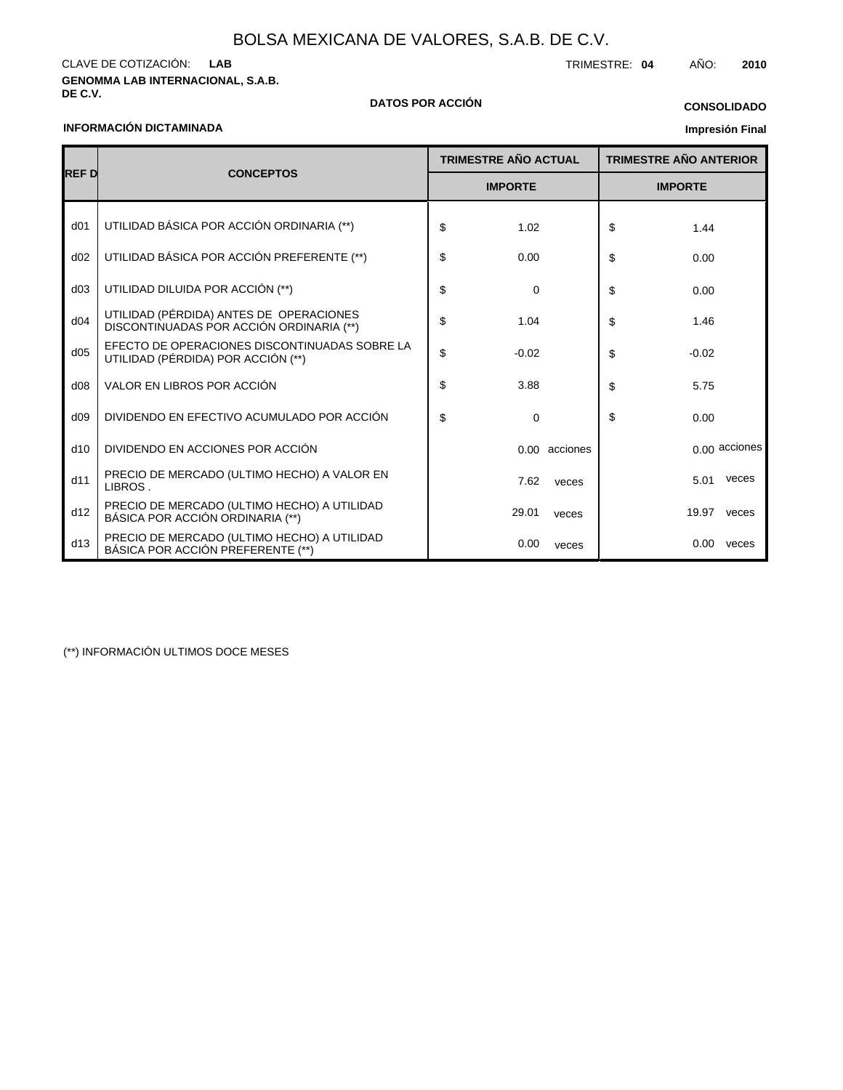**GENOMMA LAB INTERNACIONAL, S.A.B.** CLAVE DE COTIZACIÓN: TRIMESTRE: **04** AÑO: **2010 LAB**

**DE C.V. DATOS POR ACCIÓN**

## **CONSOLIDADO**

### **INFORMACIÓN DICTAMINADA**

## **Impresión Final**

|                 | <b>CONCEPTOS</b>                                                                    |    | <b>TRIMESTRE AÑO ACTUAL</b> |               |                | <b>TRIMESTRE AÑO ANTERIOR</b> |                 |  |
|-----------------|-------------------------------------------------------------------------------------|----|-----------------------------|---------------|----------------|-------------------------------|-----------------|--|
| <b>REF D</b>    |                                                                                     |    | <b>IMPORTE</b>              |               | <b>IMPORTE</b> |                               |                 |  |
| d <sub>01</sub> | UTILIDAD BÁSICA POR ACCIÓN ORDINARIA (**)                                           | \$ | 1.02                        |               | \$             | 1.44                          |                 |  |
| d02             | UTILIDAD BÁSICA POR ACCIÓN PREFERENTE (**)                                          | \$ | 0.00                        |               | \$             | 0.00                          |                 |  |
| d03             | UTILIDAD DILUIDA POR ACCIÓN (**)                                                    | \$ | $\Omega$                    |               | \$             | 0.00                          |                 |  |
| d04             | UTILIDAD (PÉRDIDA) ANTES DE OPERACIONES<br>DISCONTINUADAS POR ACCIÓN ORDINARIA (**) | \$ | 1.04                        |               | \$             | 1.46                          |                 |  |
| d05             | EFECTO DE OPERACIONES DISCONTINUADAS SOBRE LA<br>UTILIDAD (PÉRDIDA) POR ACCIÓN (**) | \$ | $-0.02$                     |               | \$             | $-0.02$                       |                 |  |
| d08             | VALOR EN LIBROS POR ACCIÓN                                                          | \$ | 3.88                        |               | \$             | 5.75                          |                 |  |
| d09             | DIVIDENDO EN EFECTIVO ACUMULADO POR ACCIÓN                                          | \$ | $\mathbf 0$                 |               | \$             | 0.00                          |                 |  |
| d10             | DIVIDENDO EN ACCIONES POR ACCIÓN                                                    |    |                             | 0.00 acciones |                |                               | $0.00$ acciones |  |
| d11             | PRECIO DE MERCADO (ULTIMO HECHO) A VALOR EN<br>LIBROS.                              |    | 7.62                        | veces         |                | 5.01                          | veces           |  |
| d12             | PRECIO DE MERCADO (ULTIMO HECHO) A UTILIDAD<br>BÁSICA POR ACCIÓN ORDINARIA (**)     |    | 29.01                       | veces         |                | 19.97                         | veces           |  |
| d13             | PRECIO DE MERCADO (ULTIMO HECHO) A UTILIDAD<br>BÁSICA POR ACCIÓN PREFERENTE (**)    |    | 0.00                        | veces         |                | 0.00                          | veces           |  |

(\*\*) INFORMACIÓN ULTIMOS DOCE MESES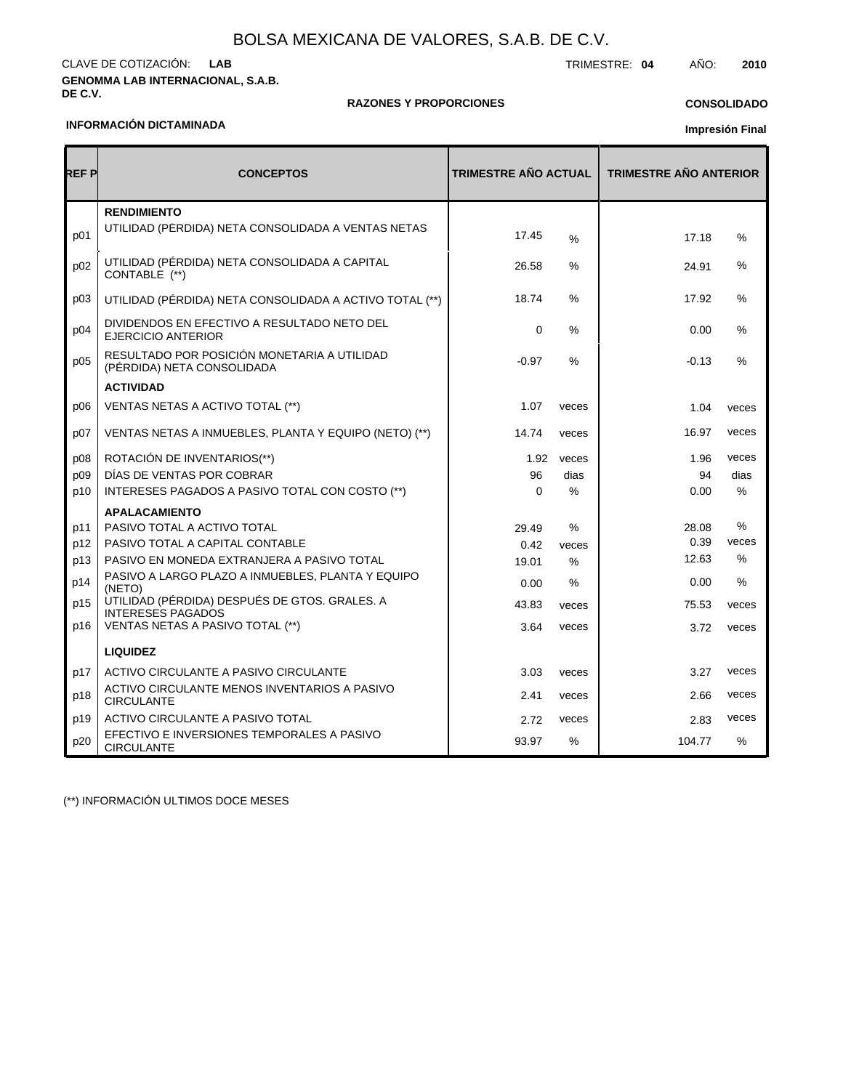### **GENOMMA LAB INTERNACIONAL, S.A.B. DE C.V.** CLAVE DE COTIZACIÓN: TRIMESTRE: **04** AÑO: **2010 LAB**

### **RAZONES Y PROPORCIONES**

# **CONSOLIDADO**

### **INFORMACIÓN DICTAMINADA**

| Impresión Final |  |
|-----------------|--|
|-----------------|--|

| REF P | <b>CONCEPTOS</b>                                                          | <b>TRIMESTRE AÑO ACTUAL</b> |       | <b>TRIMESTRE AÑO ANTERIOR</b> |               |
|-------|---------------------------------------------------------------------------|-----------------------------|-------|-------------------------------|---------------|
| p01   | <b>RENDIMIENTO</b><br>UTILIDAD (PÉRDIDA) NETA CONSOLIDADA A VENTAS NETAS  | 17.45                       | %     | 17.18                         | %             |
| p02   | UTILIDAD (PÉRDIDA) NETA CONSOLIDADA A CAPITAL<br>CONTABLE (**)            | 26.58                       | $\%$  | 24.91                         | %             |
| p03   | UTILIDAD (PÉRDIDA) NETA CONSOLIDADA A ACTIVO TOTAL (**)                   | 18.74                       | $\%$  | 17.92                         | $\%$          |
| p04   | DIVIDENDOS EN EFECTIVO A RESULTADO NETO DEL<br><b>EJERCICIO ANTERIOR</b>  | $\mathbf 0$                 | %     | 0.00                          | %             |
| p05   | RESULTADO POR POSICIÓN MONETARIA A UTILIDAD<br>(PÉRDIDA) NETA CONSOLIDADA | $-0.97$                     | $\%$  | $-0.13$                       | $\frac{0}{0}$ |
|       | <b>ACTIVIDAD</b>                                                          |                             |       |                               |               |
| p06   | VENTAS NETAS A ACTIVO TOTAL (**)                                          | 1.07                        | veces | 1.04                          | veces         |
| p07   | VENTAS NETAS A INMUEBLES, PLANTA Y EQUIPO (NETO) (**)                     | 14.74                       | veces | 16.97                         | veces         |
| p08   | ROTACIÓN DE INVENTARIOS(**)                                               | 1.92                        | veces | 1.96                          | veces         |
| p09   | DÍAS DE VENTAS POR COBRAR                                                 | 96                          | dias  | 94                            | dias          |
| p10   | INTERESES PAGADOS A PASIVO TOTAL CON COSTO (**)                           | $\Omega$                    | $\%$  | 0.00                          | $\frac{0}{0}$ |
|       | <b>APALACAMIENTO</b>                                                      |                             |       |                               |               |
| p11   | PASIVO TOTAL A ACTIVO TOTAL                                               | 29.49                       | %     | 28.08                         | %             |
| p12   | PASIVO TOTAL A CAPITAL CONTABLE                                           | 0.42                        | veces | 0.39                          | veces         |
| p13   | PASIVO EN MONEDA EXTRANJERA A PASIVO TOTAL                                | 19.01                       | $\%$  | 12.63                         | $\frac{0}{0}$ |
| p14   | PASIVO A LARGO PLAZO A INMUEBLES, PLANTA Y EQUIPO<br>(NETO)               | 0.00                        | $\%$  | 0.00                          | $\%$          |
| p15   | UTILIDAD (PÉRDIDA) DESPUÉS DE GTOS. GRALES. A<br><b>INTERESES PAGADOS</b> | 43.83                       | veces | 75.53                         | veces         |
| p16   | VENTAS NETAS A PASIVO TOTAL (**)                                          | 3.64                        | veces | 3.72                          | veces         |
|       | <b>LIQUIDEZ</b>                                                           |                             |       |                               |               |
| p17   | ACTIVO CIRCULANTE A PASIVO CIRCULANTE                                     | 3.03                        | veces | 3.27                          | veces         |
| p18   | ACTIVO CIRCULANTE MENOS INVENTARIOS A PASIVO<br><b>CIRCULANTE</b>         | 2.41                        | veces | 2.66                          | veces         |
| p19   | ACTIVO CIRCULANTE A PASIVO TOTAL                                          | 2.72                        | veces | 2.83                          | veces         |
| p20   | EFECTIVO E INVERSIONES TEMPORALES A PASIVO<br><b>CIRCULANTE</b>           | 93.97                       | $\%$  | 104.77                        | %             |

(\*\*) INFORMACIÓN ULTIMOS DOCE MESES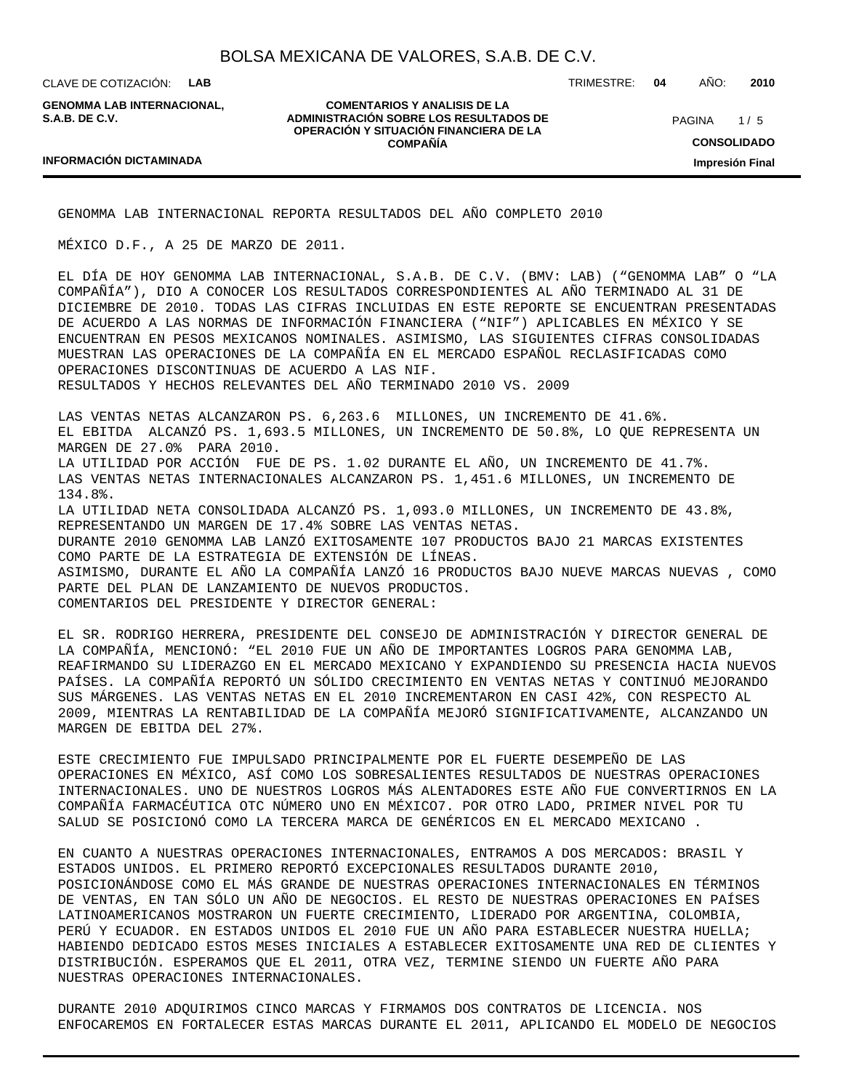CLAVE DE COTIZACIÓN: **LAB**

**GENOMMA LAB INTERNACIONAL, S.A.B. DE C.V.**

**COMENTARIOS Y ANALISIS DE LA ADMINISTRACIÓN SOBRE LOS RESULTADOS DE OPERACIÓN Y SITUACIÓN FINANCIERA DE LA COMPAÑÍA**

TRIMESTRE: **04** AÑO: **2010**

 $1/5$ **CONSOLIDADO Impresión Final** PAGINA

### **INFORMACIÓN DICTAMINADA**

GENOMMA LAB INTERNACIONAL REPORTA RESULTADOS DEL AÑO COMPLETO 2010

MÉXICO D.F., A 25 DE MARZO DE 2011.

EL DÍA DE HOY GENOMMA LAB INTERNACIONAL, S.A.B. DE C.V. (BMV: LAB) ("GENOMMA LAB" O "LA COMPAÑÍA"), DIO A CONOCER LOS RESULTADOS CORRESPONDIENTES AL AÑO TERMINADO AL 31 DE DICIEMBRE DE 2010. TODAS LAS CIFRAS INCLUIDAS EN ESTE REPORTE SE ENCUENTRAN PRESENTADAS DE ACUERDO A LAS NORMAS DE INFORMACIÓN FINANCIERA ("NIF") APLICABLES EN MÉXICO Y SE ENCUENTRAN EN PESOS MEXICANOS NOMINALES. ASIMISMO, LAS SIGUIENTES CIFRAS CONSOLIDADAS MUESTRAN LAS OPERACIONES DE LA COMPAÑÍA EN EL MERCADO ESPAÑOL RECLASIFICADAS COMO OPERACIONES DISCONTINUAS DE ACUERDO A LAS NIF.

RESULTADOS Y HECHOS RELEVANTES DEL AÑO TERMINADO 2010 VS. 2009

 LAS VENTAS NETAS ALCANZARON PS. 6,263.6 MILLONES, UN INCREMENTO DE 41.6%. EL EBITDA ALCANZÓ PS. 1,693.5 MILLONES, UN INCREMENTO DE 50.8%, LO QUE REPRESENTA UN MARGEN DE 27.0% PARA 2010.

 LA UTILIDAD POR ACCIÓN FUE DE PS. 1.02 DURANTE EL AÑO, UN INCREMENTO DE 41.7%. LAS VENTAS NETAS INTERNACIONALES ALCANZARON PS. 1,451.6 MILLONES, UN INCREMENTO DE 134.8%.

 LA UTILIDAD NETA CONSOLIDADA ALCANZÓ PS. 1,093.0 MILLONES, UN INCREMENTO DE 43.8%, REPRESENTANDO UN MARGEN DE 17.4% SOBRE LAS VENTAS NETAS.

 DURANTE 2010 GENOMMA LAB LANZÓ EXITOSAMENTE 107 PRODUCTOS BAJO 21 MARCAS EXISTENTES COMO PARTE DE LA ESTRATEGIA DE EXTENSIÓN DE LÍNEAS.

 ASIMISMO, DURANTE EL AÑO LA COMPAÑÍA LANZÓ 16 PRODUCTOS BAJO NUEVE MARCAS NUEVAS , COMO PARTE DEL PLAN DE LANZAMIENTO DE NUEVOS PRODUCTOS. COMENTARIOS DEL PRESIDENTE Y DIRECTOR GENERAL:

EL SR. RODRIGO HERRERA, PRESIDENTE DEL CONSEJO DE ADMINISTRACIÓN Y DIRECTOR GENERAL DE LA COMPAÑÍA, MENCIONÓ: "EL 2010 FUE UN AÑO DE IMPORTANTES LOGROS PARA GENOMMA LAB, REAFIRMANDO SU LIDERAZGO EN EL MERCADO MEXICANO Y EXPANDIENDO SU PRESENCIA HACIA NUEVOS PAÍSES. LA COMPAÑÍA REPORTÓ UN SÓLIDO CRECIMIENTO EN VENTAS NETAS Y CONTINUÓ MEJORANDO SUS MÁRGENES. LAS VENTAS NETAS EN EL 2010 INCREMENTARON EN CASI 42%, CON RESPECTO AL 2009, MIENTRAS LA RENTABILIDAD DE LA COMPAÑÍA MEJORÓ SIGNIFICATIVAMENTE, ALCANZANDO UN MARGEN DE EBITDA DEL 27%.

ESTE CRECIMIENTO FUE IMPULSADO PRINCIPALMENTE POR EL FUERTE DESEMPEÑO DE LAS OPERACIONES EN MÉXICO, ASÍ COMO LOS SOBRESALIENTES RESULTADOS DE NUESTRAS OPERACIONES INTERNACIONALES. UNO DE NUESTROS LOGROS MÁS ALENTADORES ESTE AÑO FUE CONVERTIRNOS EN LA COMPAÑÍA FARMACÉUTICA OTC NÚMERO UNO EN MÉXICO7. POR OTRO LADO, PRIMER NIVEL POR TU SALUD SE POSICIONÓ COMO LA TERCERA MARCA DE GENÉRICOS EN EL MERCADO MEXICANO .

EN CUANTO A NUESTRAS OPERACIONES INTERNACIONALES, ENTRAMOS A DOS MERCADOS: BRASIL Y ESTADOS UNIDOS. EL PRIMERO REPORTÓ EXCEPCIONALES RESULTADOS DURANTE 2010, POSICIONÁNDOSE COMO EL MÁS GRANDE DE NUESTRAS OPERACIONES INTERNACIONALES EN TÉRMINOS DE VENTAS, EN TAN SÓLO UN AÑO DE NEGOCIOS. EL RESTO DE NUESTRAS OPERACIONES EN PAÍSES LATINOAMERICANOS MOSTRARON UN FUERTE CRECIMIENTO, LIDERADO POR ARGENTINA, COLOMBIA, PERÚ Y ECUADOR. EN ESTADOS UNIDOS EL 2010 FUE UN AÑO PARA ESTABLECER NUESTRA HUELLA; HABIENDO DEDICADO ESTOS MESES INICIALES A ESTABLECER EXITOSAMENTE UNA RED DE CLIENTES Y DISTRIBUCIÓN. ESPERAMOS QUE EL 2011, OTRA VEZ, TERMINE SIENDO UN FUERTE AÑO PARA NUESTRAS OPERACIONES INTERNACIONALES.

DURANTE 2010 ADQUIRIMOS CINCO MARCAS Y FIRMAMOS DOS CONTRATOS DE LICENCIA. NOS ENFOCAREMOS EN FORTALECER ESTAS MARCAS DURANTE EL 2011, APLICANDO EL MODELO DE NEGOCIOS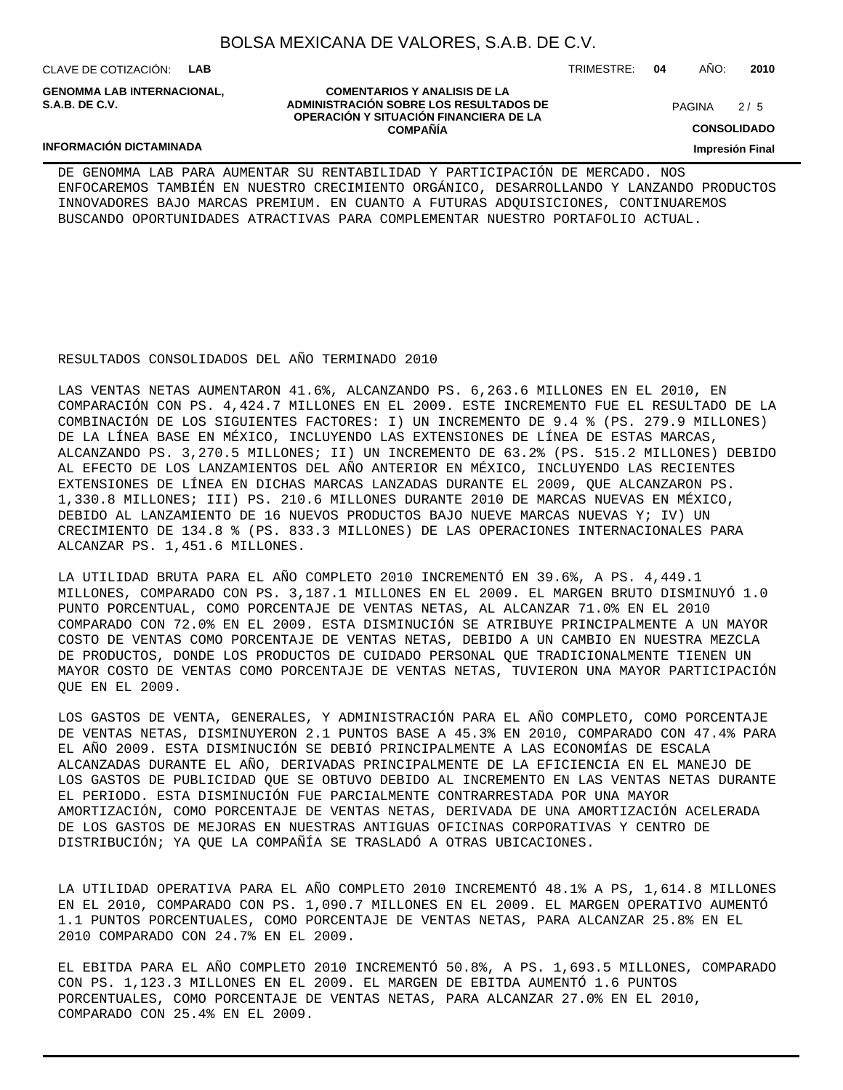CLAVE DE COTIZACIÓN: **LAB**

**GENOMMA LAB INTERNACIONAL,**

**S.A.B. DE C.V.**

#### **COMENTARIOS Y ANALISIS DE LA ADMINISTRACIÓN SOBRE LOS RESULTADOS DE OPERACIÓN Y SITUACIÓN FINANCIERA DE LA COMPAÑÍA**

 $2/5$ PAGINA

TRIMESTRE: **04** AÑO: **2010**

**CONSOLIDADO**

**Impresión Final**

## **INFORMACIÓN DICTAMINADA**

DE GENOMMA LAB PARA AUMENTAR SU RENTABILIDAD Y PARTICIPACIÓN DE MERCADO. NOS ENFOCAREMOS TAMBIÉN EN NUESTRO CRECIMIENTO ORGÁNICO, DESARROLLANDO Y LANZANDO PRODUCTOS INNOVADORES BAJO MARCAS PREMIUM. EN CUANTO A FUTURAS ADQUISICIONES, CONTINUAREMOS BUSCANDO OPORTUNIDADES ATRACTIVAS PARA COMPLEMENTAR NUESTRO PORTAFOLIO ACTUAL.

#### RESULTADOS CONSOLIDADOS DEL AÑO TERMINADO 2010

LAS VENTAS NETAS AUMENTARON 41.6%, ALCANZANDO PS. 6,263.6 MILLONES EN EL 2010, EN COMPARACIÓN CON PS. 4,424.7 MILLONES EN EL 2009. ESTE INCREMENTO FUE EL RESULTADO DE LA COMBINACIÓN DE LOS SIGUIENTES FACTORES: I) UN INCREMENTO DE 9.4 % (PS. 279.9 MILLONES) DE LA LÍNEA BASE EN MÉXICO, INCLUYENDO LAS EXTENSIONES DE LÍNEA DE ESTAS MARCAS, ALCANZANDO PS. 3,270.5 MILLONES; II) UN INCREMENTO DE 63.2% (PS. 515.2 MILLONES) DEBIDO AL EFECTO DE LOS LANZAMIENTOS DEL AÑO ANTERIOR EN MÉXICO, INCLUYENDO LAS RECIENTES EXTENSIONES DE LÍNEA EN DICHAS MARCAS LANZADAS DURANTE EL 2009, QUE ALCANZARON PS. 1,330.8 MILLONES; III) PS. 210.6 MILLONES DURANTE 2010 DE MARCAS NUEVAS EN MÉXICO, DEBIDO AL LANZAMIENTO DE 16 NUEVOS PRODUCTOS BAJO NUEVE MARCAS NUEVAS Y; IV) UN CRECIMIENTO DE 134.8 % (PS. 833.3 MILLONES) DE LAS OPERACIONES INTERNACIONALES PARA ALCANZAR PS. 1,451.6 MILLONES.

LA UTILIDAD BRUTA PARA EL AÑO COMPLETO 2010 INCREMENTÓ EN 39.6%, A PS. 4,449.1 MILLONES, COMPARADO CON PS. 3,187.1 MILLONES EN EL 2009. EL MARGEN BRUTO DISMINUYÓ 1.0 PUNTO PORCENTUAL, COMO PORCENTAJE DE VENTAS NETAS, AL ALCANZAR 71.0% EN EL 2010 COMPARADO CON 72.0% EN EL 2009. ESTA DISMINUCIÓN SE ATRIBUYE PRINCIPALMENTE A UN MAYOR COSTO DE VENTAS COMO PORCENTAJE DE VENTAS NETAS, DEBIDO A UN CAMBIO EN NUESTRA MEZCLA DE PRODUCTOS, DONDE LOS PRODUCTOS DE CUIDADO PERSONAL QUE TRADICIONALMENTE TIENEN UN MAYOR COSTO DE VENTAS COMO PORCENTAJE DE VENTAS NETAS, TUVIERON UNA MAYOR PARTICIPACIÓN QUE EN EL 2009.

LOS GASTOS DE VENTA, GENERALES, Y ADMINISTRACIÓN PARA EL AÑO COMPLETO, COMO PORCENTAJE DE VENTAS NETAS, DISMINUYERON 2.1 PUNTOS BASE A 45.3% EN 2010, COMPARADO CON 47.4% PARA EL AÑO 2009. ESTA DISMINUCIÓN SE DEBIÓ PRINCIPALMENTE A LAS ECONOMÍAS DE ESCALA ALCANZADAS DURANTE EL AÑO, DERIVADAS PRINCIPALMENTE DE LA EFICIENCIA EN EL MANEJO DE LOS GASTOS DE PUBLICIDAD QUE SE OBTUVO DEBIDO AL INCREMENTO EN LAS VENTAS NETAS DURANTE EL PERIODO. ESTA DISMINUCIÓN FUE PARCIALMENTE CONTRARRESTADA POR UNA MAYOR AMORTIZACIÓN, COMO PORCENTAJE DE VENTAS NETAS, DERIVADA DE UNA AMORTIZACIÓN ACELERADA DE LOS GASTOS DE MEJORAS EN NUESTRAS ANTIGUAS OFICINAS CORPORATIVAS Y CENTRO DE DISTRIBUCIÓN; YA QUE LA COMPAÑÍA SE TRASLADÓ A OTRAS UBICACIONES.

LA UTILIDAD OPERATIVA PARA EL AÑO COMPLETO 2010 INCREMENTÓ 48.1% A PS, 1,614.8 MILLONES EN EL 2010, COMPARADO CON PS. 1,090.7 MILLONES EN EL 2009. EL MARGEN OPERATIVO AUMENTÓ 1.1 PUNTOS PORCENTUALES, COMO PORCENTAJE DE VENTAS NETAS, PARA ALCANZAR 25.8% EN EL 2010 COMPARADO CON 24.7% EN EL 2009.

EL EBITDA PARA EL AÑO COMPLETO 2010 INCREMENTÓ 50.8%, A PS. 1,693.5 MILLONES, COMPARADO CON PS. 1,123.3 MILLONES EN EL 2009. EL MARGEN DE EBITDA AUMENTÓ 1.6 PUNTOS PORCENTUALES, COMO PORCENTAJE DE VENTAS NETAS, PARA ALCANZAR 27.0% EN EL 2010, COMPARADO CON 25.4% EN EL 2009.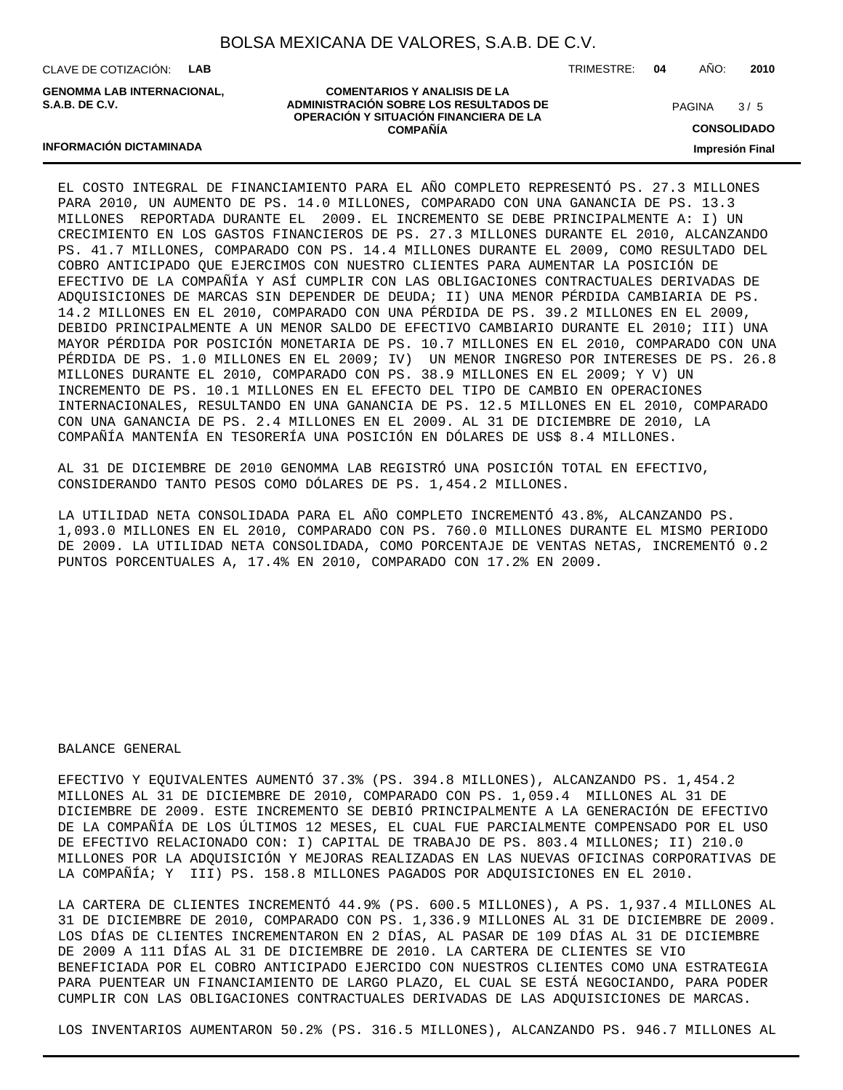CLAVE DE COTIZACIÓN: **LAB**

**INFORMACIÓN DICTAMINADA**

**GENOMMA LAB INTERNACIONAL, S.A.B. DE C.V.**

TRIMESTRE: **04** AÑO: **2010**

 $3/5$ PAGINA

**CONSOLIDADO**

**Impresión Final**

#### **COMENTARIOS Y ANALISIS DE LA ADMINISTRACIÓN SOBRE LOS RESULTADOS DE OPERACIÓN Y SITUACIÓN FINANCIERA DE LA COMPAÑÍA**

EL COSTO INTEGRAL DE FINANCIAMIENTO PARA EL AÑO COMPLETO REPRESENTÓ PS. 27.3 MILLONES PARA 2010, UN AUMENTO DE PS. 14.0 MILLONES, COMPARADO CON UNA GANANCIA DE PS. 13.3 MILLONES REPORTADA DURANTE EL 2009. EL INCREMENTO SE DEBE PRINCIPALMENTE A: I) UN CRECIMIENTO EN LOS GASTOS FINANCIEROS DE PS. 27.3 MILLONES DURANTE EL 2010, ALCANZANDO PS. 41.7 MILLONES, COMPARADO CON PS. 14.4 MILLONES DURANTE EL 2009, COMO RESULTADO DEL COBRO ANTICIPADO QUE EJERCIMOS CON NUESTRO CLIENTES PARA AUMENTAR LA POSICIÓN DE EFECTIVO DE LA COMPAÑÍA Y ASÍ CUMPLIR CON LAS OBLIGACIONES CONTRACTUALES DERIVADAS DE ADQUISICIONES DE MARCAS SIN DEPENDER DE DEUDA; II) UNA MENOR PÉRDIDA CAMBIARIA DE PS. 14.2 MILLONES EN EL 2010, COMPARADO CON UNA PÉRDIDA DE PS. 39.2 MILLONES EN EL 2009, DEBIDO PRINCIPALMENTE A UN MENOR SALDO DE EFECTIVO CAMBIARIO DURANTE EL 2010; III) UNA MAYOR PÉRDIDA POR POSICIÓN MONETARIA DE PS. 10.7 MILLONES EN EL 2010, COMPARADO CON UNA PÉRDIDA DE PS. 1.0 MILLONES EN EL 2009; IV) UN MENOR INGRESO POR INTERESES DE PS. 26.8 MILLONES DURANTE EL 2010, COMPARADO CON PS. 38.9 MILLONES EN EL 2009; Y V) UN INCREMENTO DE PS. 10.1 MILLONES EN EL EFECTO DEL TIPO DE CAMBIO EN OPERACIONES INTERNACIONALES, RESULTANDO EN UNA GANANCIA DE PS. 12.5 MILLONES EN EL 2010, COMPARADO CON UNA GANANCIA DE PS. 2.4 MILLONES EN EL 2009. AL 31 DE DICIEMBRE DE 2010, LA COMPAÑÍA MANTENÍA EN TESORERÍA UNA POSICIÓN EN DÓLARES DE US\$ 8.4 MILLONES.

AL 31 DE DICIEMBRE DE 2010 GENOMMA LAB REGISTRÓ UNA POSICIÓN TOTAL EN EFECTIVO, CONSIDERANDO TANTO PESOS COMO DÓLARES DE PS. 1,454.2 MILLONES.

LA UTILIDAD NETA CONSOLIDADA PARA EL AÑO COMPLETO INCREMENTÓ 43.8%, ALCANZANDO PS. 1,093.0 MILLONES EN EL 2010, COMPARADO CON PS. 760.0 MILLONES DURANTE EL MISMO PERIODO DE 2009. LA UTILIDAD NETA CONSOLIDADA, COMO PORCENTAJE DE VENTAS NETAS, INCREMENTÓ 0.2 PUNTOS PORCENTUALES A, 17.4% EN 2010, COMPARADO CON 17.2% EN 2009.

#### BALANCE GENERAL

EFECTIVO Y EQUIVALENTES AUMENTÓ 37.3% (PS. 394.8 MILLONES), ALCANZANDO PS. 1,454.2 MILLONES AL 31 DE DICIEMBRE DE 2010, COMPARADO CON PS. 1,059.4 MILLONES AL 31 DE DICIEMBRE DE 2009. ESTE INCREMENTO SE DEBIÓ PRINCIPALMENTE A LA GENERACIÓN DE EFECTIVO DE LA COMPAÑÍA DE LOS ÚLTIMOS 12 MESES, EL CUAL FUE PARCIALMENTE COMPENSADO POR EL USO DE EFECTIVO RELACIONADO CON: I) CAPITAL DE TRABAJO DE PS. 803.4 MILLONES; II) 210.0 MILLONES POR LA ADQUISICIÓN Y MEJORAS REALIZADAS EN LAS NUEVAS OFICINAS CORPORATIVAS DE LA COMPAÑÍA; Y III) PS. 158.8 MILLONES PAGADOS POR ADQUISICIONES EN EL 2010.

LA CARTERA DE CLIENTES INCREMENTÓ 44.9% (PS. 600.5 MILLONES), A PS. 1,937.4 MILLONES AL 31 DE DICIEMBRE DE 2010, COMPARADO CON PS. 1,336.9 MILLONES AL 31 DE DICIEMBRE DE 2009. LOS DÍAS DE CLIENTES INCREMENTARON EN 2 DÍAS, AL PASAR DE 109 DÍAS AL 31 DE DICIEMBRE DE 2009 A 111 DÍAS AL 31 DE DICIEMBRE DE 2010. LA CARTERA DE CLIENTES SE VIO BENEFICIADA POR EL COBRO ANTICIPADO EJERCIDO CON NUESTROS CLIENTES COMO UNA ESTRATEGIA PARA PUENTEAR UN FINANCIAMIENTO DE LARGO PLAZO, EL CUAL SE ESTÁ NEGOCIANDO, PARA PODER CUMPLIR CON LAS OBLIGACIONES CONTRACTUALES DERIVADAS DE LAS ADQUISICIONES DE MARCAS.

LOS INVENTARIOS AUMENTARON 50.2% (PS. 316.5 MILLONES), ALCANZANDO PS. 946.7 MILLONES AL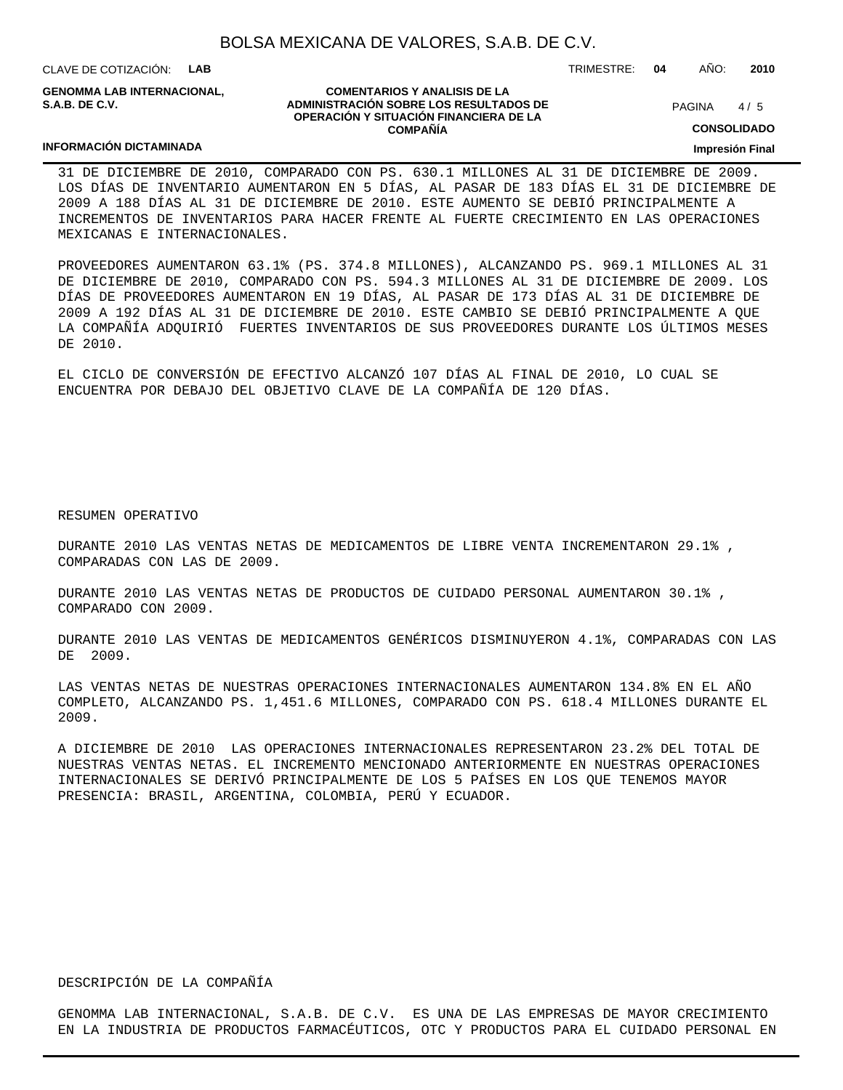CLAVE DE COTIZACIÓN: **LAB**

**INFORMACIÓN DICTAMINADA**

**GENOMMA LAB INTERNACIONAL, S.A.B. DE C.V.**

#### **COMENTARIOS Y ANALISIS DE LA ADMINISTRACIÓN SOBRE LOS RESULTADOS DE OPERACIÓN Y SITUACIÓN FINANCIERA DE LA COMPAÑÍA**

 $4/5$ PAGINA

TRIMESTRE: **04** AÑO: **2010**

**CONSOLIDADO**

**Impresión Final**

31 DE DICIEMBRE DE 2010, COMPARADO CON PS. 630.1 MILLONES AL 31 DE DICIEMBRE DE 2009. LOS DÍAS DE INVENTARIO AUMENTARON EN 5 DÍAS, AL PASAR DE 183 DÍAS EL 31 DE DICIEMBRE DE 2009 A 188 DÍAS AL 31 DE DICIEMBRE DE 2010. ESTE AUMENTO SE DEBIÓ PRINCIPALMENTE A INCREMENTOS DE INVENTARIOS PARA HACER FRENTE AL FUERTE CRECIMIENTO EN LAS OPERACIONES MEXICANAS E INTERNACIONALES.

PROVEEDORES AUMENTARON 63.1% (PS. 374.8 MILLONES), ALCANZANDO PS. 969.1 MILLONES AL 31 DE DICIEMBRE DE 2010, COMPARADO CON PS. 594.3 MILLONES AL 31 DE DICIEMBRE DE 2009. LOS DÍAS DE PROVEEDORES AUMENTARON EN 19 DÍAS, AL PASAR DE 173 DÍAS AL 31 DE DICIEMBRE DE 2009 A 192 DÍAS AL 31 DE DICIEMBRE DE 2010. ESTE CAMBIO SE DEBIÓ PRINCIPALMENTE A QUE LA COMPAÑÍA ADQUIRIÓ FUERTES INVENTARIOS DE SUS PROVEEDORES DURANTE LOS ÚLTIMOS MESES DE 2010.

EL CICLO DE CONVERSIÓN DE EFECTIVO ALCANZÓ 107 DÍAS AL FINAL DE 2010, LO CUAL SE ENCUENTRA POR DEBAJO DEL OBJETIVO CLAVE DE LA COMPAÑÍA DE 120 DÍAS.

RESUMEN OPERATIVO

DURANTE 2010 LAS VENTAS NETAS DE MEDICAMENTOS DE LIBRE VENTA INCREMENTARON 29.1% , COMPARADAS CON LAS DE 2009.

DURANTE 2010 LAS VENTAS NETAS DE PRODUCTOS DE CUIDADO PERSONAL AUMENTARON 30.1% , COMPARADO CON 2009.

DURANTE 2010 LAS VENTAS DE MEDICAMENTOS GENÉRICOS DISMINUYERON 4.1%, COMPARADAS CON LAS DE 2009.

LAS VENTAS NETAS DE NUESTRAS OPERACIONES INTERNACIONALES AUMENTARON 134.8% EN EL AÑO COMPLETO, ALCANZANDO PS. 1,451.6 MILLONES, COMPARADO CON PS. 618.4 MILLONES DURANTE EL 2009.

A DICIEMBRE DE 2010 LAS OPERACIONES INTERNACIONALES REPRESENTARON 23.2% DEL TOTAL DE NUESTRAS VENTAS NETAS. EL INCREMENTO MENCIONADO ANTERIORMENTE EN NUESTRAS OPERACIONES INTERNACIONALES SE DERIVÓ PRINCIPALMENTE DE LOS 5 PAÍSES EN LOS QUE TENEMOS MAYOR PRESENCIA: BRASIL, ARGENTINA, COLOMBIA, PERÚ Y ECUADOR.

### DESCRIPCIÓN DE LA COMPAÑÍA

GENOMMA LAB INTERNACIONAL, S.A.B. DE C.V. ES UNA DE LAS EMPRESAS DE MAYOR CRECIMIENTO EN LA INDUSTRIA DE PRODUCTOS FARMACÉUTICOS, OTC Y PRODUCTOS PARA EL CUIDADO PERSONAL EN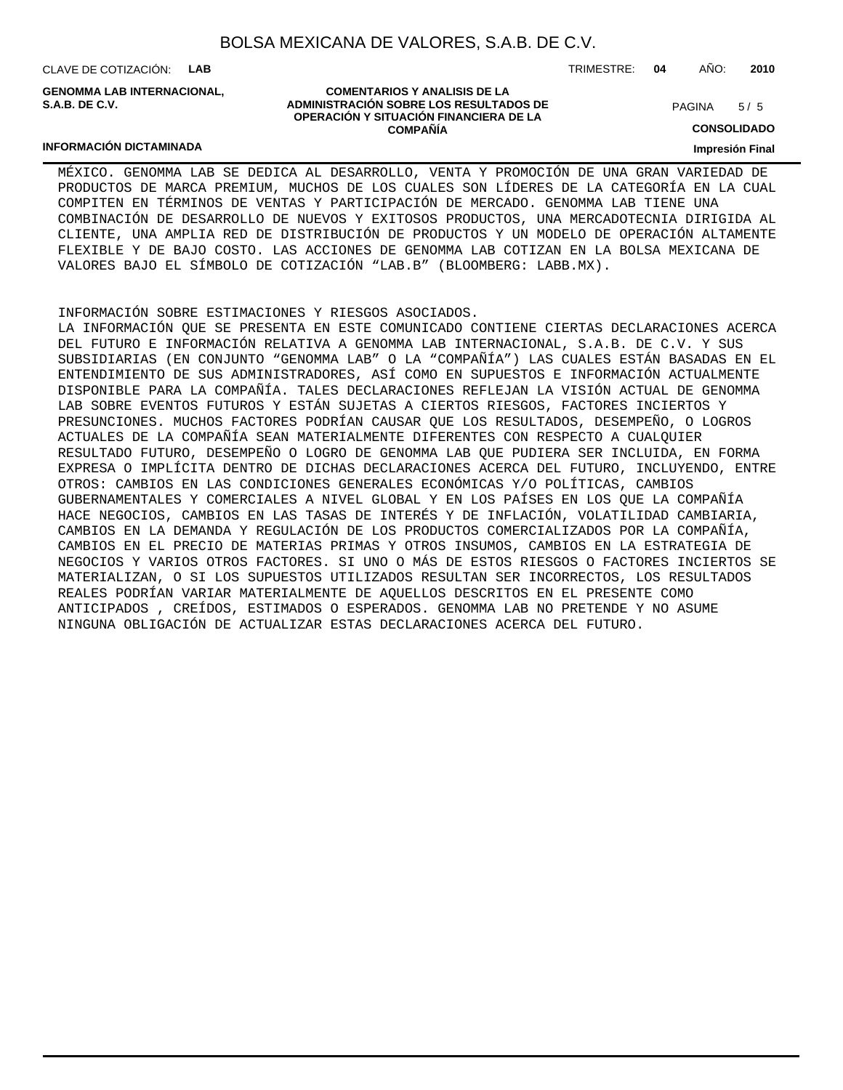CLAVE DE COTIZACIÓN: **LAB**

**INFORMACIÓN DICTAMINADA**

**GENOMMA LAB INTERNACIONAL, S.A.B. DE C.V.**

#### **COMENTARIOS Y ANALISIS DE LA ADMINISTRACIÓN SOBRE LOS RESULTADOS DE OPERACIÓN Y SITUACIÓN FINANCIERA DE LA COMPAÑÍA**

 $5/5$ PAGINA

**CONSOLIDADO**

**Impresión Final**

MÉXICO. GENOMMA LAB SE DEDICA AL DESARROLLO, VENTA Y PROMOCIÓN DE UNA GRAN VARIEDAD DE PRODUCTOS DE MARCA PREMIUM, MUCHOS DE LOS CUALES SON LÍDERES DE LA CATEGORÍA EN LA CUAL COMPITEN EN TÉRMINOS DE VENTAS Y PARTICIPACIÓN DE MERCADO. GENOMMA LAB TIENE UNA COMBINACIÓN DE DESARROLLO DE NUEVOS Y EXITOSOS PRODUCTOS, UNA MERCADOTECNIA DIRIGIDA AL CLIENTE, UNA AMPLIA RED DE DISTRIBUCIÓN DE PRODUCTOS Y UN MODELO DE OPERACIÓN ALTAMENTE FLEXIBLE Y DE BAJO COSTO. LAS ACCIONES DE GENOMMA LAB COTIZAN EN LA BOLSA MEXICANA DE VALORES BAJO EL SÍMBOLO DE COTIZACIÓN "LAB.B" (BLOOMBERG: LABB.MX).

INFORMACIÓN SOBRE ESTIMACIONES Y RIESGOS ASOCIADOS.

LA INFORMACIÓN QUE SE PRESENTA EN ESTE COMUNICADO CONTIENE CIERTAS DECLARACIONES ACERCA DEL FUTURO E INFORMACIÓN RELATIVA A GENOMMA LAB INTERNACIONAL, S.A.B. DE C.V. Y SUS SUBSIDIARIAS (EN CONJUNTO "GENOMMA LAB" O LA "COMPAÑÍA") LAS CUALES ESTÁN BASADAS EN EL ENTENDIMIENTO DE SUS ADMINISTRADORES, ASÍ COMO EN SUPUESTOS E INFORMACIÓN ACTUALMENTE DISPONIBLE PARA LA COMPAÑÍA. TALES DECLARACIONES REFLEJAN LA VISIÓN ACTUAL DE GENOMMA LAB SOBRE EVENTOS FUTUROS Y ESTÁN SUJETAS A CIERTOS RIESGOS, FACTORES INCIERTOS Y PRESUNCIONES. MUCHOS FACTORES PODRÍAN CAUSAR QUE LOS RESULTADOS, DESEMPEÑO, O LOGROS ACTUALES DE LA COMPAÑÍA SEAN MATERIALMENTE DIFERENTES CON RESPECTO A CUALQUIER RESULTADO FUTURO, DESEMPEÑO O LOGRO DE GENOMMA LAB QUE PUDIERA SER INCLUIDA, EN FORMA EXPRESA O IMPLÍCITA DENTRO DE DICHAS DECLARACIONES ACERCA DEL FUTURO, INCLUYENDO, ENTRE OTROS: CAMBIOS EN LAS CONDICIONES GENERALES ECONÓMICAS Y/O POLÍTICAS, CAMBIOS GUBERNAMENTALES Y COMERCIALES A NIVEL GLOBAL Y EN LOS PAÍSES EN LOS QUE LA COMPAÑÍA HACE NEGOCIOS, CAMBIOS EN LAS TASAS DE INTERÉS Y DE INFLACIÓN, VOLATILIDAD CAMBIARIA, CAMBIOS EN LA DEMANDA Y REGULACIÓN DE LOS PRODUCTOS COMERCIALIZADOS POR LA COMPAÑÍA, CAMBIOS EN EL PRECIO DE MATERIAS PRIMAS Y OTROS INSUMOS, CAMBIOS EN LA ESTRATEGIA DE NEGOCIOS Y VARIOS OTROS FACTORES. SI UNO O MÁS DE ESTOS RIESGOS O FACTORES INCIERTOS SE MATERIALIZAN, O SI LOS SUPUESTOS UTILIZADOS RESULTAN SER INCORRECTOS, LOS RESULTADOS REALES PODRÍAN VARIAR MATERIALMENTE DE AQUELLOS DESCRITOS EN EL PRESENTE COMO ANTICIPADOS , CREÍDOS, ESTIMADOS O ESPERADOS. GENOMMA LAB NO PRETENDE Y NO ASUME NINGUNA OBLIGACIÓN DE ACTUALIZAR ESTAS DECLARACIONES ACERCA DEL FUTURO.

TRIMESTRE: **04** AÑO: **2010**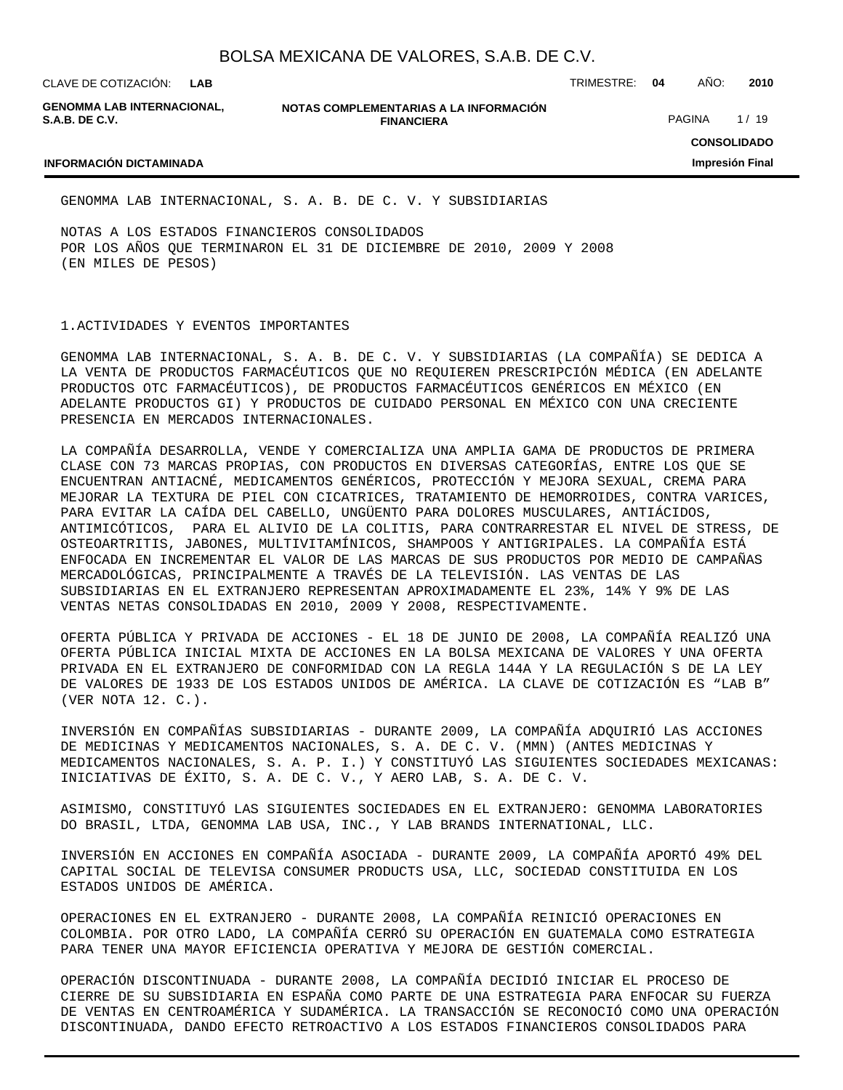**GENOMMA LAB INTERNACIONAL, S.A.B. DE C.V.**

**INFORMACIÓN DICTAMINADA**

**NOTAS COMPLEMENTARIAS A LA INFORMACIÓN FINANCIERA**

PAGINA 1/19

## **CONSOLIDADO**

**Impresión Final**

GENOMMA LAB INTERNACIONAL, S. A. B. DE C. V. Y SUBSIDIARIAS

NOTAS A LOS ESTADOS FINANCIEROS CONSOLIDADOS POR LOS AÑOS QUE TERMINARON EL 31 DE DICIEMBRE DE 2010, 2009 Y 2008 (EN MILES DE PESOS)

### 1. ACTIVIDADES Y EVENTOS IMPORTANTES

GENOMMA LAB INTERNACIONAL, S. A. B. DE C. V. Y SUBSIDIARIAS (LA COMPAÑÍA) SE DEDICA A LA VENTA DE PRODUCTOS FARMACÉUTICOS QUE NO REQUIEREN PRESCRIPCIÓN MÉDICA (EN ADELANTE PRODUCTOS OTC FARMACÉUTICOS), DE PRODUCTOS FARMACÉUTICOS GENÉRICOS EN MÉXICO (EN ADELANTE PRODUCTOS GI) Y PRODUCTOS DE CUIDADO PERSONAL EN MÉXICO CON UNA CRECIENTE PRESENCIA EN MERCADOS INTERNACIONALES.

LA COMPAÑÍA DESARROLLA, VENDE Y COMERCIALIZA UNA AMPLIA GAMA DE PRODUCTOS DE PRIMERA CLASE CON 73 MARCAS PROPIAS, CON PRODUCTOS EN DIVERSAS CATEGORÍAS, ENTRE LOS QUE SE ENCUENTRAN ANTIACNÉ, MEDICAMENTOS GENÉRICOS, PROTECCIÓN Y MEJORA SEXUAL, CREMA PARA MEJORAR LA TEXTURA DE PIEL CON CICATRICES, TRATAMIENTO DE HEMORROIDES, CONTRA VARICES, PARA EVITAR LA CAÍDA DEL CABELLO, UNGÜENTO PARA DOLORES MUSCULARES, ANTIÁCIDOS, ANTIMICÓTICOS, PARA EL ALIVIO DE LA COLITIS, PARA CONTRARRESTAR EL NIVEL DE STRESS, DE OSTEOARTRITIS, JABONES, MULTIVITAMÍNICOS, SHAMPOOS Y ANTIGRIPALES. LA COMPAÑÍA ESTÁ ENFOCADA EN INCREMENTAR EL VALOR DE LAS MARCAS DE SUS PRODUCTOS POR MEDIO DE CAMPAÑAS MERCADOLÓGICAS, PRINCIPALMENTE A TRAVÉS DE LA TELEVISIÓN. LAS VENTAS DE LAS SUBSIDIARIAS EN EL EXTRANJERO REPRESENTAN APROXIMADAMENTE EL 23%, 14% Y 9% DE LAS VENTAS NETAS CONSOLIDADAS EN 2010, 2009 Y 2008, RESPECTIVAMENTE.

OFERTA PÚBLICA Y PRIVADA DE ACCIONES - EL 18 DE JUNIO DE 2008, LA COMPAÑÍA REALIZÓ UNA OFERTA PÚBLICA INICIAL MIXTA DE ACCIONES EN LA BOLSA MEXICANA DE VALORES Y UNA OFERTA PRIVADA EN EL EXTRANJERO DE CONFORMIDAD CON LA REGLA 144A Y LA REGULACIÓN S DE LA LEY DE VALORES DE 1933 DE LOS ESTADOS UNIDOS DE AMÉRICA. LA CLAVE DE COTIZACIÓN ES "LAB B" (VER NOTA 12. C.).

INVERSIÓN EN COMPAÑÍAS SUBSIDIARIAS - DURANTE 2009, LA COMPAÑÍA ADQUIRIÓ LAS ACCIONES DE MEDICINAS Y MEDICAMENTOS NACIONALES, S. A. DE C. V. (MMN) (ANTES MEDICINAS Y MEDICAMENTOS NACIONALES, S. A. P. I.) Y CONSTITUYÓ LAS SIGUIENTES SOCIEDADES MEXICANAS: INICIATIVAS DE ÉXITO, S. A. DE C. V., Y AERO LAB, S. A. DE C. V.

ASIMISMO, CONSTITUYÓ LAS SIGUIENTES SOCIEDADES EN EL EXTRANJERO: GENOMMA LABORATORIES DO BRASIL, LTDA, GENOMMA LAB USA, INC., Y LAB BRANDS INTERNATIONAL, LLC.

INVERSIÓN EN ACCIONES EN COMPAÑÍA ASOCIADA - DURANTE 2009, LA COMPAÑÍA APORTÓ 49% DEL CAPITAL SOCIAL DE TELEVISA CONSUMER PRODUCTS USA, LLC, SOCIEDAD CONSTITUIDA EN LOS ESTADOS UNIDOS DE AMÉRICA.

OPERACIONES EN EL EXTRANJERO - DURANTE 2008, LA COMPAÑÍA REINICIÓ OPERACIONES EN COLOMBIA. POR OTRO LADO, LA COMPAÑÍA CERRÓ SU OPERACIÓN EN GUATEMALA COMO ESTRATEGIA PARA TENER UNA MAYOR EFICIENCIA OPERATIVA Y MEJORA DE GESTIÓN COMERCIAL.

OPERACIÓN DISCONTINUADA - DURANTE 2008, LA COMPAÑÍA DECIDIÓ INICIAR EL PROCESO DE CIERRE DE SU SUBSIDIARIA EN ESPAÑA COMO PARTE DE UNA ESTRATEGIA PARA ENFOCAR SU FUERZA DE VENTAS EN CENTROAMÉRICA Y SUDAMÉRICA. LA TRANSACCIÓN SE RECONOCIÓ COMO UNA OPERACIÓN DISCONTINUADA, DANDO EFECTO RETROACTIVO A LOS ESTADOS FINANCIEROS CONSOLIDADOS PARA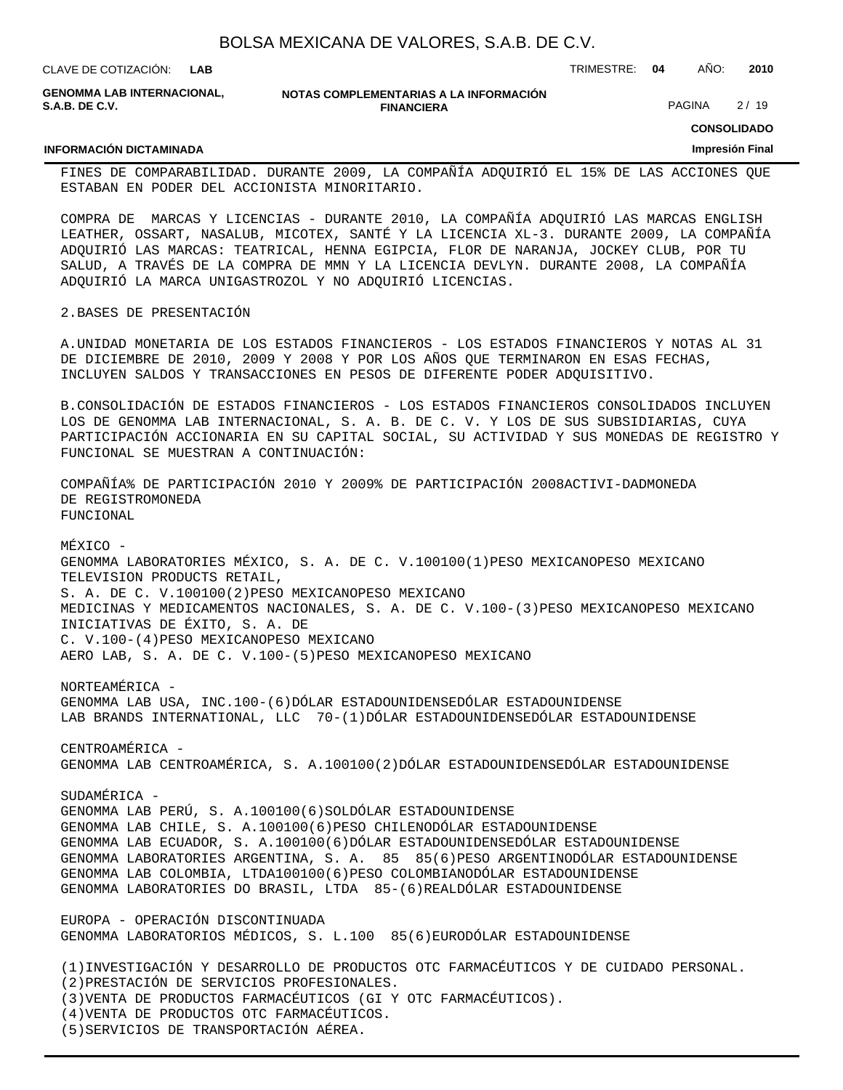| CLAVE DE COTIZACIÓN: LAB          |                                        | TRIMESTRE: 04 |               | AÑO: | 2010 |
|-----------------------------------|----------------------------------------|---------------|---------------|------|------|
| <b>GENOMMA LAB INTERNACIONAL.</b> | NOTAS COMPLEMENTARIAS A LA INFORMACIÓN |               |               |      |      |
| <b>S.A.B. DE C.V.</b>             | <b>FINANCIERA</b>                      |               | <b>PAGINA</b> |      | 2/19 |

## PAGINA 2/19

### **CONSOLIDADO**

## **INFORMACIÓN DICTAMINADA**

**Impresión Final**

FINES DE COMPARABILIDAD. DURANTE 2009, LA COMPAÑÍA ADQUIRIÓ EL 15% DE LAS ACCIONES QUE ESTABAN EN PODER DEL ACCIONISTA MINORITARIO.

COMPRA DE MARCAS Y LICENCIAS - DURANTE 2010, LA COMPAÑÍA ADQUIRIÓ LAS MARCAS ENGLISH LEATHER, OSSART, NASALUB, MICOTEX, SANTÉ Y LA LICENCIA XL-3. DURANTE 2009, LA COMPAÑÍA ADQUIRIÓ LAS MARCAS: TEATRICAL, HENNA EGIPCIA, FLOR DE NARANJA, JOCKEY CLUB, POR TU SALUD, A TRAVÉS DE LA COMPRA DE MMN Y LA LICENCIA DEVLYN. DURANTE 2008, LA COMPAÑÍA ADQUIRIÓ LA MARCA UNIGASTROZOL Y NO ADQUIRIÓ LICENCIAS.

2. BASES DE PRESENTACIÓN

A. UNIDAD MONETARIA DE LOS ESTADOS FINANCIEROS - LOS ESTADOS FINANCIEROS Y NOTAS AL 31 DE DICIEMBRE DE 2010, 2009 Y 2008 Y POR LOS AÑOS QUE TERMINARON EN ESAS FECHAS, INCLUYEN SALDOS Y TRANSACCIONES EN PESOS DE DIFERENTE PODER ADQUISITIVO.

B. CONSOLIDACIÓN DE ESTADOS FINANCIEROS - LOS ESTADOS FINANCIEROS CONSOLIDADOS INCLUYEN LOS DE GENOMMA LAB INTERNACIONAL, S. A. B. DE C. V. Y LOS DE SUS SUBSIDIARIAS, CUYA PARTICIPACIÓN ACCIONARIA EN SU CAPITAL SOCIAL, SU ACTIVIDAD Y SUS MONEDAS DE REGISTRO Y FUNCIONAL SE MUESTRAN A CONTINUACIÓN:

COMPAÑÍA % DE PARTICIPACIÓN 2010 Y 2009 % DE PARTICIPACIÓN 2008 ACTIVI-DAD MONEDA DE REGISTRO MONEDA FUNCIONAL

MÉXICO - GENOMMA LABORATORIES MÉXICO, S. A. DE C. V. 100 100 (1) PESO MEXICANO PESO MEXICANO TELEVISION PRODUCTS RETAIL, S. A. DE C. V. 100 100 (2) PESO MEXICANO PESO MEXICANO MEDICINAS Y MEDICAMENTOS NACIONALES, S. A. DE C. V. 100 - (3) PESO MEXICANO PESO MEXICANO INICIATIVAS DE ÉXITO, S. A. DE C. V. 100 - (4) PESO MEXICANO PESO MEXICANO AERO LAB, S. A. DE C. V. 100 - (5) PESO MEXICANO PESO MEXICANO

NORTEAMÉRICA - GENOMMA LAB USA, INC. 100 - (6) DÓLAR ESTADOUNIDENSE DÓLAR ESTADOUNIDENSE LAB BRANDS INTERNATIONAL, LLC 70 - (1) DÓLAR ESTADOUNIDENSE DÓLAR ESTADOUNIDENSE

CENTROAMÉRICA - GENOMMA LAB CENTROAMÉRICA, S. A. 100 100 (2) DÓLAR ESTADOUNIDENSE DÓLAR ESTADOUNIDENSE

SUDAMÉRICA - GENOMMA LAB PERÚ, S. A. 100 100 (6) SOL DÓLAR ESTADOUNIDENSE GENOMMA LAB CHILE, S. A. 100 100 (6) PESO CHILENO DÓLAR ESTADOUNIDENSE GENOMMA LAB ECUADOR, S. A. 100 100 (6) DÓLAR ESTADOUNIDENSE DÓLAR ESTADOUNIDENSE GENOMMA LABORATORIES ARGENTINA, S. A. 85 85 (6) PESO ARGENTINO DÓLAR ESTADOUNIDENSE GENOMMA LAB COLOMBIA, LTDA 100 100 (6) PESO COLOMBIANO DÓLAR ESTADOUNIDENSE GENOMMA LABORATORIES DO BRASIL, LTDA 85 - (6) REAL DÓLAR ESTADOUNIDENSE

EUROPA - OPERACIÓN DISCONTINUADA GENOMMA LABORATORIOS MÉDICOS, S. L. 100 85 (6) EURO DÓLAR ESTADOUNIDENSE (1) INVESTIGACIÓN Y DESARROLLO DE PRODUCTOS OTC FARMACÉUTICOS Y DE CUIDADO PERSONAL. (2) PRESTACIÓN DE SERVICIOS PROFESIONALES.

- (3) VENTA DE PRODUCTOS FARMACÉUTICOS (GI Y OTC FARMACÉUTICOS).
- (4) VENTA DE PRODUCTOS OTC FARMACÉUTICOS.
- (5) SERVICIOS DE TRANSPORTACIÓN AÉREA.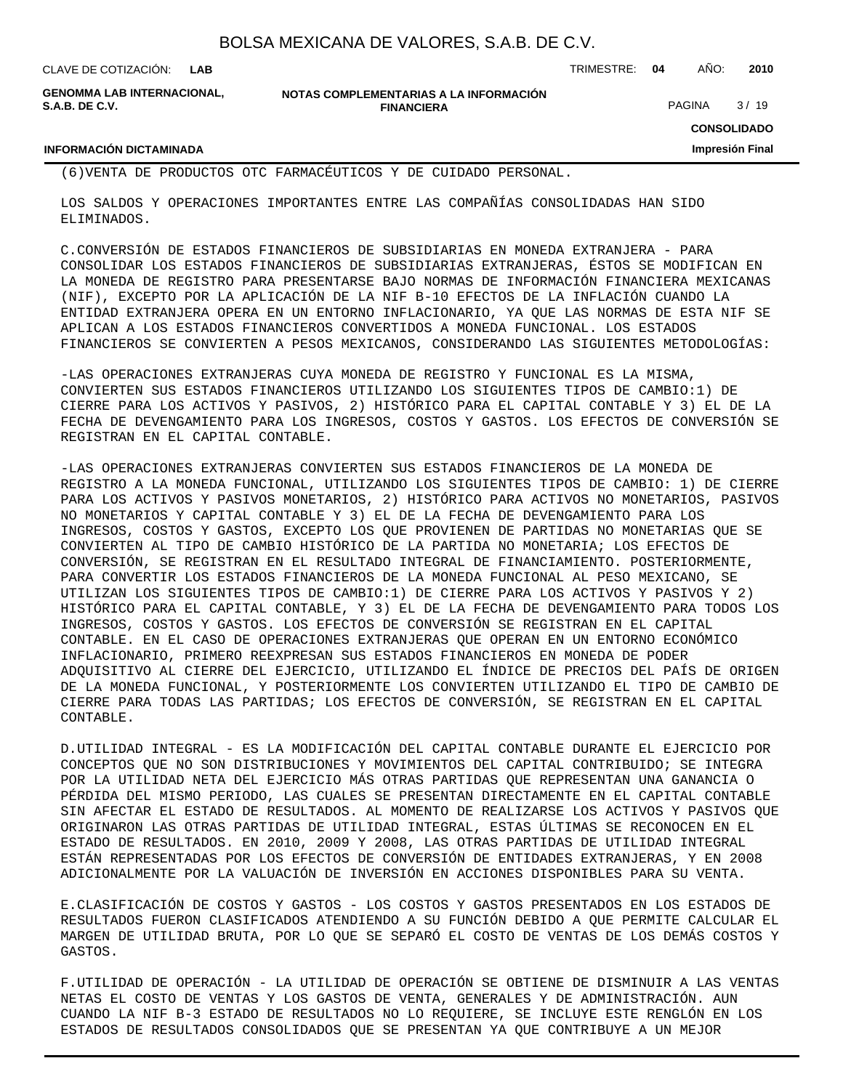**GENOMMA LAB INTERNACIONAL, S.A.B. DE C.V.**

**NOTAS COMPLEMENTARIAS A LA INFORMACIÓN FINANCIERA**

PAGINA 3/19

**CONSOLIDADO**

**Impresión Final**

#### **INFORMACIÓN DICTAMINADA**

(6) VENTA DE PRODUCTOS OTC FARMACÉUTICOS Y DE CUIDADO PERSONAL.

LOS SALDOS Y OPERACIONES IMPORTANTES ENTRE LAS COMPAÑÍAS CONSOLIDADAS HAN SIDO ELIMINADOS.

C. CONVERSIÓN DE ESTADOS FINANCIEROS DE SUBSIDIARIAS EN MONEDA EXTRANJERA - PARA CONSOLIDAR LOS ESTADOS FINANCIEROS DE SUBSIDIARIAS EXTRANJERAS, ÉSTOS SE MODIFICAN EN LA MONEDA DE REGISTRO PARA PRESENTARSE BAJO NORMAS DE INFORMACIÓN FINANCIERA MEXICANAS (NIF), EXCEPTO POR LA APLICACIÓN DE LA NIF B-10 EFECTOS DE LA INFLACIÓN CUANDO LA ENTIDAD EXTRANJERA OPERA EN UN ENTORNO INFLACIONARIO, YA QUE LAS NORMAS DE ESTA NIF SE APLICAN A LOS ESTADOS FINANCIEROS CONVERTIDOS A MONEDA FUNCIONAL. LOS ESTADOS FINANCIEROS SE CONVIERTEN A PESOS MEXICANOS, CONSIDERANDO LAS SIGUIENTES METODOLOGÍAS:

- LAS OPERACIONES EXTRANJERAS CUYA MONEDA DE REGISTRO Y FUNCIONAL ES LA MISMA, CONVIERTEN SUS ESTADOS FINANCIEROS UTILIZANDO LOS SIGUIENTES TIPOS DE CAMBIO:1) DE CIERRE PARA LOS ACTIVOS Y PASIVOS, 2) HISTÓRICO PARA EL CAPITAL CONTABLE Y 3) EL DE LA FECHA DE DEVENGAMIENTO PARA LOS INGRESOS, COSTOS Y GASTOS. LOS EFECTOS DE CONVERSIÓN SE REGISTRAN EN EL CAPITAL CONTABLE.

- LAS OPERACIONES EXTRANJERAS CONVIERTEN SUS ESTADOS FINANCIEROS DE LA MONEDA DE REGISTRO A LA MONEDA FUNCIONAL, UTILIZANDO LOS SIGUIENTES TIPOS DE CAMBIO: 1) DE CIERRE PARA LOS ACTIVOS Y PASIVOS MONETARIOS, 2) HISTÓRICO PARA ACTIVOS NO MONETARIOS, PASIVOS NO MONETARIOS Y CAPITAL CONTABLE Y 3) EL DE LA FECHA DE DEVENGAMIENTO PARA LOS INGRESOS, COSTOS Y GASTOS, EXCEPTO LOS QUE PROVIENEN DE PARTIDAS NO MONETARIAS QUE SE CONVIERTEN AL TIPO DE CAMBIO HISTÓRICO DE LA PARTIDA NO MONETARIA; LOS EFECTOS DE CONVERSIÓN, SE REGISTRAN EN EL RESULTADO INTEGRAL DE FINANCIAMIENTO. POSTERIORMENTE, PARA CONVERTIR LOS ESTADOS FINANCIEROS DE LA MONEDA FUNCIONAL AL PESO MEXICANO, SE UTILIZAN LOS SIGUIENTES TIPOS DE CAMBIO:1) DE CIERRE PARA LOS ACTIVOS Y PASIVOS Y 2) HISTÓRICO PARA EL CAPITAL CONTABLE, Y 3) EL DE LA FECHA DE DEVENGAMIENTO PARA TODOS LOS INGRESOS, COSTOS Y GASTOS. LOS EFECTOS DE CONVERSIÓN SE REGISTRAN EN EL CAPITAL CONTABLE. EN EL CASO DE OPERACIONES EXTRANJERAS QUE OPERAN EN UN ENTORNO ECONÓMICO INFLACIONARIO, PRIMERO REEXPRESAN SUS ESTADOS FINANCIEROS EN MONEDA DE PODER ADQUISITIVO AL CIERRE DEL EJERCICIO, UTILIZANDO EL ÍNDICE DE PRECIOS DEL PAÍS DE ORIGEN DE LA MONEDA FUNCIONAL, Y POSTERIORMENTE LOS CONVIERTEN UTILIZANDO EL TIPO DE CAMBIO DE CIERRE PARA TODAS LAS PARTIDAS; LOS EFECTOS DE CONVERSIÓN, SE REGISTRAN EN EL CAPITAL CONTABLE.

D. UTILIDAD INTEGRAL - ES LA MODIFICACIÓN DEL CAPITAL CONTABLE DURANTE EL EJERCICIO POR CONCEPTOS QUE NO SON DISTRIBUCIONES Y MOVIMIENTOS DEL CAPITAL CONTRIBUIDO; SE INTEGRA POR LA UTILIDAD NETA DEL EJERCICIO MÁS OTRAS PARTIDAS QUE REPRESENTAN UNA GANANCIA O PÉRDIDA DEL MISMO PERIODO, LAS CUALES SE PRESENTAN DIRECTAMENTE EN EL CAPITAL CONTABLE SIN AFECTAR EL ESTADO DE RESULTADOS. AL MOMENTO DE REALIZARSE LOS ACTIVOS Y PASIVOS QUE ORIGINARON LAS OTRAS PARTIDAS DE UTILIDAD INTEGRAL, ESTAS ÚLTIMAS SE RECONOCEN EN EL ESTADO DE RESULTADOS. EN 2010, 2009 Y 2008, LAS OTRAS PARTIDAS DE UTILIDAD INTEGRAL ESTÁN REPRESENTADAS POR LOS EFECTOS DE CONVERSIÓN DE ENTIDADES EXTRANJERAS, Y EN 2008 ADICIONALMENTE POR LA VALUACIÓN DE INVERSIÓN EN ACCIONES DISPONIBLES PARA SU VENTA.

E. CLASIFICACIÓN DE COSTOS Y GASTOS - LOS COSTOS Y GASTOS PRESENTADOS EN LOS ESTADOS DE RESULTADOS FUERON CLASIFICADOS ATENDIENDO A SU FUNCIÓN DEBIDO A QUE PERMITE CALCULAR EL MARGEN DE UTILIDAD BRUTA, POR LO QUE SE SEPARÓ EL COSTO DE VENTAS DE LOS DEMÁS COSTOS Y GASTOS.

F. UTILIDAD DE OPERACIÓN - LA UTILIDAD DE OPERACIÓN SE OBTIENE DE DISMINUIR A LAS VENTAS NETAS EL COSTO DE VENTAS Y LOS GASTOS DE VENTA, GENERALES Y DE ADMINISTRACIÓN. AUN CUANDO LA NIF B-3 ESTADO DE RESULTADOS NO LO REQUIERE, SE INCLUYE ESTE RENGLÓN EN LOS ESTADOS DE RESULTADOS CONSOLIDADOS QUE SE PRESENTAN YA QUE CONTRIBUYE A UN MEJOR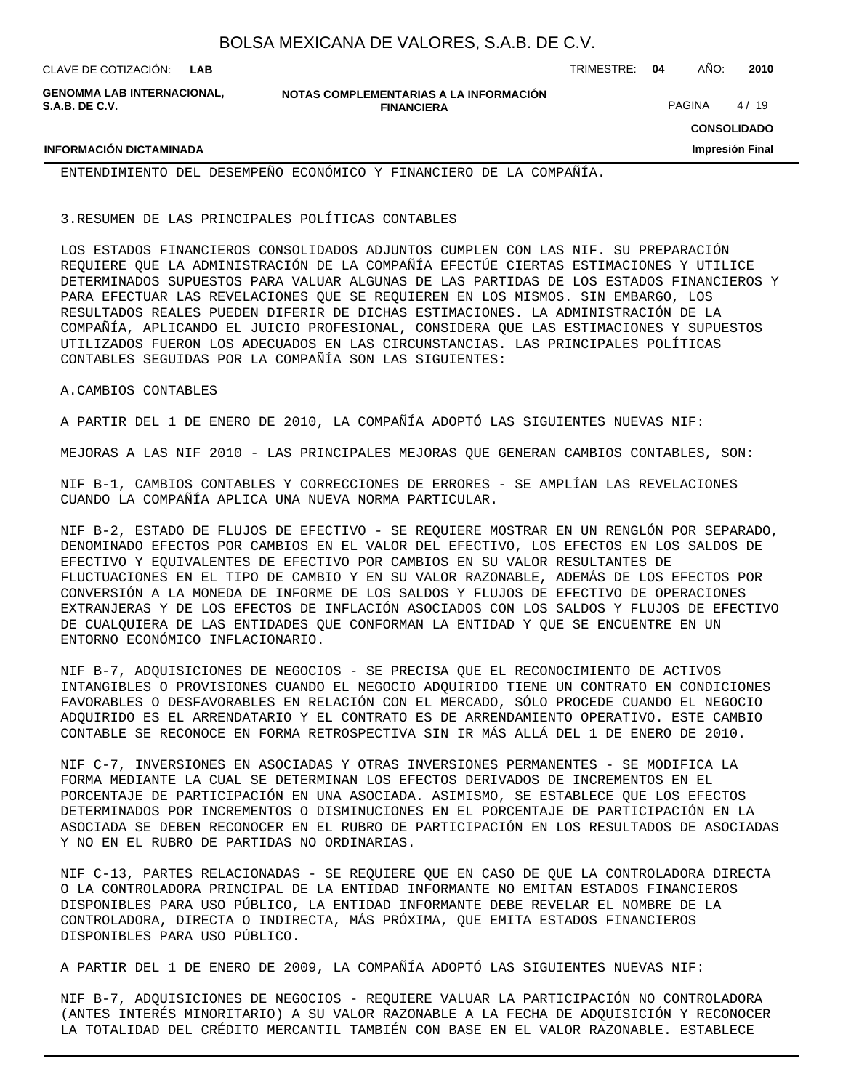| BOLSA MEXICANA DE VALORES, S.A.B. DE C.V. |  |  |
|-------------------------------------------|--|--|
|-------------------------------------------|--|--|

**GENOMMA LAB INTERNACIONAL, S.A.B. DE C.V.**

**NOTAS COMPLEMENTARIAS A LA INFORMACIÓN FINANCIERA**

PAGINA 4/19

**CONSOLIDADO**

**Impresión Final**

#### **INFORMACIÓN DICTAMINADA**

ENTENDIMIENTO DEL DESEMPEÑO ECONÓMICO Y FINANCIERO DE LA COMPAÑÍA.

#### 3. RESUMEN DE LAS PRINCIPALES POLÍTICAS CONTABLES

LOS ESTADOS FINANCIEROS CONSOLIDADOS ADJUNTOS CUMPLEN CON LAS NIF. SU PREPARACIÓN REQUIERE QUE LA ADMINISTRACIÓN DE LA COMPAÑÍA EFECTÚE CIERTAS ESTIMACIONES Y UTILICE DETERMINADOS SUPUESTOS PARA VALUAR ALGUNAS DE LAS PARTIDAS DE LOS ESTADOS FINANCIEROS Y PARA EFECTUAR LAS REVELACIONES QUE SE REQUIEREN EN LOS MISMOS. SIN EMBARGO, LOS RESULTADOS REALES PUEDEN DIFERIR DE DICHAS ESTIMACIONES. LA ADMINISTRACIÓN DE LA COMPAÑÍA, APLICANDO EL JUICIO PROFESIONAL, CONSIDERA QUE LAS ESTIMACIONES Y SUPUESTOS UTILIZADOS FUERON LOS ADECUADOS EN LAS CIRCUNSTANCIAS. LAS PRINCIPALES POLÍTICAS CONTABLES SEGUIDAS POR LA COMPAÑÍA SON LAS SIGUIENTES:

#### A. CAMBIOS CONTABLES

A PARTIR DEL 1 DE ENERO DE 2010, LA COMPAÑÍA ADOPTÓ LAS SIGUIENTES NUEVAS NIF:

MEJORAS A LAS NIF 2010 - LAS PRINCIPALES MEJORAS QUE GENERAN CAMBIOS CONTABLES, SON:

NIF B-1, CAMBIOS CONTABLES Y CORRECCIONES DE ERRORES - SE AMPLÍAN LAS REVELACIONES CUANDO LA COMPAÑÍA APLICA UNA NUEVA NORMA PARTICULAR.

NIF B-2, ESTADO DE FLUJOS DE EFECTIVO - SE REQUIERE MOSTRAR EN UN RENGLÓN POR SEPARADO, DENOMINADO EFECTOS POR CAMBIOS EN EL VALOR DEL EFECTIVO, LOS EFECTOS EN LOS SALDOS DE EFECTIVO Y EQUIVALENTES DE EFECTIVO POR CAMBIOS EN SU VALOR RESULTANTES DE FLUCTUACIONES EN EL TIPO DE CAMBIO Y EN SU VALOR RAZONABLE, ADEMÁS DE LOS EFECTOS POR CONVERSIÓN A LA MONEDA DE INFORME DE LOS SALDOS Y FLUJOS DE EFECTIVO DE OPERACIONES EXTRANJERAS Y DE LOS EFECTOS DE INFLACIÓN ASOCIADOS CON LOS SALDOS Y FLUJOS DE EFECTIVO DE CUALQUIERA DE LAS ENTIDADES QUE CONFORMAN LA ENTIDAD Y QUE SE ENCUENTRE EN UN ENTORNO ECONÓMICO INFLACIONARIO.

NIF B-7, ADQUISICIONES DE NEGOCIOS - SE PRECISA QUE EL RECONOCIMIENTO DE ACTIVOS INTANGIBLES O PROVISIONES CUANDO EL NEGOCIO ADQUIRIDO TIENE UN CONTRATO EN CONDICIONES FAVORABLES O DESFAVORABLES EN RELACIÓN CON EL MERCADO, SÓLO PROCEDE CUANDO EL NEGOCIO ADQUIRIDO ES EL ARRENDATARIO Y EL CONTRATO ES DE ARRENDAMIENTO OPERATIVO. ESTE CAMBIO CONTABLE SE RECONOCE EN FORMA RETROSPECTIVA SIN IR MÁS ALLÁ DEL 1 DE ENERO DE 2010.

NIF C-7, INVERSIONES EN ASOCIADAS Y OTRAS INVERSIONES PERMANENTES - SE MODIFICA LA FORMA MEDIANTE LA CUAL SE DETERMINAN LOS EFECTOS DERIVADOS DE INCREMENTOS EN EL PORCENTAJE DE PARTICIPACIÓN EN UNA ASOCIADA. ASIMISMO, SE ESTABLECE QUE LOS EFECTOS DETERMINADOS POR INCREMENTOS O DISMINUCIONES EN EL PORCENTAJE DE PARTICIPACIÓN EN LA ASOCIADA SE DEBEN RECONOCER EN EL RUBRO DE PARTICIPACIÓN EN LOS RESULTADOS DE ASOCIADAS Y NO EN EL RUBRO DE PARTIDAS NO ORDINARIAS.

NIF C-13, PARTES RELACIONADAS - SE REQUIERE QUE EN CASO DE QUE LA CONTROLADORA DIRECTA O LA CONTROLADORA PRINCIPAL DE LA ENTIDAD INFORMANTE NO EMITAN ESTADOS FINANCIEROS DISPONIBLES PARA USO PÚBLICO, LA ENTIDAD INFORMANTE DEBE REVELAR EL NOMBRE DE LA CONTROLADORA, DIRECTA O INDIRECTA, MÁS PRÓXIMA, QUE EMITA ESTADOS FINANCIEROS DISPONIBLES PARA USO PÚBLICO.

A PARTIR DEL 1 DE ENERO DE 2009, LA COMPAÑÍA ADOPTÓ LAS SIGUIENTES NUEVAS NIF:

NIF B-7, ADQUISICIONES DE NEGOCIOS - REQUIERE VALUAR LA PARTICIPACIÓN NO CONTROLADORA (ANTES INTERÉS MINORITARIO) A SU VALOR RAZONABLE A LA FECHA DE ADQUISICIÓN Y RECONOCER LA TOTALIDAD DEL CRÉDITO MERCANTIL TAMBIÉN CON BASE EN EL VALOR RAZONABLE. ESTABLECE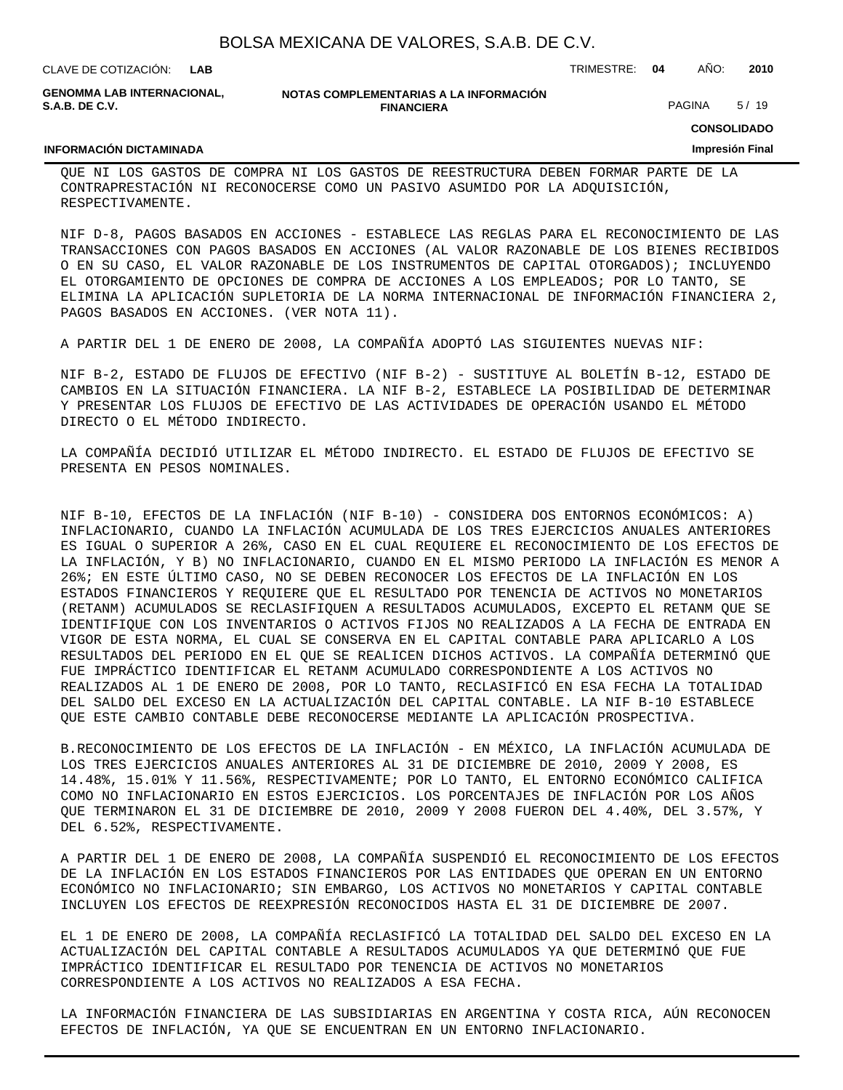| BOLSA MEXICANA DE VALORES, S.A.B. DE C.V. |  |  |  |
|-------------------------------------------|--|--|--|
|-------------------------------------------|--|--|--|

**GENOMMA LAB INTERNACIONAL, S.A.B. DE C.V.**

**NOTAS COMPLEMENTARIAS A LA INFORMACIÓN FINANCIERA**

PAGINA 5/19

**CONSOLIDADO Impresión Final**

#### **INFORMACIÓN DICTAMINADA**

QUE NI LOS GASTOS DE COMPRA NI LOS GASTOS DE REESTRUCTURA DEBEN FORMAR PARTE DE LA CONTRAPRESTACIÓN NI RECONOCERSE COMO UN PASIVO ASUMIDO POR LA ADQUISICIÓN, RESPECTIVAMENTE.

NIF D-8, PAGOS BASADOS EN ACCIONES - ESTABLECE LAS REGLAS PARA EL RECONOCIMIENTO DE LAS TRANSACCIONES CON PAGOS BASADOS EN ACCIONES (AL VALOR RAZONABLE DE LOS BIENES RECIBIDOS O EN SU CASO, EL VALOR RAZONABLE DE LOS INSTRUMENTOS DE CAPITAL OTORGADOS); INCLUYENDO EL OTORGAMIENTO DE OPCIONES DE COMPRA DE ACCIONES A LOS EMPLEADOS; POR LO TANTO, SE ELIMINA LA APLICACIÓN SUPLETORIA DE LA NORMA INTERNACIONAL DE INFORMACIÓN FINANCIERA 2, PAGOS BASADOS EN ACCIONES. (VER NOTA 11).

A PARTIR DEL 1 DE ENERO DE 2008, LA COMPAÑÍA ADOPTÓ LAS SIGUIENTES NUEVAS NIF:

NIF B-2, ESTADO DE FLUJOS DE EFECTIVO (NIF B-2) - SUSTITUYE AL BOLETÍN B-12, ESTADO DE CAMBIOS EN LA SITUACIÓN FINANCIERA. LA NIF B-2, ESTABLECE LA POSIBILIDAD DE DETERMINAR Y PRESENTAR LOS FLUJOS DE EFECTIVO DE LAS ACTIVIDADES DE OPERACIÓN USANDO EL MÉTODO DIRECTO O EL MÉTODO INDIRECTO.

LA COMPAÑÍA DECIDIÓ UTILIZAR EL MÉTODO INDIRECTO. EL ESTADO DE FLUJOS DE EFECTIVO SE PRESENTA EN PESOS NOMINALES.

NIF B-10, EFECTOS DE LA INFLACIÓN (NIF B-10) - CONSIDERA DOS ENTORNOS ECONÓMICOS: A) INFLACIONARIO, CUANDO LA INFLACIÓN ACUMULADA DE LOS TRES EJERCICIOS ANUALES ANTERIORES ES IGUAL O SUPERIOR A 26%, CASO EN EL CUAL REQUIERE EL RECONOCIMIENTO DE LOS EFECTOS DE LA INFLACIÓN, Y B) NO INFLACIONARIO, CUANDO EN EL MISMO PERIODO LA INFLACIÓN ES MENOR A 26%; EN ESTE ÚLTIMO CASO, NO SE DEBEN RECONOCER LOS EFECTOS DE LA INFLACIÓN EN LOS ESTADOS FINANCIEROS Y REQUIERE QUE EL RESULTADO POR TENENCIA DE ACTIVOS NO MONETARIOS (RETANM) ACUMULADOS SE RECLASIFIQUEN A RESULTADOS ACUMULADOS, EXCEPTO EL RETANM QUE SE IDENTIFIQUE CON LOS INVENTARIOS O ACTIVOS FIJOS NO REALIZADOS A LA FECHA DE ENTRADA EN VIGOR DE ESTA NORMA, EL CUAL SE CONSERVA EN EL CAPITAL CONTABLE PARA APLICARLO A LOS RESULTADOS DEL PERIODO EN EL QUE SE REALICEN DICHOS ACTIVOS. LA COMPAÑÍA DETERMINÓ QUE FUE IMPRÁCTICO IDENTIFICAR EL RETANM ACUMULADO CORRESPONDIENTE A LOS ACTIVOS NO REALIZADOS AL 1 DE ENERO DE 2008, POR LO TANTO, RECLASIFICÓ EN ESA FECHA LA TOTALIDAD DEL SALDO DEL EXCESO EN LA ACTUALIZACIÓN DEL CAPITAL CONTABLE. LA NIF B-10 ESTABLECE QUE ESTE CAMBIO CONTABLE DEBE RECONOCERSE MEDIANTE LA APLICACIÓN PROSPECTIVA.

B. RECONOCIMIENTO DE LOS EFECTOS DE LA INFLACIÓN - EN MÉXICO, LA INFLACIÓN ACUMULADA DE LOS TRES EJERCICIOS ANUALES ANTERIORES AL 31 DE DICIEMBRE DE 2010, 2009 Y 2008, ES 14.48%, 15.01% Y 11.56%, RESPECTIVAMENTE; POR LO TANTO, EL ENTORNO ECONÓMICO CALIFICA COMO NO INFLACIONARIO EN ESTOS EJERCICIOS. LOS PORCENTAJES DE INFLACIÓN POR LOS AÑOS QUE TERMINARON EL 31 DE DICIEMBRE DE 2010, 2009 Y 2008 FUERON DEL 4.40%, DEL 3.57%, Y DEL 6.52%, RESPECTIVAMENTE.

A PARTIR DEL 1 DE ENERO DE 2008, LA COMPAÑÍA SUSPENDIÓ EL RECONOCIMIENTO DE LOS EFECTOS DE LA INFLACIÓN EN LOS ESTADOS FINANCIEROS POR LAS ENTIDADES QUE OPERAN EN UN ENTORNO ECONÓMICO NO INFLACIONARIO; SIN EMBARGO, LOS ACTIVOS NO MONETARIOS Y CAPITAL CONTABLE INCLUYEN LOS EFECTOS DE REEXPRESIÓN RECONOCIDOS HASTA EL 31 DE DICIEMBRE DE 2007.

EL 1 DE ENERO DE 2008, LA COMPAÑÍA RECLASIFICÓ LA TOTALIDAD DEL SALDO DEL EXCESO EN LA ACTUALIZACIÓN DEL CAPITAL CONTABLE A RESULTADOS ACUMULADOS YA QUE DETERMINÓ QUE FUE IMPRÁCTICO IDENTIFICAR EL RESULTADO POR TENENCIA DE ACTIVOS NO MONETARIOS CORRESPONDIENTE A LOS ACTIVOS NO REALIZADOS A ESA FECHA.

LA INFORMACIÓN FINANCIERA DE LAS SUBSIDIARIAS EN ARGENTINA Y COSTA RICA, AÚN RECONOCEN EFECTOS DE INFLACIÓN, YA QUE SE ENCUENTRAN EN UN ENTORNO INFLACIONARIO.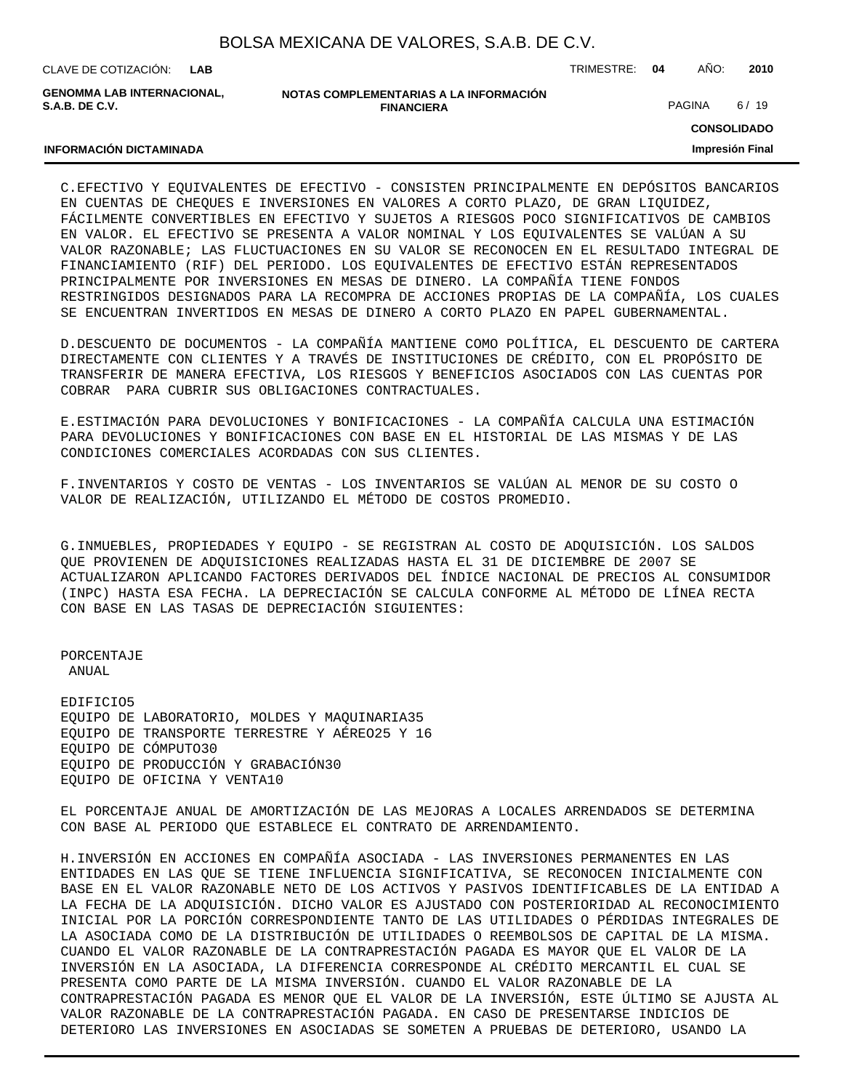**LAB**

CLAVE DE COTIZACIÓN: TRIMESTRE: **04** AÑO: **2010**

**GENOMMA LAB INTERNACIONAL, S.A.B. DE C.V.**

**INFORMACIÓN DICTAMINADA**

**NOTAS COMPLEMENTARIAS A LA INFORMACIÓN FINANCIERA**

PAGINA 6/19

**CONSOLIDADO**

**Impresión Final**

C. EFECTIVO Y EQUIVALENTES DE EFECTIVO - CONSISTEN PRINCIPALMENTE EN DEPÓSITOS BANCARIOS EN CUENTAS DE CHEQUES E INVERSIONES EN VALORES A CORTO PLAZO, DE GRAN LIQUIDEZ, FÁCILMENTE CONVERTIBLES EN EFECTIVO Y SUJETOS A RIESGOS POCO SIGNIFICATIVOS DE CAMBIOS EN VALOR. EL EFECTIVO SE PRESENTA A VALOR NOMINAL Y LOS EQUIVALENTES SE VALÚAN A SU VALOR RAZONABLE; LAS FLUCTUACIONES EN SU VALOR SE RECONOCEN EN EL RESULTADO INTEGRAL DE FINANCIAMIENTO (RIF) DEL PERIODO. LOS EQUIVALENTES DE EFECTIVO ESTÁN REPRESENTADOS PRINCIPALMENTE POR INVERSIONES EN MESAS DE DINERO. LA COMPAÑÍA TIENE FONDOS RESTRINGIDOS DESIGNADOS PARA LA RECOMPRA DE ACCIONES PROPIAS DE LA COMPAÑÍA, LOS CUALES SE ENCUENTRAN INVERTIDOS EN MESAS DE DINERO A CORTO PLAZO EN PAPEL GUBERNAMENTAL.

D. DESCUENTO DE DOCUMENTOS - LA COMPAÑÍA MANTIENE COMO POLÍTICA, EL DESCUENTO DE CARTERA DIRECTAMENTE CON CLIENTES Y A TRAVÉS DE INSTITUCIONES DE CRÉDITO, CON EL PROPÓSITO DE TRANSFERIR DE MANERA EFECTIVA, LOS RIESGOS Y BENEFICIOS ASOCIADOS CON LAS CUENTAS POR COBRAR PARA CUBRIR SUS OBLIGACIONES CONTRACTUALES.

E. ESTIMACIÓN PARA DEVOLUCIONES Y BONIFICACIONES - LA COMPAÑÍA CALCULA UNA ESTIMACIÓN PARA DEVOLUCIONES Y BONIFICACIONES CON BASE EN EL HISTORIAL DE LAS MISMAS Y DE LAS CONDICIONES COMERCIALES ACORDADAS CON SUS CLIENTES.

F. INVENTARIOS Y COSTO DE VENTAS - LOS INVENTARIOS SE VALÚAN AL MENOR DE SU COSTO O VALOR DE REALIZACIÓN, UTILIZANDO EL MÉTODO DE COSTOS PROMEDIO.

G. INMUEBLES, PROPIEDADES Y EQUIPO - SE REGISTRAN AL COSTO DE ADQUISICIÓN. LOS SALDOS QUE PROVIENEN DE ADQUISICIONES REALIZADAS HASTA EL 31 DE DICIEMBRE DE 2007 SE ACTUALIZARON APLICANDO FACTORES DERIVADOS DEL ÍNDICE NACIONAL DE PRECIOS AL CONSUMIDOR (INPC) HASTA ESA FECHA. LA DEPRECIACIÓN SE CALCULA CONFORME AL MÉTODO DE LÍNEA RECTA CON BASE EN LAS TASAS DE DEPRECIACIÓN SIGUIENTES:

PORCENTAJE ANUAL

EDIFICIO<sub>5</sub> EQUIPO DE LABORATORIO, MOLDES Y MAQUINARIA 35 EQUIPO DE TRANSPORTE TERRESTRE Y AÉREO 25 Y 16 EQUIPO DE CÓMPUTO 30 EQUIPO DE PRODUCCIÓN Y GRABACIÓN 30 EQUIPO DE OFICINA Y VENTA 10

EL PORCENTAJE ANUAL DE AMORTIZACIÓN DE LAS MEJORAS A LOCALES ARRENDADOS SE DETERMINA CON BASE AL PERIODO QUE ESTABLECE EL CONTRATO DE ARRENDAMIENTO.

H. INVERSIÓN EN ACCIONES EN COMPAÑÍA ASOCIADA - LAS INVERSIONES PERMANENTES EN LAS ENTIDADES EN LAS QUE SE TIENE INFLUENCIA SIGNIFICATIVA, SE RECONOCEN INICIALMENTE CON BASE EN EL VALOR RAZONABLE NETO DE LOS ACTIVOS Y PASIVOS IDENTIFICABLES DE LA ENTIDAD A LA FECHA DE LA ADQUISICIÓN. DICHO VALOR ES AJUSTADO CON POSTERIORIDAD AL RECONOCIMIENTO INICIAL POR LA PORCIÓN CORRESPONDIENTE TANTO DE LAS UTILIDADES O PÉRDIDAS INTEGRALES DE LA ASOCIADA COMO DE LA DISTRIBUCIÓN DE UTILIDADES O REEMBOLSOS DE CAPITAL DE LA MISMA. CUANDO EL VALOR RAZONABLE DE LA CONTRAPRESTACIÓN PAGADA ES MAYOR QUE EL VALOR DE LA INVERSIÓN EN LA ASOCIADA, LA DIFERENCIA CORRESPONDE AL CRÉDITO MERCANTIL EL CUAL SE PRESENTA COMO PARTE DE LA MISMA INVERSIÓN. CUANDO EL VALOR RAZONABLE DE LA CONTRAPRESTACIÓN PAGADA ES MENOR QUE EL VALOR DE LA INVERSIÓN, ESTE ÚLTIMO SE AJUSTA AL VALOR RAZONABLE DE LA CONTRAPRESTACIÓN PAGADA. EN CASO DE PRESENTARSE INDICIOS DE DETERIORO LAS INVERSIONES EN ASOCIADAS SE SOMETEN A PRUEBAS DE DETERIORO, USANDO LA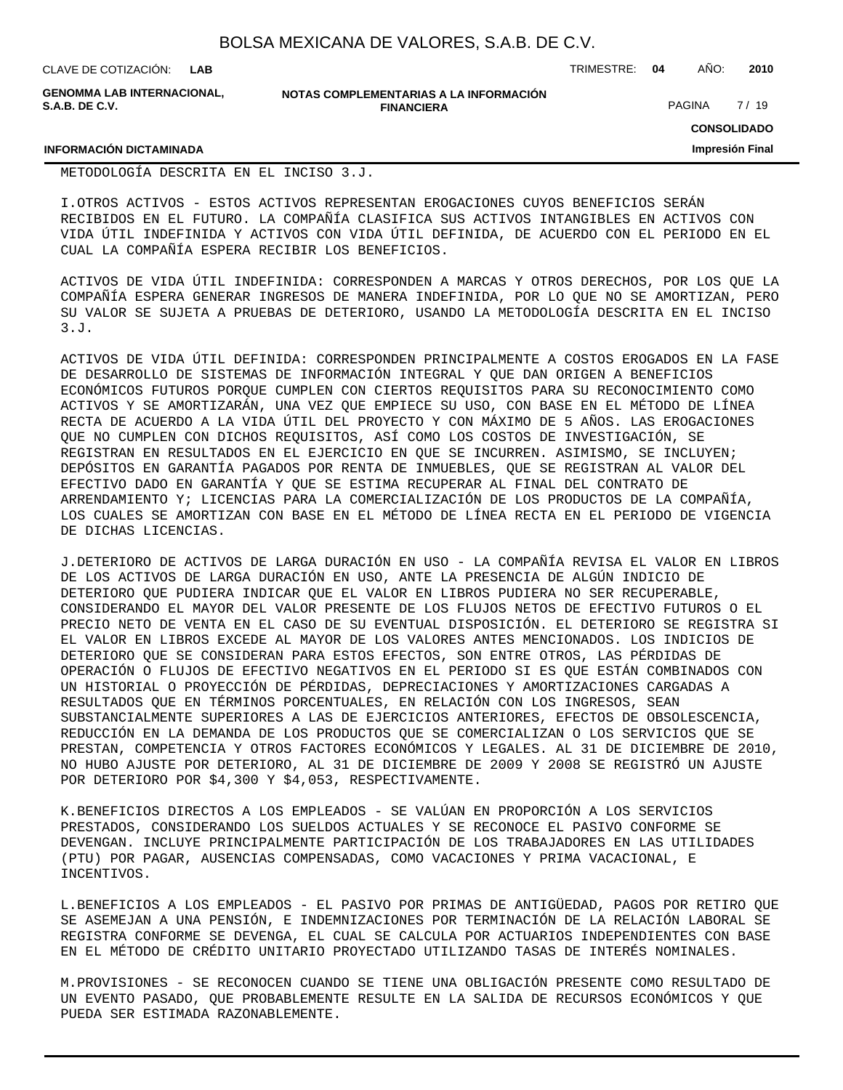| CLAVE DE COTIZACIÓN:                         | LAB |                                                             | TRIMESTRE: | - 04 | ANO:   | 2010   |
|----------------------------------------------|-----|-------------------------------------------------------------|------------|------|--------|--------|
| GENOMMA LAB INTERNACIONAL,<br>S.A.B. DE C.V. |     | NOTAS COMPLEMENTARIAS A LA INFORMACIÓN<br><b>FINANCIERA</b> |            |      | PAGINA | 7 / 19 |

**CONSOLIDADO**

**Impresión Final**

METODOLOGÍA DESCRITA EN EL INCISO 3.J.

**INFORMACIÓN DICTAMINADA**

I. OTROS ACTIVOS - ESTOS ACTIVOS REPRESENTAN EROGACIONES CUYOS BENEFICIOS SERÁN RECIBIDOS EN EL FUTURO. LA COMPAÑÍA CLASIFICA SUS ACTIVOS INTANGIBLES EN ACTIVOS CON VIDA ÚTIL INDEFINIDA Y ACTIVOS CON VIDA ÚTIL DEFINIDA, DE ACUERDO CON EL PERIODO EN EL CUAL LA COMPAÑÍA ESPERA RECIBIR LOS BENEFICIOS.

ACTIVOS DE VIDA ÚTIL INDEFINIDA: CORRESPONDEN A MARCAS Y OTROS DERECHOS, POR LOS QUE LA COMPAÑÍA ESPERA GENERAR INGRESOS DE MANERA INDEFINIDA, POR LO QUE NO SE AMORTIZAN, PERO SU VALOR SE SUJETA A PRUEBAS DE DETERIORO, USANDO LA METODOLOGÍA DESCRITA EN EL INCISO 3.J.

ACTIVOS DE VIDA ÚTIL DEFINIDA: CORRESPONDEN PRINCIPALMENTE A COSTOS EROGADOS EN LA FASE DE DESARROLLO DE SISTEMAS DE INFORMACIÓN INTEGRAL Y QUE DAN ORIGEN A BENEFICIOS ECONÓMICOS FUTUROS PORQUE CUMPLEN CON CIERTOS REQUISITOS PARA SU RECONOCIMIENTO COMO ACTIVOS Y SE AMORTIZARÁN, UNA VEZ QUE EMPIECE SU USO, CON BASE EN EL MÉTODO DE LÍNEA RECTA DE ACUERDO A LA VIDA ÚTIL DEL PROYECTO Y CON MÁXIMO DE 5 AÑOS. LAS EROGACIONES QUE NO CUMPLEN CON DICHOS REQUISITOS, ASÍ COMO LOS COSTOS DE INVESTIGACIÓN, SE REGISTRAN EN RESULTADOS EN EL EJERCICIO EN QUE SE INCURREN. ASIMISMO, SE INCLUYEN; DEPÓSITOS EN GARANTÍA PAGADOS POR RENTA DE INMUEBLES, QUE SE REGISTRAN AL VALOR DEL EFECTIVO DADO EN GARANTÍA Y QUE SE ESTIMA RECUPERAR AL FINAL DEL CONTRATO DE ARRENDAMIENTO Y; LICENCIAS PARA LA COMERCIALIZACIÓN DE LOS PRODUCTOS DE LA COMPAÑÍA, LOS CUALES SE AMORTIZAN CON BASE EN EL MÉTODO DE LÍNEA RECTA EN EL PERIODO DE VIGENCIA DE DICHAS LICENCIAS.

J. DETERIORO DE ACTIVOS DE LARGA DURACIÓN EN USO - LA COMPAÑÍA REVISA EL VALOR EN LIBROS DE LOS ACTIVOS DE LARGA DURACIÓN EN USO, ANTE LA PRESENCIA DE ALGÚN INDICIO DE DETERIORO QUE PUDIERA INDICAR QUE EL VALOR EN LIBROS PUDIERA NO SER RECUPERABLE, CONSIDERANDO EL MAYOR DEL VALOR PRESENTE DE LOS FLUJOS NETOS DE EFECTIVO FUTUROS O EL PRECIO NETO DE VENTA EN EL CASO DE SU EVENTUAL DISPOSICIÓN. EL DETERIORO SE REGISTRA SI EL VALOR EN LIBROS EXCEDE AL MAYOR DE LOS VALORES ANTES MENCIONADOS. LOS INDICIOS DE DETERIORO QUE SE CONSIDERAN PARA ESTOS EFECTOS, SON ENTRE OTROS, LAS PÉRDIDAS DE OPERACIÓN O FLUJOS DE EFECTIVO NEGATIVOS EN EL PERIODO SI ES QUE ESTÁN COMBINADOS CON UN HISTORIAL O PROYECCIÓN DE PÉRDIDAS, DEPRECIACIONES Y AMORTIZACIONES CARGADAS A RESULTADOS QUE EN TÉRMINOS PORCENTUALES, EN RELACIÓN CON LOS INGRESOS, SEAN SUBSTANCIALMENTE SUPERIORES A LAS DE EJERCICIOS ANTERIORES, EFECTOS DE OBSOLESCENCIA, REDUCCIÓN EN LA DEMANDA DE LOS PRODUCTOS QUE SE COMERCIALIZAN O LOS SERVICIOS QUE SE PRESTAN, COMPETENCIA Y OTROS FACTORES ECONÓMICOS Y LEGALES. AL 31 DE DICIEMBRE DE 2010, NO HUBO AJUSTE POR DETERIORO, AL 31 DE DICIEMBRE DE 2009 Y 2008 SE REGISTRÓ UN AJUSTE POR DETERIORO POR \$4,300 Y \$4,053, RESPECTIVAMENTE.

K. BENEFICIOS DIRECTOS A LOS EMPLEADOS - SE VALÚAN EN PROPORCIÓN A LOS SERVICIOS PRESTADOS, CONSIDERANDO LOS SUELDOS ACTUALES Y SE RECONOCE EL PASIVO CONFORME SE DEVENGAN. INCLUYE PRINCIPALMENTE PARTICIPACIÓN DE LOS TRABAJADORES EN LAS UTILIDADES (PTU) POR PAGAR, AUSENCIAS COMPENSADAS, COMO VACACIONES Y PRIMA VACACIONAL, E INCENTIVOS.

L. BENEFICIOS A LOS EMPLEADOS - EL PASIVO POR PRIMAS DE ANTIGÜEDAD, PAGOS POR RETIRO QUE SE ASEMEJAN A UNA PENSIÓN, E INDEMNIZACIONES POR TERMINACIÓN DE LA RELACIÓN LABORAL SE REGISTRA CONFORME SE DEVENGA, EL CUAL SE CALCULA POR ACTUARIOS INDEPENDIENTES CON BASE EN EL MÉTODO DE CRÉDITO UNITARIO PROYECTADO UTILIZANDO TASAS DE INTERÉS NOMINALES.

M. PROVISIONES - SE RECONOCEN CUANDO SE TIENE UNA OBLIGACIÓN PRESENTE COMO RESULTADO DE UN EVENTO PASADO, QUE PROBABLEMENTE RESULTE EN LA SALIDA DE RECURSOS ECONÓMICOS Y QUE PUEDA SER ESTIMADA RAZONABLEMENTE.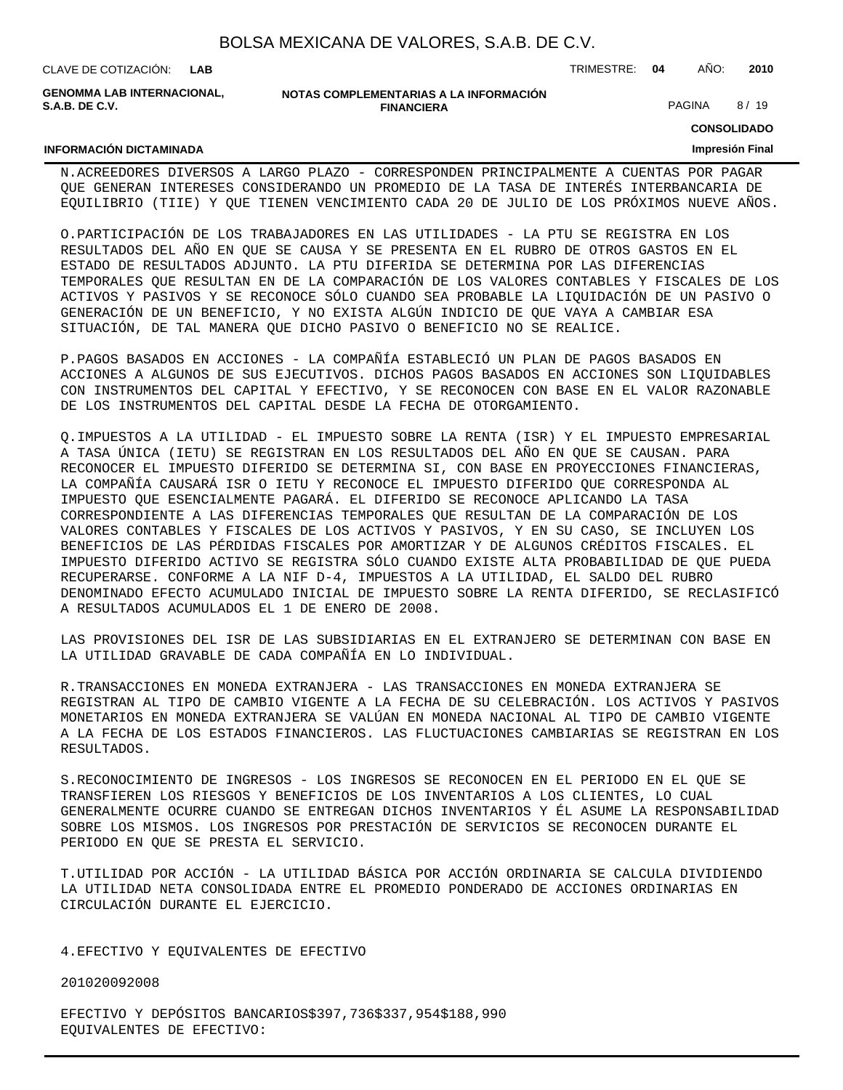| BOLSA MEXICANA DE VALORES, S.A.B. DE C.V. |  |  |  |
|-------------------------------------------|--|--|--|
|-------------------------------------------|--|--|--|

**INFORMACIÓN DICTAMINADA**

**GENOMMA LAB INTERNACIONAL, S.A.B. DE C.V.**

**NOTAS COMPLEMENTARIAS A LA INFORMACIÓN FINANCIERA**

PAGINA 8/19

### **CONSOLIDADO**

#### **Impresión Final**

N. ACREEDORES DIVERSOS A LARGO PLAZO - CORRESPONDEN PRINCIPALMENTE A CUENTAS POR PAGAR QUE GENERAN INTERESES CONSIDERANDO UN PROMEDIO DE LA TASA DE INTERÉS INTERBANCARIA DE EQUILIBRIO (TIIE) Y QUE TIENEN VENCIMIENTO CADA 20 DE JULIO DE LOS PRÓXIMOS NUEVE AÑOS.

O. PARTICIPACIÓN DE LOS TRABAJADORES EN LAS UTILIDADES - LA PTU SE REGISTRA EN LOS RESULTADOS DEL AÑO EN QUE SE CAUSA Y SE PRESENTA EN EL RUBRO DE OTROS GASTOS EN EL ESTADO DE RESULTADOS ADJUNTO. LA PTU DIFERIDA SE DETERMINA POR LAS DIFERENCIAS TEMPORALES QUE RESULTAN EN DE LA COMPARACIÓN DE LOS VALORES CONTABLES Y FISCALES DE LOS ACTIVOS Y PASIVOS Y SE RECONOCE SÓLO CUANDO SEA PROBABLE LA LIQUIDACIÓN DE UN PASIVO O GENERACIÓN DE UN BENEFICIO, Y NO EXISTA ALGÚN INDICIO DE QUE VAYA A CAMBIAR ESA SITUACIÓN, DE TAL MANERA QUE DICHO PASIVO O BENEFICIO NO SE REALICE.

P. PAGOS BASADOS EN ACCIONES - LA COMPAÑÍA ESTABLECIÓ UN PLAN DE PAGOS BASADOS EN ACCIONES A ALGUNOS DE SUS EJECUTIVOS. DICHOS PAGOS BASADOS EN ACCIONES SON LIQUIDABLES CON INSTRUMENTOS DEL CAPITAL Y EFECTIVO, Y SE RECONOCEN CON BASE EN EL VALOR RAZONABLE DE LOS INSTRUMENTOS DEL CAPITAL DESDE LA FECHA DE OTORGAMIENTO.

Q. IMPUESTOS A LA UTILIDAD - EL IMPUESTO SOBRE LA RENTA (ISR) Y EL IMPUESTO EMPRESARIAL A TASA ÚNICA (IETU) SE REGISTRAN EN LOS RESULTADOS DEL AÑO EN QUE SE CAUSAN. PARA RECONOCER EL IMPUESTO DIFERIDO SE DETERMINA SI, CON BASE EN PROYECCIONES FINANCIERAS, LA COMPAÑÍA CAUSARÁ ISR O IETU Y RECONOCE EL IMPUESTO DIFERIDO QUE CORRESPONDA AL IMPUESTO QUE ESENCIALMENTE PAGARÁ. EL DIFERIDO SE RECONOCE APLICANDO LA TASA CORRESPONDIENTE A LAS DIFERENCIAS TEMPORALES QUE RESULTAN DE LA COMPARACIÓN DE LOS VALORES CONTABLES Y FISCALES DE LOS ACTIVOS Y PASIVOS, Y EN SU CASO, SE INCLUYEN LOS BENEFICIOS DE LAS PÉRDIDAS FISCALES POR AMORTIZAR Y DE ALGUNOS CRÉDITOS FISCALES. EL IMPUESTO DIFERIDO ACTIVO SE REGISTRA SÓLO CUANDO EXISTE ALTA PROBABILIDAD DE QUE PUEDA RECUPERARSE. CONFORME A LA NIF D-4, IMPUESTOS A LA UTILIDAD, EL SALDO DEL RUBRO DENOMINADO EFECTO ACUMULADO INICIAL DE IMPUESTO SOBRE LA RENTA DIFERIDO, SE RECLASIFICÓ A RESULTADOS ACUMULADOS EL 1 DE ENERO DE 2008.

LAS PROVISIONES DEL ISR DE LAS SUBSIDIARIAS EN EL EXTRANJERO SE DETERMINAN CON BASE EN LA UTILIDAD GRAVABLE DE CADA COMPAÑÍA EN LO INDIVIDUAL.

R. TRANSACCIONES EN MONEDA EXTRANJERA - LAS TRANSACCIONES EN MONEDA EXTRANJERA SE REGISTRAN AL TIPO DE CAMBIO VIGENTE A LA FECHA DE SU CELEBRACIÓN. LOS ACTIVOS Y PASIVOS MONETARIOS EN MONEDA EXTRANJERA SE VALÚAN EN MONEDA NACIONAL AL TIPO DE CAMBIO VIGENTE A LA FECHA DE LOS ESTADOS FINANCIEROS. LAS FLUCTUACIONES CAMBIARIAS SE REGISTRAN EN LOS RESULTADOS.

S. RECONOCIMIENTO DE INGRESOS - LOS INGRESOS SE RECONOCEN EN EL PERIODO EN EL QUE SE TRANSFIEREN LOS RIESGOS Y BENEFICIOS DE LOS INVENTARIOS A LOS CLIENTES, LO CUAL GENERALMENTE OCURRE CUANDO SE ENTREGAN DICHOS INVENTARIOS Y ÉL ASUME LA RESPONSABILIDAD SOBRE LOS MISMOS. LOS INGRESOS POR PRESTACIÓN DE SERVICIOS SE RECONOCEN DURANTE EL PERIODO EN QUE SE PRESTA EL SERVICIO.

T. UTILIDAD POR ACCIÓN - LA UTILIDAD BÁSICA POR ACCIÓN ORDINARIA SE CALCULA DIVIDIENDO LA UTILIDAD NETA CONSOLIDADA ENTRE EL PROMEDIO PONDERADO DE ACCIONES ORDINARIAS EN CIRCULACIÓN DURANTE EL EJERCICIO.

4. EFECTIVO Y EQUIVALENTES DE EFECTIVO

 2010 2009 2008

EFECTIVO Y DEPÓSITOS BANCARIOS \$ 397,736 \$ 337,954 \$ 188,990 EQUIVALENTES DE EFECTIVO: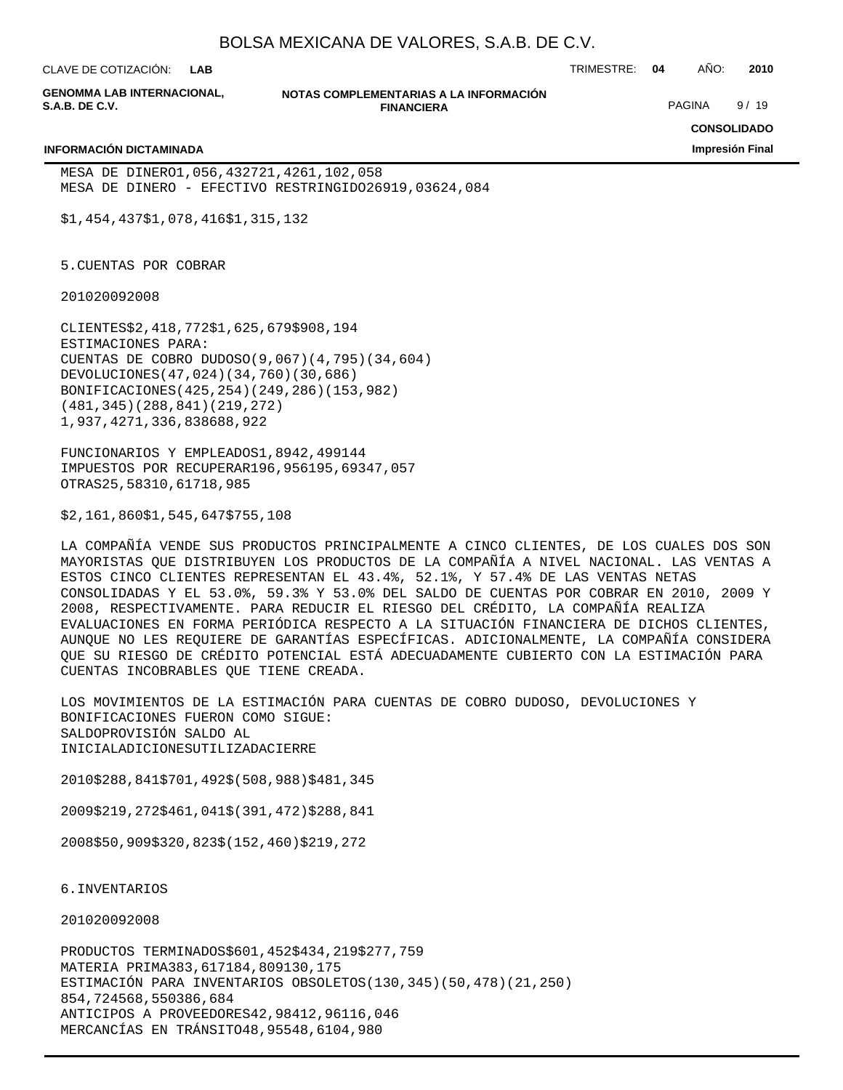CLAVE DE COTIZACIÓN: TRIMESTRE: **04** AÑO: **2010 LAB**

**INFORMACIÓN DICTAMINADA**

**GENOMMA LAB INTERNACIONAL, S.A.B. DE C.V.**

**NOTAS COMPLEMENTARIAS A LA INFORMACIÓN FINANCIERA**

PAGINA 9/19

**CONSOLIDADO**

**Impresión Final**

MESA DE DINERO 1,056,432 721,426 1,102,058

MESA DE DINERO - EFECTIVO RESTRINGIDO 269 19,036 24,084

 $$1,454,437$   $$1,078,416$   $$1,315,132$ 

5. CUENTAS POR COBRAR

 2010 2009 2008

CLIENTES \$ 2,418,772 \$ 1,625,679 \$ 908,194 ESTIMACIONES PARA: CUENTAS DE COBRO DUDOSO (9,067) (4,795) (34,604) DEVOLUCIONES (47,024) (34,760) (30,686) BONIFICACIONES (425,254) (249,286) (153,982) (481,345) (288,841) (219,272) 1,937,427 1,336,838 688,922

FUNCIONARIOS Y EMPLEADOS 1,894 2,499 144 IMPUESTOS POR RECUPERAR 196,956 195,693 47,057 OTRAS 25,583 10,617 18,985

 $$2,161,860$   $$1,545,647$   $$755,108$ 

LA COMPAÑÍA VENDE SUS PRODUCTOS PRINCIPALMENTE A CINCO CLIENTES, DE LOS CUALES DOS SON MAYORISTAS QUE DISTRIBUYEN LOS PRODUCTOS DE LA COMPAÑÍA A NIVEL NACIONAL. LAS VENTAS A ESTOS CINCO CLIENTES REPRESENTAN EL 43.4%, 52.1%, Y 57.4% DE LAS VENTAS NETAS CONSOLIDADAS Y EL 53.0%, 59.3% Y 53.0% DEL SALDO DE CUENTAS POR COBRAR EN 2010, 2009 Y 2008, RESPECTIVAMENTE. PARA REDUCIR EL RIESGO DEL CRÉDITO, LA COMPAÑÍA REALIZA EVALUACIONES EN FORMA PERIÓDICA RESPECTO A LA SITUACIÓN FINANCIERA DE DICHOS CLIENTES, AUNQUE NO LES REQUIERE DE GARANTÍAS ESPECÍFICAS. ADICIONALMENTE, LA COMPAÑÍA CONSIDERA QUE SU RIESGO DE CRÉDITO POTENCIAL ESTÁ ADECUADAMENTE CUBIERTO CON LA ESTIMACIÓN PARA CUENTAS INCOBRABLES QUE TIENE CREADA.

LOS MOVIMIENTOS DE LA ESTIMACIÓN PARA CUENTAS DE COBRO DUDOSO, DEVOLUCIONES Y BONIFICACIONES FUERON COMO SIGUE: SALDO PROVISIÓN SALDO AL INICIAL ADICIONES UTILIZADA CIERRE

2010 \$ 288,841 \$ 701,492 \$ (508,988) \$ 481,345

2009 \$ 219,272 \$ 461,041 \$ (391,472) \$ 288,841

2008 \$ 50,909 \$ 320,823 \$ (152,460) \$ 219,272

6. INVENTARIOS

 2010 2009 2008

PRODUCTOS TERMINADOS \$ 601,452 \$ 434,219 \$ 277,759 MATERIA PRIMA 383, 617 184, 809 130, 175 ESTIMACIÓN PARA INVENTARIOS OBSOLETOS (130,345) (50,478) (21,250) 854,724 568,550 386,684 ANTICIPOS A PROVEEDORES 42,984 12,961 16,046 MERCANCÍAS EN TRÁNSITO 48,955 48,610 4,980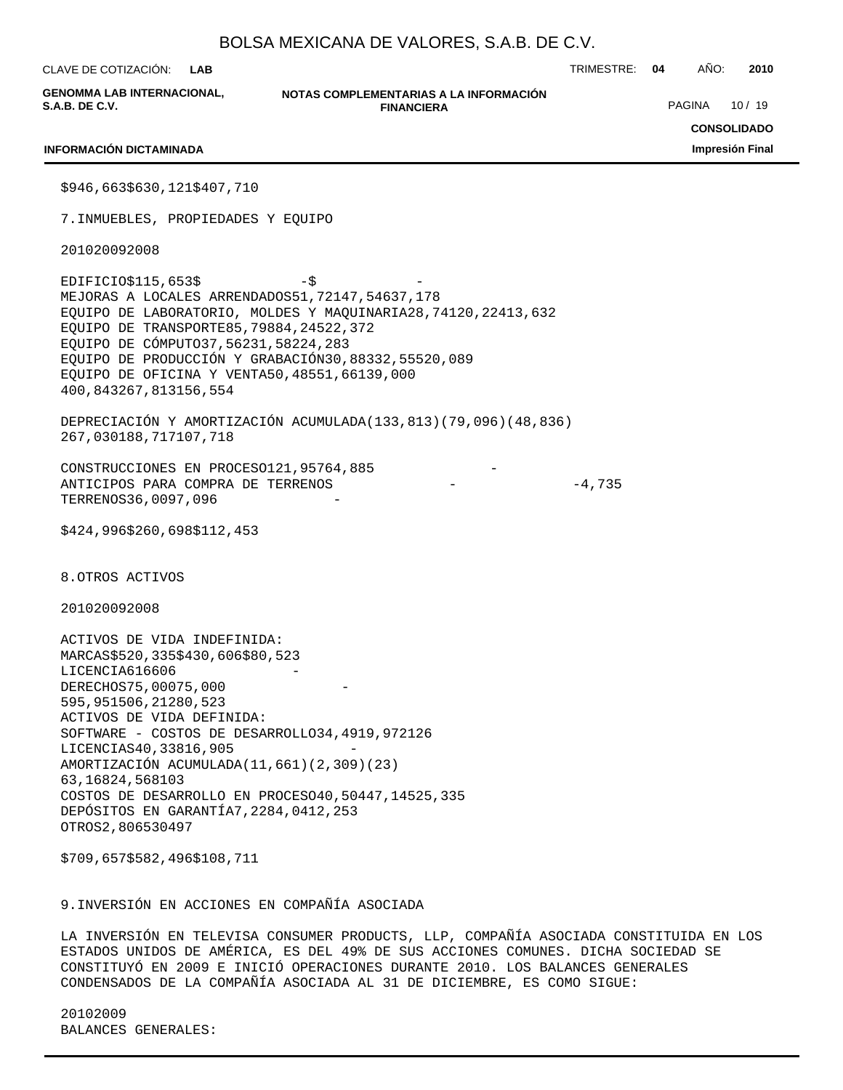CLAVE DE COTIZACIÓN: TRIMESTRE: **04** AÑO: **2010 LAB**

**GENOMMA LAB INTERNACIONAL, S.A.B. DE C.V.**

**NOTAS COMPLEMENTARIAS A LA INFORMACIÓN FINANCIERA**

PAGINA 10 / 19

**CONSOLIDADO**

**Impresión Final**

#### **INFORMACIÓN DICTAMINADA**

 $$946,663$$   $$630,121$$   $$407,710$ 

7. INMUEBLES, PROPIEDADES Y EQUIPO

 2010 2009 2008

EDIFICIO  $$115,653$   $$$  -  $$$ MEJORAS A LOCALES ARRENDADOS 51,721 47,546 37,178 EQUIPO DE LABORATORIO, MOLDES Y MAQUINARIA 28,741 20,224 13,632 EQUIPO DE TRANSPORTE 85,798 84,245 22,372 EQUIPO DE CÓMPUTO 37,562 31,582 24,283 EQUIPO DE PRODUCCIÓN Y GRABACIÓN 30,883 32,555 20,089 EQUIPO DE OFICINA Y VENTA 50,485 51,661 39,000 400,843 267,813 156,554

DEPRECIACIÓN Y AMORTIZACIÓN ACUMULADA (133,813) (79,096) (48,836) 267,030 188,717 107,718

CONSTRUCCIONES EN PROCESO 121,957 64,885 ANTICIPOS PARA COMPRA DE TERRENOS  $+$ ,735 TERRENOS 36,009 7,096

 $$424,996$3260,698$112,453$ 

8. OTROS ACTIVOS

 2010 2009 2008

ACTIVOS DE VIDA INDEFINIDA: MARCAS \$ 520,335 \$ 430,606 \$ 80,523  $LICENCIA$  616 606 DERECHOS 75,000 75,000 - 595,951 506,212 80,523 ACTIVOS DE VIDA DEFINIDA: SOFTWARE - COSTOS DE DESARROLLO 34,491 9,972 126 LICENCIAS 40,338 16,905 AMORTIZACIÓN ACUMULADA (11,661) (2,309) (23) 63,168 24,568 103 COSTOS DE DESARROLLO EN PROCESO 40,504 47,145 25,335 DEPÓSITOS EN GARANTÍA 7,228 4,041 2,253 OTROS 2,806 530 497

 $$709,657$   $$582,496$   $$108,711$ 

9. INVERSIÓN EN ACCIONES EN COMPAÑÍA ASOCIADA

LA INVERSIÓN EN TELEVISA CONSUMER PRODUCTS, LLP, COMPAÑÍA ASOCIADA CONSTITUIDA EN LOS ESTADOS UNIDOS DE AMÉRICA, ES DEL 49% DE SUS ACCIONES COMUNES. DICHA SOCIEDAD SE CONSTITUYÓ EN 2009 E INICIÓ OPERACIONES DURANTE 2010. LOS BALANCES GENERALES CONDENSADOS DE LA COMPAÑÍA ASOCIADA AL 31 DE DICIEMBRE, ES COMO SIGUE:

 2010 2009 BALANCES GENERALES: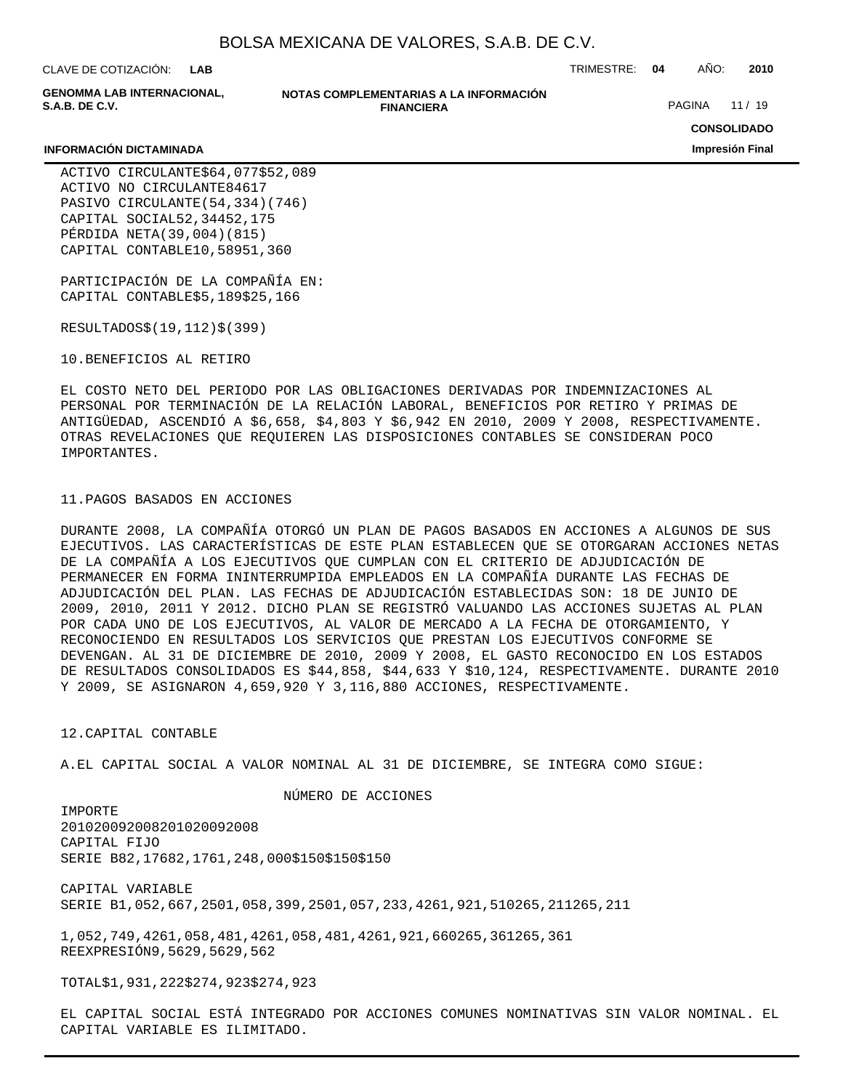**GENOMMA LAB INTERNACIONAL, S.A.B. DE C.V.**

**INFORMACIÓN DICTAMINADA**

**NOTAS COMPLEMENTARIAS A LA INFORMACIÓN FINANCIERA**

PAGINA 11 / 19

**CONSOLIDADO**

**Impresión Final**

ACTIVO CIRCULANTE  $$64,077$52,089$ ACTIVO NO CIRCULANTE 846 17 PASIVO CIRCULANTE (54,334) (746) CAPITAL SOCIAL 52,344 52,175 PÉRDIDA NETA (39,004) (815) CAPITAL CONTABLE 10,589 51,360

PARTICIPACIÓN DE LA COMPAÑÍA EN: CAPITAL CONTABLE  $$5,189$   $$25,166$ 

RESULTADOS \$ (19,112) \$ (399)

10. BENEFICIOS AL RETIRO

EL COSTO NETO DEL PERIODO POR LAS OBLIGACIONES DERIVADAS POR INDEMNIZACIONES AL PERSONAL POR TERMINACIÓN DE LA RELACIÓN LABORAL, BENEFICIOS POR RETIRO Y PRIMAS DE ANTIGÜEDAD, ASCENDIÓ A \$6,658, \$4,803 Y \$6,942 EN 2010, 2009 Y 2008, RESPECTIVAMENTE. OTRAS REVELACIONES QUE REQUIEREN LAS DISPOSICIONES CONTABLES SE CONSIDERAN POCO IMPORTANTES.

#### 11. PAGOS BASADOS EN ACCIONES

DURANTE 2008, LA COMPAÑÍA OTORGÓ UN PLAN DE PAGOS BASADOS EN ACCIONES A ALGUNOS DE SUS EJECUTIVOS. LAS CARACTERÍSTICAS DE ESTE PLAN ESTABLECEN QUE SE OTORGARAN ACCIONES NETAS DE LA COMPAÑÍA A LOS EJECUTIVOS QUE CUMPLAN CON EL CRITERIO DE ADJUDICACIÓN DE PERMANECER EN FORMA ININTERRUMPIDA EMPLEADOS EN LA COMPAÑÍA DURANTE LAS FECHAS DE ADJUDICACIÓN DEL PLAN. LAS FECHAS DE ADJUDICACIÓN ESTABLECIDAS SON: 18 DE JUNIO DE 2009, 2010, 2011 Y 2012. DICHO PLAN SE REGISTRÓ VALUANDO LAS ACCIONES SUJETAS AL PLAN POR CADA UNO DE LOS EJECUTIVOS, AL VALOR DE MERCADO A LA FECHA DE OTORGAMIENTO, Y RECONOCIENDO EN RESULTADOS LOS SERVICIOS QUE PRESTAN LOS EJECUTIVOS CONFORME SE DEVENGAN. AL 31 DE DICIEMBRE DE 2010, 2009 Y 2008, EL GASTO RECONOCIDO EN LOS ESTADOS DE RESULTADOS CONSOLIDADOS ES \$44,858, \$44,633 Y \$10,124, RESPECTIVAMENTE. DURANTE 2010 Y 2009, SE ASIGNARON 4,659,920 Y 3,116,880 ACCIONES, RESPECTIVAMENTE.

#### 12. CAPITAL CONTABLE

A. EL CAPITAL SOCIAL A VALOR NOMINAL AL 31 DE DICIEMBRE, SE INTEGRA COMO SIGUE:

 NÚMERO DE ACCIONES

IMPORTE 2010 2009 2008 2010 2009 2008 CAPITAL FIJO SERIE B 82,176 82,176 1,248,000 \$ 150 \$ 150 \$ 150

CAPITAL VARIABLE SERIE B 1,052,667,250 1,058,399,250 1,057,233,426 1,921,510 265,211 265,211

 1,052,749,426 1,058,481,426 1,058,481,426 1,921,660 265,361 265,361 REEXPRESIÓN 9,562 9,562 9,562

TOTAL \$ 1,931,222 \$ 274,923 \$ 274,923

EL CAPITAL SOCIAL ESTÁ INTEGRADO POR ACCIONES COMUNES NOMINATIVAS SIN VALOR NOMINAL. EL CAPITAL VARIABLE ES ILIMITADO.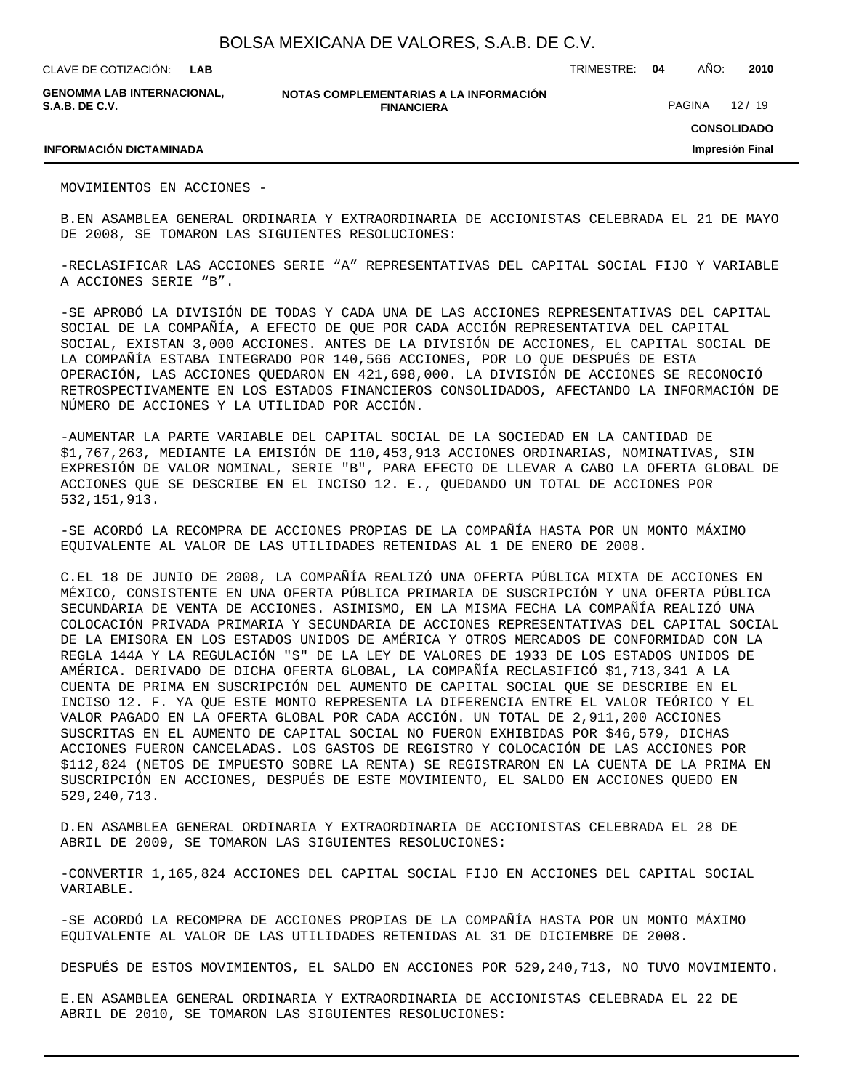**LAB**

CLAVE DE COTIZACIÓN: TRIMESTRE: **04** AÑO: **2010**

**GENOMMA LAB INTERNACIONAL, S.A.B. DE C.V.**

**NOTAS COMPLEMENTARIAS A LA INFORMACIÓN FINANCIERA**

PAGINA 12 / 19

#### **INFORMACIÓN DICTAMINADA**

**CONSOLIDADO**

**Impresión Final**

MOVIMIENTOS EN ACCIONES -

B. EN ASAMBLEA GENERAL ORDINARIA Y EXTRAORDINARIA DE ACCIONISTAS CELEBRADA EL 21 DE MAYO DE 2008, SE TOMARON LAS SIGUIENTES RESOLUCIONES:

- RECLASIFICAR LAS ACCIONES SERIE "A" REPRESENTATIVAS DEL CAPITAL SOCIAL FIJO Y VARIABLE A ACCIONES SERIE "B".

- SE APROBÓ LA DIVISIÓN DE TODAS Y CADA UNA DE LAS ACCIONES REPRESENTATIVAS DEL CAPITAL SOCIAL DE LA COMPAÑÍA, A EFECTO DE QUE POR CADA ACCIÓN REPRESENTATIVA DEL CAPITAL SOCIAL, EXISTAN 3,000 ACCIONES. ANTES DE LA DIVISIÓN DE ACCIONES, EL CAPITAL SOCIAL DE LA COMPAÑÍA ESTABA INTEGRADO POR 140,566 ACCIONES, POR LO QUE DESPUÉS DE ESTA OPERACIÓN, LAS ACCIONES QUEDARON EN 421,698,000. LA DIVISIÓN DE ACCIONES SE RECONOCIÓ RETROSPECTIVAMENTE EN LOS ESTADOS FINANCIEROS CONSOLIDADOS, AFECTANDO LA INFORMACIÓN DE NÚMERO DE ACCIONES Y LA UTILIDAD POR ACCIÓN.

- AUMENTAR LA PARTE VARIABLE DEL CAPITAL SOCIAL DE LA SOCIEDAD EN LA CANTIDAD DE \$1,767,263, MEDIANTE LA EMISIÓN DE 110,453,913 ACCIONES ORDINARIAS, NOMINATIVAS, SIN EXPRESIÓN DE VALOR NOMINAL, SERIE "B", PARA EFECTO DE LLEVAR A CABO LA OFERTA GLOBAL DE ACCIONES QUE SE DESCRIBE EN EL INCISO 12. E., QUEDANDO UN TOTAL DE ACCIONES POR 532,151,913.

- SE ACORDÓ LA RECOMPRA DE ACCIONES PROPIAS DE LA COMPAÑÍA HASTA POR UN MONTO MÁXIMO EQUIVALENTE AL VALOR DE LAS UTILIDADES RETENIDAS AL 1 DE ENERO DE 2008.

C. EL 18 DE JUNIO DE 2008, LA COMPAÑÍA REALIZÓ UNA OFERTA PÚBLICA MIXTA DE ACCIONES EN MÉXICO, CONSISTENTE EN UNA OFERTA PÚBLICA PRIMARIA DE SUSCRIPCIÓN Y UNA OFERTA PÚBLICA SECUNDARIA DE VENTA DE ACCIONES. ASIMISMO, EN LA MISMA FECHA LA COMPAÑÍA REALIZÓ UNA COLOCACIÓN PRIVADA PRIMARIA Y SECUNDARIA DE ACCIONES REPRESENTATIVAS DEL CAPITAL SOCIAL DE LA EMISORA EN LOS ESTADOS UNIDOS DE AMÉRICA Y OTROS MERCADOS DE CONFORMIDAD CON LA REGLA 144A Y LA REGULACIÓN "S" DE LA LEY DE VALORES DE 1933 DE LOS ESTADOS UNIDOS DE AMÉRICA. DERIVADO DE DICHA OFERTA GLOBAL, LA COMPAÑÍA RECLASIFICÓ \$1,713,341 A LA CUENTA DE PRIMA EN SUSCRIPCIÓN DEL AUMENTO DE CAPITAL SOCIAL QUE SE DESCRIBE EN EL INCISO 12. F. YA QUE ESTE MONTO REPRESENTA LA DIFERENCIA ENTRE EL VALOR TEÓRICO Y EL VALOR PAGADO EN LA OFERTA GLOBAL POR CADA ACCIÓN. UN TOTAL DE 2,911,200 ACCIONES SUSCRITAS EN EL AUMENTO DE CAPITAL SOCIAL NO FUERON EXHIBIDAS POR \$46,579, DICHAS ACCIONES FUERON CANCELADAS. LOS GASTOS DE REGISTRO Y COLOCACIÓN DE LAS ACCIONES POR \$112,824 (NETOS DE IMPUESTO SOBRE LA RENTA) SE REGISTRARON EN LA CUENTA DE LA PRIMA EN SUSCRIPCIÓN EN ACCIONES, DESPUÉS DE ESTE MOVIMIENTO, EL SALDO EN ACCIONES QUEDO EN 529,240,713.

D. EN ASAMBLEA GENERAL ORDINARIA Y EXTRAORDINARIA DE ACCIONISTAS CELEBRADA EL 28 DE ABRIL DE 2009, SE TOMARON LAS SIGUIENTES RESOLUCIONES:

- CONVERTIR 1,165,824 ACCIONES DEL CAPITAL SOCIAL FIJO EN ACCIONES DEL CAPITAL SOCIAL VARIABLE.

- SE ACORDÓ LA RECOMPRA DE ACCIONES PROPIAS DE LA COMPAÑÍA HASTA POR UN MONTO MÁXIMO EQUIVALENTE AL VALOR DE LAS UTILIDADES RETENIDAS AL 31 DE DICIEMBRE DE 2008.

DESPUÉS DE ESTOS MOVIMIENTOS, EL SALDO EN ACCIONES POR 529,240,713, NO TUVO MOVIMIENTO.

E. EN ASAMBLEA GENERAL ORDINARIA Y EXTRAORDINARIA DE ACCIONISTAS CELEBRADA EL 22 DE ABRIL DE 2010, SE TOMARON LAS SIGUIENTES RESOLUCIONES: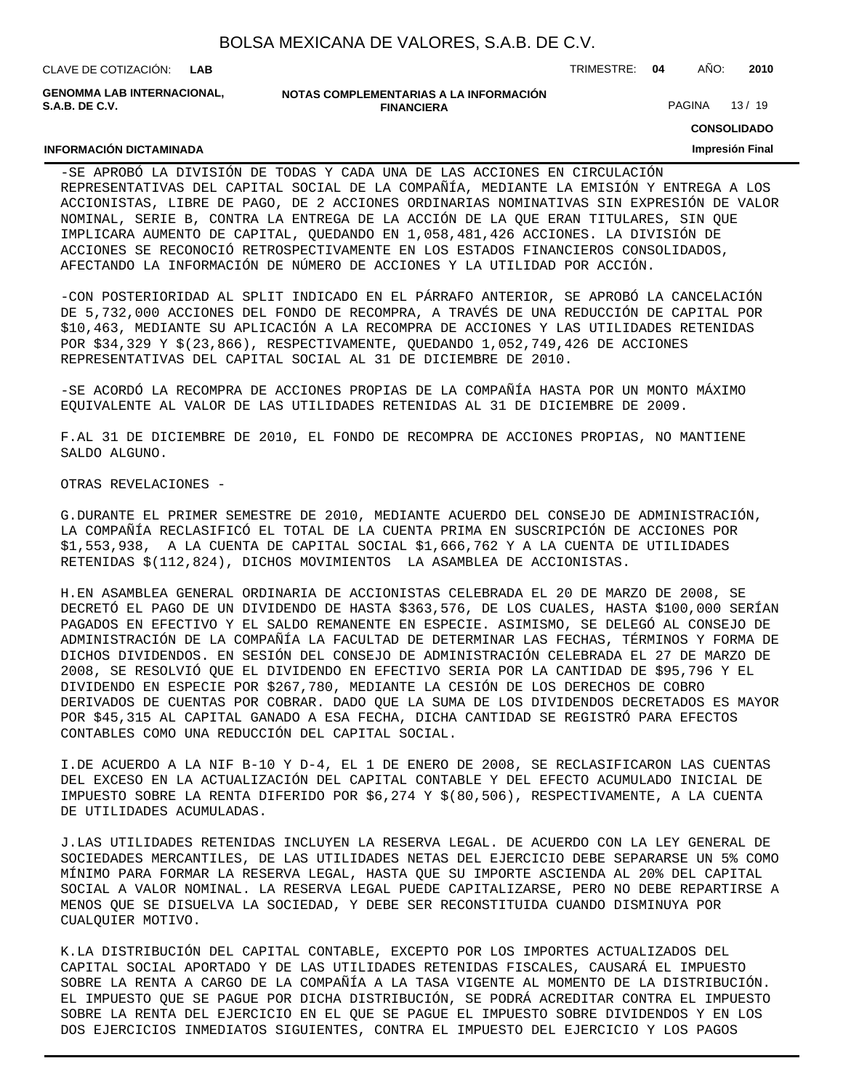**INFORMACIÓN DICTAMINADA**

**GENOMMA LAB INTERNACIONAL, S.A.B. DE C.V.**

#### **NOTAS COMPLEMENTARIAS A LA INFORMACIÓN FINANCIERA**

PAGINA 13/19

**CONSOLIDADO**

#### **Impresión Final**

- SE APROBÓ LA DIVISIÓN DE TODAS Y CADA UNA DE LAS ACCIONES EN CIRCULACIÓN REPRESENTATIVAS DEL CAPITAL SOCIAL DE LA COMPAÑÍA, MEDIANTE LA EMISIÓN Y ENTREGA A LOS ACCIONISTAS, LIBRE DE PAGO, DE 2 ACCIONES ORDINARIAS NOMINATIVAS SIN EXPRESIÓN DE VALOR NOMINAL, SERIE B, CONTRA LA ENTREGA DE LA ACCIÓN DE LA QUE ERAN TITULARES, SIN QUE IMPLICARA AUMENTO DE CAPITAL, QUEDANDO EN 1,058,481,426 ACCIONES. LA DIVISIÓN DE ACCIONES SE RECONOCIÓ RETROSPECTIVAMENTE EN LOS ESTADOS FINANCIEROS CONSOLIDADOS, AFECTANDO LA INFORMACIÓN DE NÚMERO DE ACCIONES Y LA UTILIDAD POR ACCIÓN.

- CON POSTERIORIDAD AL SPLIT INDICADO EN EL PÁRRAFO ANTERIOR, SE APROBÓ LA CANCELACIÓN DE 5,732,000 ACCIONES DEL FONDO DE RECOMPRA, A TRAVÉS DE UNA REDUCCIÓN DE CAPITAL POR \$10,463, MEDIANTE SU APLICACIÓN A LA RECOMPRA DE ACCIONES Y LAS UTILIDADES RETENIDAS POR \$34,329 Y \$(23,866), RESPECTIVAMENTE, QUEDANDO 1,052,749,426 DE ACCIONES REPRESENTATIVAS DEL CAPITAL SOCIAL AL 31 DE DICIEMBRE DE 2010.

- SE ACORDÓ LA RECOMPRA DE ACCIONES PROPIAS DE LA COMPAÑÍA HASTA POR UN MONTO MÁXIMO EQUIVALENTE AL VALOR DE LAS UTILIDADES RETENIDAS AL 31 DE DICIEMBRE DE 2009.

F. AL 31 DE DICIEMBRE DE 2010, EL FONDO DE RECOMPRA DE ACCIONES PROPIAS, NO MANTIENE SALDO ALGUNO.

#### OTRAS REVELACIONES -

G. DURANTE EL PRIMER SEMESTRE DE 2010, MEDIANTE ACUERDO DEL CONSEJO DE ADMINISTRACIÓN, LA COMPAÑÍA RECLASIFICÓ EL TOTAL DE LA CUENTA PRIMA EN SUSCRIPCIÓN DE ACCIONES POR \$1,553,938, A LA CUENTA DE CAPITAL SOCIAL \$1,666,762 Y A LA CUENTA DE UTILIDADES RETENIDAS \$(112,824), DICHOS MOVIMIENTOS LA ASAMBLEA DE ACCIONISTAS.

H. EN ASAMBLEA GENERAL ORDINARIA DE ACCIONISTAS CELEBRADA EL 20 DE MARZO DE 2008, SE DECRETÓ EL PAGO DE UN DIVIDENDO DE HASTA \$363,576, DE LOS CUALES, HASTA \$100,000 SERÍAN PAGADOS EN EFECTIVO Y EL SALDO REMANENTE EN ESPECIE. ASIMISMO, SE DELEGÓ AL CONSEJO DE ADMINISTRACIÓN DE LA COMPAÑÍA LA FACULTAD DE DETERMINAR LAS FECHAS, TÉRMINOS Y FORMA DE DICHOS DIVIDENDOS. EN SESIÓN DEL CONSEJO DE ADMINISTRACIÓN CELEBRADA EL 27 DE MARZO DE 2008, SE RESOLVIÓ QUE EL DIVIDENDO EN EFECTIVO SERIA POR LA CANTIDAD DE \$95,796 Y EL DIVIDENDO EN ESPECIE POR \$267,780, MEDIANTE LA CESIÓN DE LOS DERECHOS DE COBRO DERIVADOS DE CUENTAS POR COBRAR. DADO QUE LA SUMA DE LOS DIVIDENDOS DECRETADOS ES MAYOR POR \$45,315 AL CAPITAL GANADO A ESA FECHA, DICHA CANTIDAD SE REGISTRÓ PARA EFECTOS CONTABLES COMO UNA REDUCCIÓN DEL CAPITAL SOCIAL.

I. DE ACUERDO A LA NIF B-10 Y D-4, EL 1 DE ENERO DE 2008, SE RECLASIFICARON LAS CUENTAS DEL EXCESO EN LA ACTUALIZACIÓN DEL CAPITAL CONTABLE Y DEL EFECTO ACUMULADO INICIAL DE IMPUESTO SOBRE LA RENTA DIFERIDO POR \$6,274 Y \$(80,506), RESPECTIVAMENTE, A LA CUENTA DE UTILIDADES ACUMULADAS.

J. LAS UTILIDADES RETENIDAS INCLUYEN LA RESERVA LEGAL. DE ACUERDO CON LA LEY GENERAL DE SOCIEDADES MERCANTILES, DE LAS UTILIDADES NETAS DEL EJERCICIO DEBE SEPARARSE UN 5% COMO MÍNIMO PARA FORMAR LA RESERVA LEGAL, HASTA QUE SU IMPORTE ASCIENDA AL 20% DEL CAPITAL SOCIAL A VALOR NOMINAL. LA RESERVA LEGAL PUEDE CAPITALIZARSE, PERO NO DEBE REPARTIRSE A MENOS QUE SE DISUELVA LA SOCIEDAD, Y DEBE SER RECONSTITUIDA CUANDO DISMINUYA POR CUALQUIER MOTIVO.

K. LA DISTRIBUCIÓN DEL CAPITAL CONTABLE, EXCEPTO POR LOS IMPORTES ACTUALIZADOS DEL CAPITAL SOCIAL APORTADO Y DE LAS UTILIDADES RETENIDAS FISCALES, CAUSARÁ EL IMPUESTO SOBRE LA RENTA A CARGO DE LA COMPAÑÍA A LA TASA VIGENTE AL MOMENTO DE LA DISTRIBUCIÓN. EL IMPUESTO QUE SE PAGUE POR DICHA DISTRIBUCIÓN, SE PODRÁ ACREDITAR CONTRA EL IMPUESTO SOBRE LA RENTA DEL EJERCICIO EN EL QUE SE PAGUE EL IMPUESTO SOBRE DIVIDENDOS Y EN LOS DOS EJERCICIOS INMEDIATOS SIGUIENTES, CONTRA EL IMPUESTO DEL EJERCICIO Y LOS PAGOS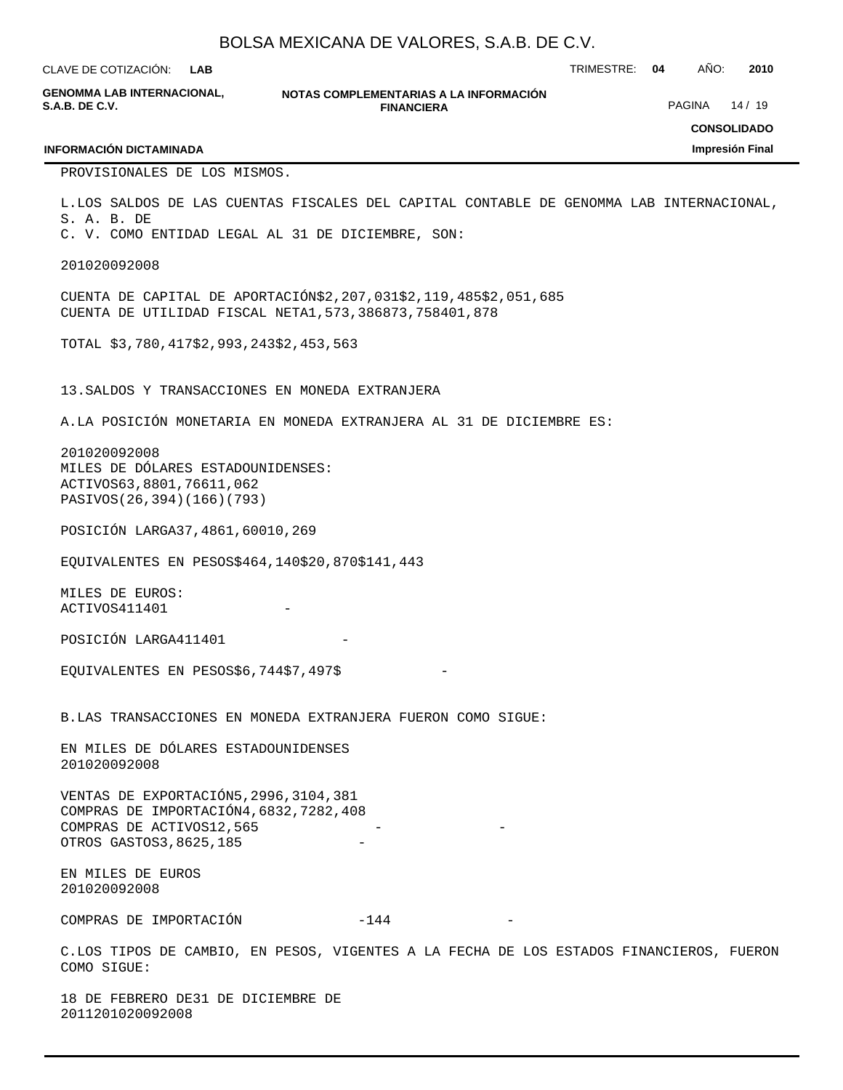BOLSA MEXICANA DE VALORES, S.A.B. DE C.V. **NOTAS COMPLEMENTARIAS A LA INFORMACIÓN FINANCIERA** CLAVE DE COTIZACIÓN: TRIMESTRE: **04** AÑO: **2010 CONSOLIDADO Impresión Final LAB GENOMMA LAB INTERNACIONAL, S.A.B. DE C.V. INFORMACIÓN DICTAMINADA** PAGINA 14 / 19 PROVISIONALES DE LOS MISMOS. L. LOS SALDOS DE LAS CUENTAS FISCALES DEL CAPITAL CONTABLE DE GENOMMA LAB INTERNACIONAL, S. A. B. DE C. V. COMO ENTIDAD LEGAL AL 31 DE DICIEMBRE, SON: 2010 2009 2008 CUENTA DE CAPITAL DE APORTACIÓN \$ 2,207,031 \$ 2,119,485 \$ 2,051,685 CUENTA DE UTILIDAD FISCAL NETA 1,573,386 873,758 401,878 TOTAL  $$3,780,417$   $$2,993,243$   $$2,453,563$ 13. SALDOS Y TRANSACCIONES EN MONEDA EXTRANJERA A. LA POSICIÓN MONETARIA EN MONEDA EXTRANJERA AL 31 DE DICIEMBRE ES: 2010 2009 2008 MILES DE DÓLARES ESTADOUNIDENSES: ACTIVOS 63,880 1,766 11,062 PASIVOS (26,394) (166) (793) POSICIÓN LARGA 37,486 1,600 10,269 EQUIVALENTES EN PESOS \$ 464,140 \$ 20,870 \$ 141,443 MILES DE EUROS: ACTIVOS 411 401 POSICIÓN LARGA 411 401 EQUIVALENTES EN PESOS  $$6,744$$   $$7,497$$ B. LAS TRANSACCIONES EN MONEDA EXTRANJERA FUERON COMO SIGUE: EN MILES DE DÓLARES ESTADOUNIDENSES 2010 2009 2008 VENTAS DE EXPORTACIÓN 5,299 6,310 4,381 COMPRAS DE IMPORTACIÓN 4,683 2,728 2,408 COMPRAS DE ACTIVOS 12,565 OTROS GASTOS 3,862 5,185 EN MILES DE EUROS 2010 2009 2008 COMPRAS DE IMPORTACIÓN  $-$  144 C. LOS TIPOS DE CAMBIO, EN PESOS, VIGENTES A LA FECHA DE LOS ESTADOS FINANCIEROS, FUERON COMO SIGUE: 18 DE FEBRERO DE 31 DE DICIEMBRE DE 2011 2010 2009 2008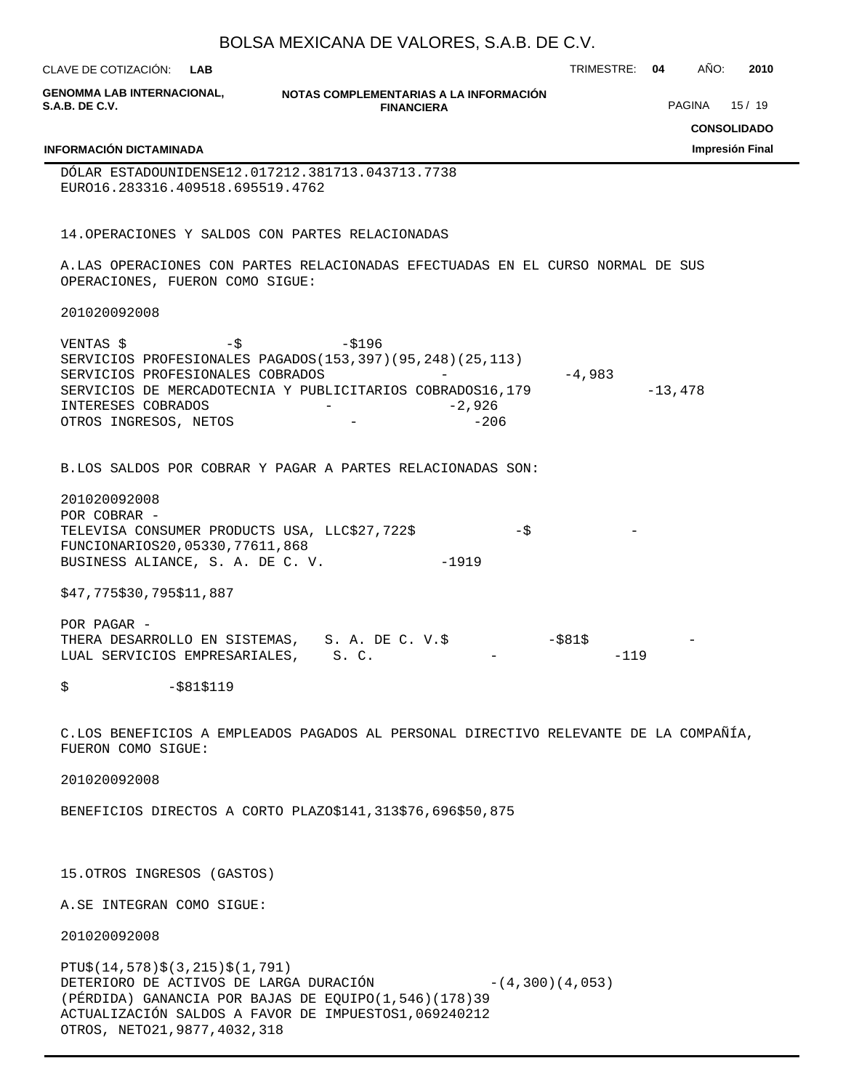|                                                                                                                                                             | BOLSA MEXICANA DE VALORES, S.A.B. DE C.V.                                                                                                                     |               |                                              |
|-------------------------------------------------------------------------------------------------------------------------------------------------------------|---------------------------------------------------------------------------------------------------------------------------------------------------------------|---------------|----------------------------------------------|
| CLAVE DE COTIZACIÓN:<br><b>LAB</b>                                                                                                                          |                                                                                                                                                               | TRIMESTRE: 04 | AÑO:<br>2010                                 |
| S.A.B. DE C.V.                                                                                                                                              | GENOMMA LAB INTERNACIONAL,                  NOTAS COMPLEMENTARIAS A LA INFORMACIÓN<br><b>FINANCIERA</b>                                                       |               | PAGINA 15/19                                 |
| <b>INFORMACIÓN DICTAMINADA</b>                                                                                                                              |                                                                                                                                                               |               | <b>CONSOLIDADO</b><br><b>Impresión Final</b> |
| EURO 16.2833 16.4095 18.6955 19.4762                                                                                                                        | DÓLAR ESTADOUNIDENSE 12.0172 12.3817 13.0437 13.7738                                                                                                          |               |                                              |
| 14. OPERACIONES Y SALDOS CON PARTES RELACIONADAS                                                                                                            |                                                                                                                                                               |               |                                              |
| OPERACIONES, FUERON COMO SIGUE:                                                                                                                             | A. LAS OPERACIONES CON PARTES RELACIONADAS EFECTUADAS EN EL CURSO NORMAL DE SUS                                                                               |               |                                              |
| 2010 2009 2008                                                                                                                                              |                                                                                                                                                               |               |                                              |
| $-$ \$<br>VENTAS \$<br>SERVICIOS PROFESIONALES COBRADOS<br>INTERESES COBRADOS<br>OTROS INGRESOS, NETOS                                                      | $-$ \$ 196<br>SERVICIOS PROFESIONALES PAGADOS (153,397) (95,248) (25,113)<br>SERVICIOS DE MERCADOTECNIA Y PUBLICITARIOS COBRADOS 16,179<br>$-2,926$<br>$-206$ | $-4,983$      | $-13,478$                                    |
|                                                                                                                                                             |                                                                                                                                                               |               |                                              |
|                                                                                                                                                             | B. LOS SALDOS POR COBRAR Y PAGAR A PARTES RELACIONADAS SON:                                                                                                   |               |                                              |
| 2010 2009 2008<br>POR COBRAR -<br>TELEVISA CONSUMER PRODUCTS USA, LLC \$ 27,722 \$<br>FUNCIONARIOS 20,053 30,776 11,868<br>BUSINESS ALIANCE, S. A. DE C. V. | 19<br>19                                                                                                                                                      | - \$          |                                              |
| $$47,775$ $$30,795$ $$11,887$                                                                                                                               |                                                                                                                                                               |               |                                              |
| POR PAGAR -<br>THERA DESARROLLO EN SISTEMAS, S. A. DE C. V. \$<br>LUAL SERVICIOS EMPRESARIALES, S.C.                                                        |                                                                                                                                                               | $-$ \$ 81 \$  | 119                                          |
| \$<br>$-$ \$ 81 \$ 119                                                                                                                                      |                                                                                                                                                               |               |                                              |
| FUERON COMO SIGUE:                                                                                                                                          | C. LOS BENEFICIOS A EMPLEADOS PAGADOS AL PERSONAL DIRECTIVO RELEVANTE DE LA COMPAÑÍA,                                                                         |               |                                              |
| 2010 2009 2008                                                                                                                                              |                                                                                                                                                               |               |                                              |
|                                                                                                                                                             | BENEFICIOS DIRECTOS A CORTO PLAZO \$ 141,313 \$ 76,696 \$ 50,875                                                                                              |               |                                              |
| 15. OTROS INGRESOS (GASTOS)                                                                                                                                 |                                                                                                                                                               |               |                                              |
| A. SE INTEGRAN COMO SIGUE:                                                                                                                                  |                                                                                                                                                               |               |                                              |
| 2010 2009 2008                                                                                                                                              |                                                                                                                                                               |               |                                              |
| PTU $\frac{1}{5}$ (14,578) $\frac{1}{5}$ (3,215) $\frac{1}{5}$ (1,791)<br>DETERIORO DE ACTIVOS DE LARGA DURACIÓN<br>OTROS, NETO 21,987 7,403 2,318          | $-$ (4,300) (4,053)<br>(PÉRDIDA) GANANCIA POR BAJAS DE EQUIPO (1,546) (178) 39<br>ACTUALIZACIÓN SALDOS A FAVOR DE IMPUESTOS 1,069 240 212                     |               |                                              |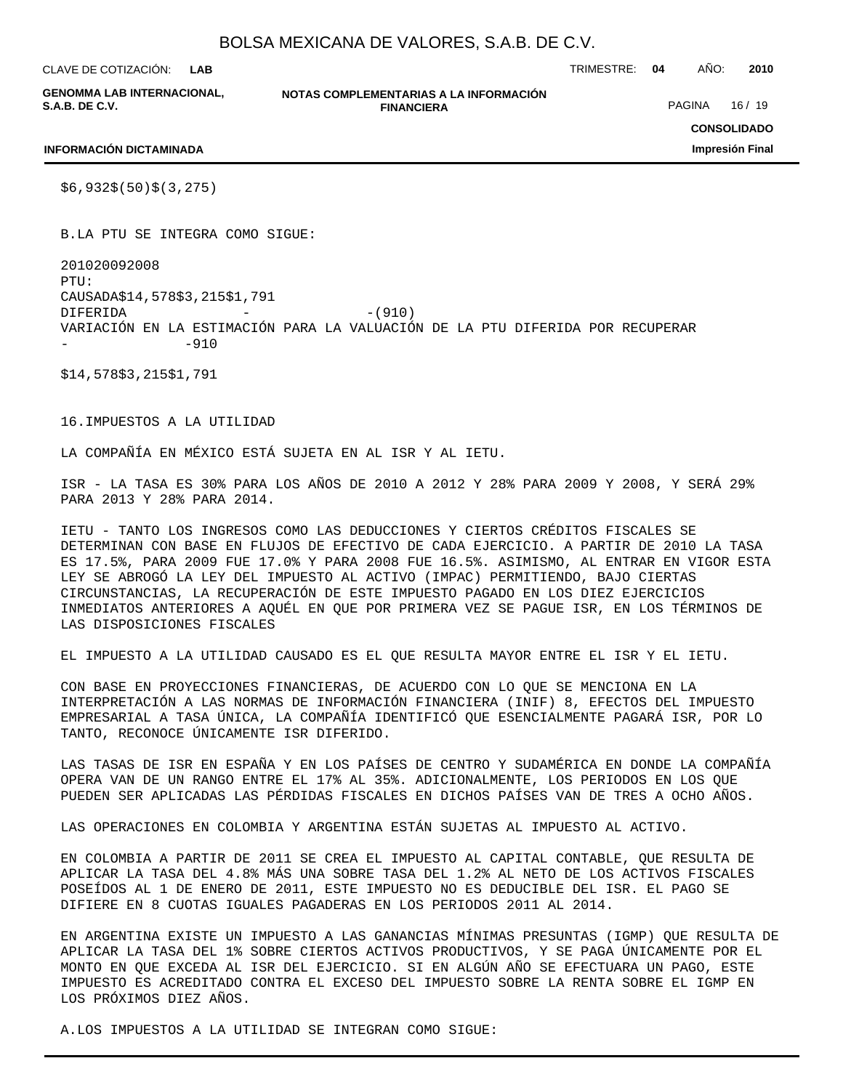CLAVE DE COTIZACIÓN: TRIMESTRE: **04** AÑO: **2010 LAB**

**GENOMMA LAB INTERNACIONAL, S.A.B. DE C.V.**

**NOTAS COMPLEMENTARIAS A LA INFORMACIÓN FINANCIERA**

PAGINA 16 / 19

**CONSOLIDADO**

**Impresión Final**

**INFORMACIÓN DICTAMINADA**

 $$6,932$$   $$(50)$   $$(3,275)$ 

B. LA PTU SE INTEGRA COMO SIGUE:

 2010 2009 2008 PTU: CAUSADA \$ 14,578 \$ 3,215 \$ 1,791 DIFERIDA - - (910) VARIACIÓN EN LA ESTIMACIÓN PARA LA VALUACIÓN DE LA PTU DIFERIDA POR RECUPERAR  $-$  910

 $$14,578$   $$3,215$   $$1,791$ 

16. IMPUESTOS A LA UTILIDAD

LA COMPAÑÍA EN MÉXICO ESTÁ SUJETA EN AL ISR Y AL IETU.

ISR - LA TASA ES 30% PARA LOS AÑOS DE 2010 A 2012 Y 28% PARA 2009 Y 2008, Y SERÁ 29% PARA 2013 Y 28% PARA 2014.

IETU - TANTO LOS INGRESOS COMO LAS DEDUCCIONES Y CIERTOS CRÉDITOS FISCALES SE DETERMINAN CON BASE EN FLUJOS DE EFECTIVO DE CADA EJERCICIO. A PARTIR DE 2010 LA TASA ES 17.5%, PARA 2009 FUE 17.0% Y PARA 2008 FUE 16.5%. ASIMISMO, AL ENTRAR EN VIGOR ESTA LEY SE ABROGÓ LA LEY DEL IMPUESTO AL ACTIVO (IMPAC) PERMITIENDO, BAJO CIERTAS CIRCUNSTANCIAS, LA RECUPERACIÓN DE ESTE IMPUESTO PAGADO EN LOS DIEZ EJERCICIOS INMEDIATOS ANTERIORES A AQUÉL EN QUE POR PRIMERA VEZ SE PAGUE ISR, EN LOS TÉRMINOS DE LAS DISPOSICIONES FISCALES

EL IMPUESTO A LA UTILIDAD CAUSADO ES EL QUE RESULTA MAYOR ENTRE EL ISR Y EL IETU.

CON BASE EN PROYECCIONES FINANCIERAS, DE ACUERDO CON LO QUE SE MENCIONA EN LA INTERPRETACIÓN A LAS NORMAS DE INFORMACIÓN FINANCIERA (INIF) 8, EFECTOS DEL IMPUESTO EMPRESARIAL A TASA ÚNICA, LA COMPAÑÍA IDENTIFICÓ QUE ESENCIALMENTE PAGARÁ ISR, POR LO TANTO, RECONOCE ÚNICAMENTE ISR DIFERIDO.

LAS TASAS DE ISR EN ESPAÑA Y EN LOS PAÍSES DE CENTRO Y SUDAMÉRICA EN DONDE LA COMPAÑÍA OPERA VAN DE UN RANGO ENTRE EL 17% AL 35%. ADICIONALMENTE, LOS PERIODOS EN LOS QUE PUEDEN SER APLICADAS LAS PÉRDIDAS FISCALES EN DICHOS PAÍSES VAN DE TRES A OCHO AÑOS.

LAS OPERACIONES EN COLOMBIA Y ARGENTINA ESTÁN SUJETAS AL IMPUESTO AL ACTIVO.

EN COLOMBIA A PARTIR DE 2011 SE CREA EL IMPUESTO AL CAPITAL CONTABLE, QUE RESULTA DE APLICAR LA TASA DEL 4.8% MÁS UNA SOBRE TASA DEL 1.2% AL NETO DE LOS ACTIVOS FISCALES POSEÍDOS AL 1 DE ENERO DE 2011, ESTE IMPUESTO NO ES DEDUCIBLE DEL ISR. EL PAGO SE DIFIERE EN 8 CUOTAS IGUALES PAGADERAS EN LOS PERIODOS 2011 AL 2014.

EN ARGENTINA EXISTE UN IMPUESTO A LAS GANANCIAS MÍNIMAS PRESUNTAS (IGMP) QUE RESULTA DE APLICAR LA TASA DEL 1% SOBRE CIERTOS ACTIVOS PRODUCTIVOS, Y SE PAGA ÚNICAMENTE POR EL MONTO EN QUE EXCEDA AL ISR DEL EJERCICIO. SI EN ALGÚN AÑO SE EFECTUARA UN PAGO, ESTE IMPUESTO ES ACREDITADO CONTRA EL EXCESO DEL IMPUESTO SOBRE LA RENTA SOBRE EL IGMP EN LOS PRÓXIMOS DIEZ AÑOS.

A. LOS IMPUESTOS A LA UTILIDAD SE INTEGRAN COMO SIGUE: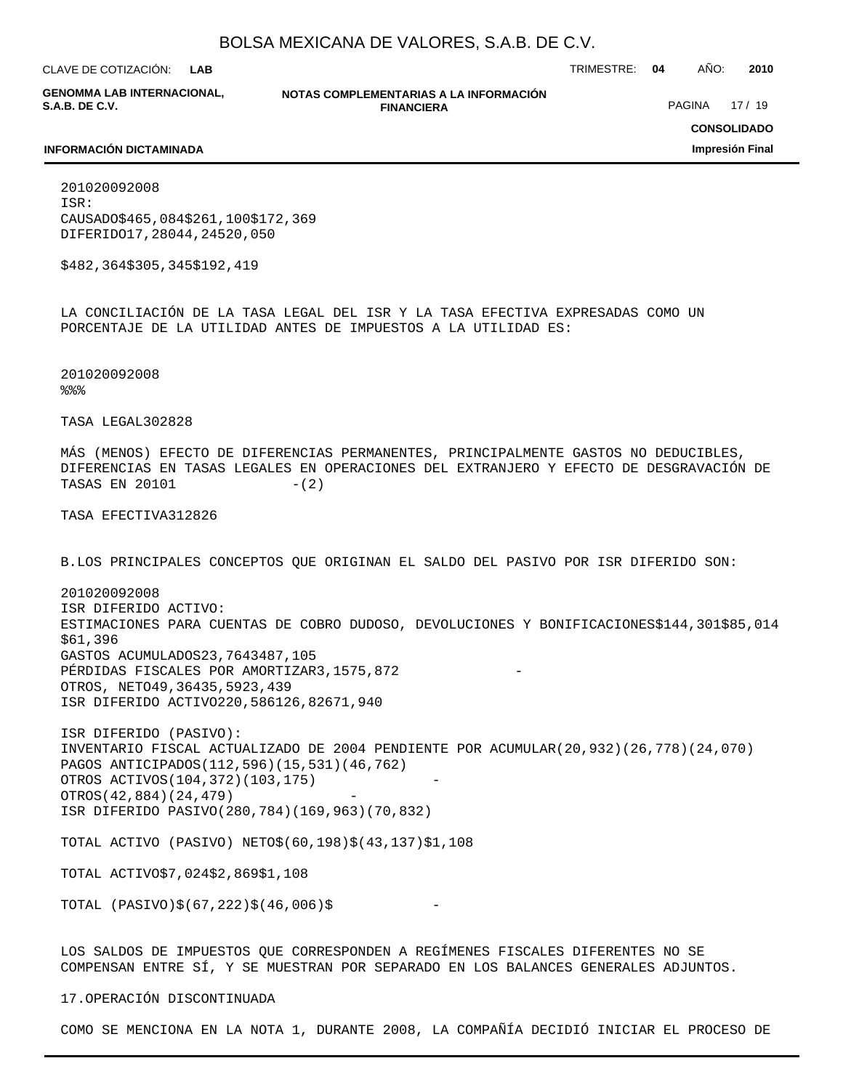**GENOMMA LAB INTERNACIONAL, S.A.B. DE C.V.**

**NOTAS COMPLEMENTARIAS A LA INFORMACIÓN FINANCIERA**

PAGINA 17 / 19

**CONSOLIDADO**

**Impresión Final**

#### **INFORMACIÓN DICTAMINADA**

 2010 2009 2008 ISR: CAUSADO \$ 465,084 \$ 261,100 \$ 172,369 DIFERIDO 17,280 44,245 20,050

 $$482,364$   $$305,345$   $$192,419$ 

LA CONCILIACIÓN DE LA TASA LEGAL DEL ISR Y LA TASA EFECTIVA EXPRESADAS COMO UN PORCENTAJE DE LA UTILIDAD ANTES DE IMPUESTOS A LA UTILIDAD ES:

2010 2009 2008  $\begin{array}{ccc} \circ & \circ & \circ \end{array}$ 

TASA LEGAL 30 28 28

MÁS (MENOS) EFECTO DE DIFERENCIAS PERMANENTES, PRINCIPALMENTE GASTOS NO DEDUCIBLES, DIFERENCIAS EN TASAS LEGALES EN OPERACIONES DEL EXTRANJERO Y EFECTO DE DESGRAVACIÓN DE TASAS EN  $2010$  1 - (2)

TASA EFECTIVA 31 28 26

B. LOS PRINCIPALES CONCEPTOS QUE ORIGINAN EL SALDO DEL PASIVO POR ISR DIFERIDO SON:

 2010 2009 2008 ISR DIFERIDO ACTIVO: ESTIMACIONES PARA CUENTAS DE COBRO DUDOSO, DEVOLUCIONES Y BONIFICACIONES \$ 144,301 \$ 85,014  $$61,396$ GASTOS ACUMULADOS 23,764 348 7,105 PÉRDIDAS FISCALES POR AMORTIZAR 3,157 5,872 OTROS, NETO 49,364 35,592 3,439 ISR DIFERIDO ACTIVO 220,586 126,826 71,940

ISR DIFERIDO (PASIVO): INVENTARIO FISCAL ACTUALIZADO DE 2004 PENDIENTE POR ACUMULAR (20,932) (26,778) (24,070) PAGOS ANTICIPADOS (112,596) (15,531) (46,762) OTROS ACTIVOS (104,372) (103,175) OTROS (42,884) (24,479) ISR DIFERIDO PASIVO (280,784) (169,963) (70,832)

TOTAL ACTIVO (PASIVO) NETO  $$ (60,198) $ (43,137) $ 1,108$ 

TOTAL ACTIVO \$ 7,024 \$ 2,869 \$ 1,108

TOTAL (PASIVO)  $$$  (67,222)  $$$  (46,006)  $$$ 

LOS SALDOS DE IMPUESTOS QUE CORRESPONDEN A REGÍMENES FISCALES DIFERENTES NO SE COMPENSAN ENTRE SÍ, Y SE MUESTRAN POR SEPARADO EN LOS BALANCES GENERALES ADJUNTOS.

17. OPERACIÓN DISCONTINUADA

COMO SE MENCIONA EN LA NOTA 1, DURANTE 2008, LA COMPAÑÍA DECIDIÓ INICIAR EL PROCESO DE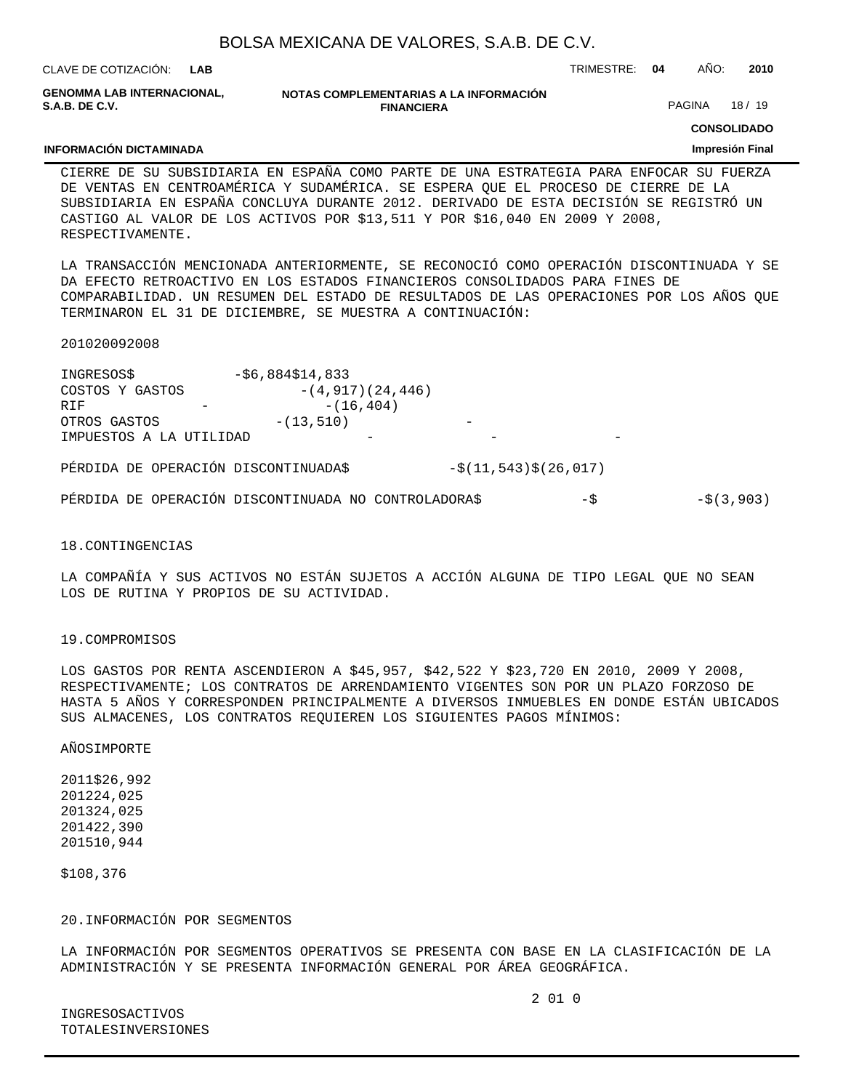| BOLSA MEXICANA DE VALORES, S.A.B. DE C.V. |  |  |  |
|-------------------------------------------|--|--|--|
|-------------------------------------------|--|--|--|

| CLAVE DE COTIZACIÓN:<br>LAB                                |                                                                                        | TRIMESTRE:    | AÑO:<br>04 | 2010               |
|------------------------------------------------------------|----------------------------------------------------------------------------------------|---------------|------------|--------------------|
| <b>GENOMMA LAB INTERNACIONAL,</b><br><b>S.A.B. DE C.V.</b> |                                                                                        | <b>PAGINA</b> | 18/19      |                    |
|                                                            |                                                                                        |               |            | <b>CONSOLIDADO</b> |
| <b>INFORMACIÓN DICTAMINADA</b>                             |                                                                                        |               |            | Impresión Final    |
|                                                            | CIERRE DE SU SUBSIDIARIA EN ESPAÑA COMO PARTE DE UNA ESTRATEGIA PARA ENFOCAR SU FUERZA |               |            |                    |
| DE.                                                        | VENTAS EN CENTROAMÉRICA Y SUDAMÉRICA. SE ESPERA QUE EL PROCESO DE CIERRE DE LA         |               |            |                    |

DE VENTAS EN CENTROAMÉRICA Y SUDAMÉRICA. SE ESPERA QUE EL PROCESO DE CIERRE DE LA SUBSIDIARIA EN ESPAÑA CONCLUYA DURANTE 2012. DERIVADO DE ESTA DECISIÓN SE REGISTRÓ UN CASTIGO AL VALOR DE LOS ACTIVOS POR \$13,511 Y POR \$16,040 EN 2009 Y 2008, RESPECTIVAMENTE.

LA TRANSACCIÓN MENCIONADA ANTERIORMENTE, SE RECONOCIÓ COMO OPERACIÓN DISCONTINUADA Y SE DA EFECTO RETROACTIVO EN LOS ESTADOS FINANCIEROS CONSOLIDADOS PARA FINES DE COMPARABILIDAD. UN RESUMEN DEL ESTADO DE RESULTADOS DE LAS OPERACIONES POR LOS AÑOS QUE TERMINARON EL 31 DE DICIEMBRE, SE MUESTRA A CONTINUACIÓN:

 2010 2009 2008

| INGRESOS \$<br>$-$ \$ 6,884 \$ 14,833<br>$ (4,917)$ $(24,446)$<br>COSTOS Y GASTOS<br>(16, 404)<br>RIF<br>$\overline{\phantom{m}}$<br>OTROS GASTOS<br>$-$ (13,510)<br>IMPUESTOS A LA UTILIDAD |                             |                |
|----------------------------------------------------------------------------------------------------------------------------------------------------------------------------------------------|-----------------------------|----------------|
| PÉRDIDA DE OPERACIÓN DISCONTINUADA \$                                                                                                                                                        | $-$ \$ (11,543) \$ (26,017) |                |
| PÉRDIDA DE OPERACIÓN DISCONTINUADA NO CONTROLADORA \$                                                                                                                                        | $- S$                       | $-$ \$ (3,903) |

18. CONTINGENCIAS

LA COMPAÑÍA Y SUS ACTIVOS NO ESTÁN SUJETOS A ACCIÓN ALGUNA DE TIPO LEGAL QUE NO SEAN LOS DE RUTINA Y PROPIOS DE SU ACTIVIDAD.

19. COMPROMISOS

LOS GASTOS POR RENTA ASCENDIERON A \$45,957, \$42,522 Y \$23,720 EN 2010, 2009 Y 2008, RESPECTIVAMENTE; LOS CONTRATOS DE ARRENDAMIENTO VIGENTES SON POR UN PLAZO FORZOSO DE HASTA 5 AÑOS Y CORRESPONDEN PRINCIPALMENTE A DIVERSOS INMUEBLES EN DONDE ESTÁN UBICADOS SUS ALMACENES, LOS CONTRATOS REQUIEREN LOS SIGUIENTES PAGOS MÍNIMOS:

AÑOS IMPORTE

2011 \$ 26,992 2012 24,025 2013 24,025 2014 22,390 2015 10,944

 $$108,376$ 

20. INFORMACIÓN POR SEGMENTOS

LA INFORMACIÓN POR SEGMENTOS OPERATIVOS SE PRESENTA CON BASE EN LA CLASIFICACIÓN DE LA ADMINISTRACIÓN Y SE PRESENTA INFORMACIÓN GENERAL POR ÁREA GEOGRÁFICA.

 INGRESOS ACTIVOS TOTALES INVERSIONES

 2 01 0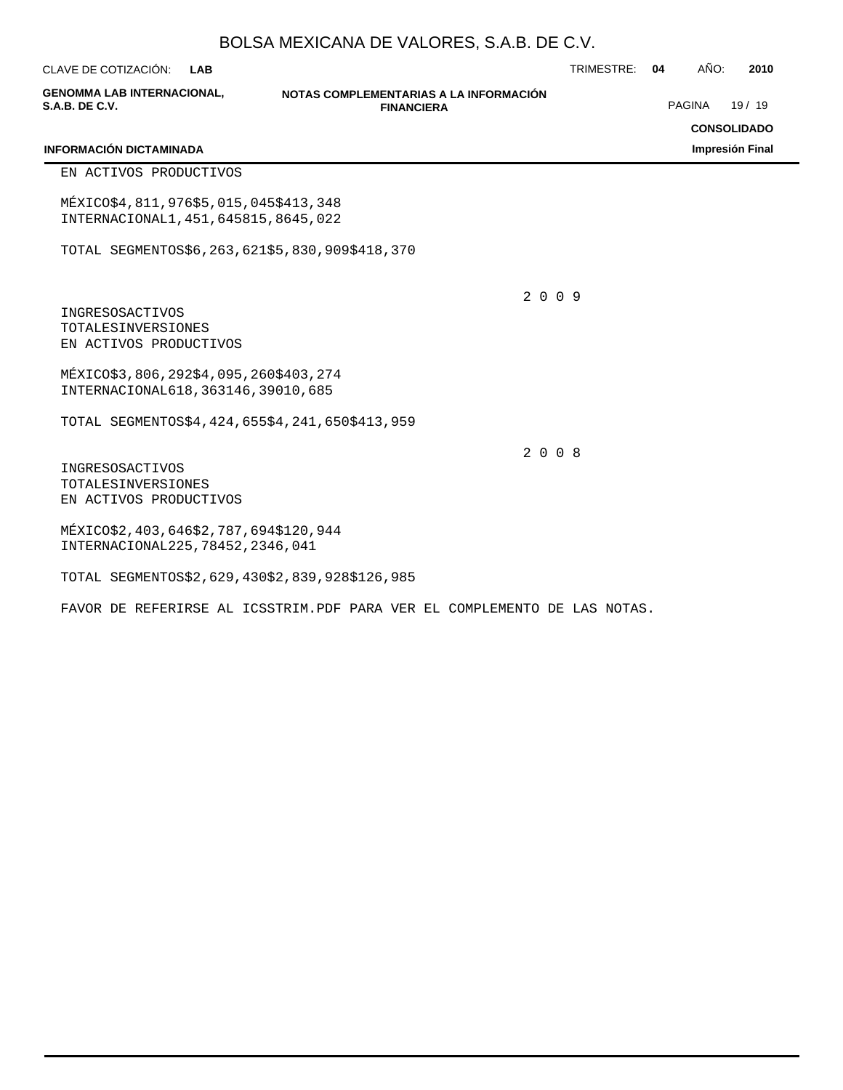| CLAVE DE COTIZACIÓN: LAB                                                             |                                                             | TRIMESTRE: 04 | AÑO: | 2010                               |
|--------------------------------------------------------------------------------------|-------------------------------------------------------------|---------------|------|------------------------------------|
| <b>GENOMMA LAB INTERNACIONAL,</b><br><b>S.A.B. DE C.V.</b>                           | NOTAS COMPLEMENTARIAS A LA INFORMACIÓN<br><b>FINANCIERA</b> |               |      | PAGINA 19/19<br><b>CONSOLIDADO</b> |
| <b>INFORMACIÓN DICTAMINADA</b>                                                       |                                                             |               |      | <b>Impresión Final</b>             |
| EN ACTIVOS PRODUCTIVOS                                                               |                                                             |               |      |                                    |
| MÉXICO \$ 4,811,976 \$ 5,015,045 \$ 413,348<br>INTERNACIONAL 1,451,645 815,864 5,022 |                                                             |               |      |                                    |
| TOTAL SEGMENTOS \$ 6,263,621 \$ 5,830,909 \$ 418,370                                 |                                                             |               |      |                                    |
| INGRESOS ACTIVOS<br>TOTALES INVERSIONES<br>EN ACTIVOS PRODUCTIVOS                    |                                                             | 2009          |      |                                    |
| MÉXICO \$ 3,806,292 \$ 4,095,260 \$ 403,274<br>INTERNACIONAL 618,363 146,390 10,685  |                                                             |               |      |                                    |
| TOTAL SEGMENTOS \$ 4,424,655 \$ 4,241,650 \$ 413,959                                 |                                                             |               |      |                                    |
| INGRESOS ACTIVOS<br>TOTALES INVERSIONES<br>EN ACTIVOS PRODUCTIVOS                    |                                                             | 2 0 0 8       |      |                                    |
| MÉXICO \$ 2,403,646 \$ 2,787,694 \$ 120,944<br>INTERNACIONAL 225,784 52,234 6,041    |                                                             |               |      |                                    |
| TOTAL SEGMENTOS \$ 2,629,430 \$ 2,839,928 \$ 126,985                                 |                                                             |               |      |                                    |

FAVOR DE REFERIRSE AL ICSSTRIM.PDF PARA VER EL COMPLEMENTO DE LAS NOTAS.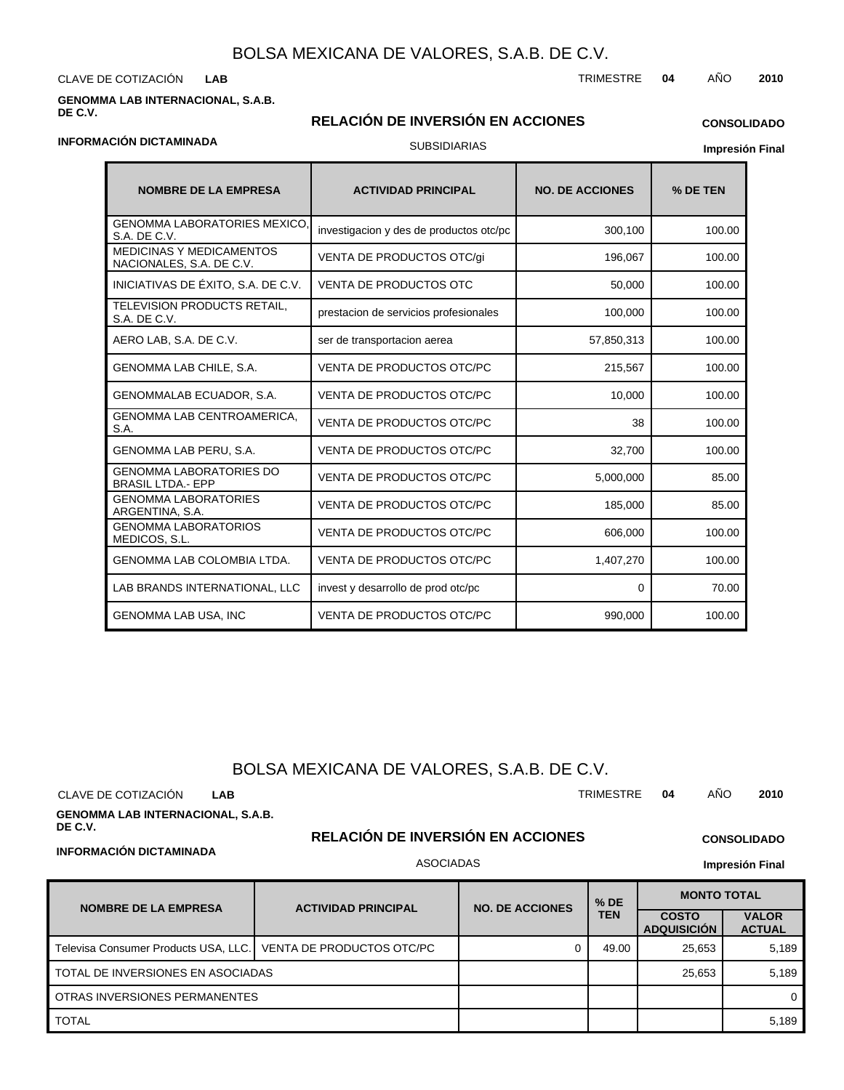### **GENOMMA LAB INTERNACIONAL, S.A.B. DE C.V.**

## **RELACIÓN DE INVERSIÓN EN ACCIONES INFORMACIÓN DICTAMINADA**

### **Impresión Final**

**CONSOLIDADO**

| <b>NOMBRE DE LA EMPRESA</b>                                 | <b>ACTIVIDAD PRINCIPAL</b>              | <b>NO. DE ACCIONES</b> | % DE TEN |
|-------------------------------------------------------------|-----------------------------------------|------------------------|----------|
| <b>GENOMMA LABORATORIES MEXICO.</b><br>S.A. DE C.V.         | investigacion y des de productos otc/pc | 300,100                | 100.00   |
| <b>MEDICINAS Y MEDICAMENTOS</b><br>NACIONALES, S.A. DE C.V. | VENTA DE PRODUCTOS OTC/qi               | 196,067                | 100.00   |
| INICIATIVAS DE ÉXITO. S.A. DE C.V.                          | <b>VENTA DE PRODUCTOS OTC</b>           | 50,000                 | 100.00   |
| TELEVISION PRODUCTS RETAIL,<br>S.A. DE C.V.                 | prestacion de servicios profesionales   | 100,000                | 100.00   |
| AERO LAB, S.A. DE C.V.                                      | ser de transportacion aerea             | 57,850,313             | 100.00   |
| GENOMMA LAB CHILE, S.A.                                     | <b>VENTA DE PRODUCTOS OTC/PC</b>        | 215,567                | 100.00   |
| GENOMMALAB ECUADOR, S.A.                                    | <b>VENTA DE PRODUCTOS OTC/PC</b>        | 10,000                 | 100.00   |
| GENOMMA LAB CENTROAMERICA,<br>S.A.                          | <b>VENTA DE PRODUCTOS OTC/PC</b>        | 38                     | 100.00   |
| GENOMMA LAB PERU, S.A.                                      | <b>VENTA DE PRODUCTOS OTC/PC</b>        | 32,700                 | 100.00   |
| <b>GENOMMA LABORATORIES DO</b><br><b>BRASIL LTDA.- EPP</b>  | <b>VENTA DE PRODUCTOS OTC/PC</b>        | 5,000,000              | 85.00    |
| <b>GENOMMA LABORATORIES</b><br>ARGENTINA, S.A.              | <b>VENTA DE PRODUCTOS OTC/PC</b>        | 185,000                | 85.00    |
| <b>GENOMMA LABORATORIOS</b><br>MEDICOS, S.L.                | VENTA DE PRODUCTOS OTC/PC               | 606,000                | 100.00   |
| GENOMMA LAB COLOMBIA LTDA.                                  | <b>VENTA DE PRODUCTOS OTC/PC</b>        | 1,407,270              | 100.00   |
| LAB BRANDS INTERNATIONAL, LLC                               | invest y desarrollo de prod otc/pc      | 0                      | 70.00    |
| <b>GENOMMA LAB USA, INC</b>                                 | <b>VENTA DE PRODUCTOS OTC/PC</b>        | 990,000                | 100.00   |

## BOLSA MEXICANA DE VALORES, S.A.B. DE C.V.

**LAB**

**INFORMACIÓN DICTAMINADA**

CLAVE DE COTIZACIÓN TRIMESTRE **04** AÑO **2010**

**GENOMMA LAB INTERNACIONAL, S.A.B. DE C.V.**

## **RELACIÓN DE INVERSIÓN EN ACCIONES**

## ASOCIADAS

**CONSOLIDADO**

**Impresión Final**

| <b>NOMBRE DE LA EMPRESA</b>                                      | <b>ACTIVIDAD PRINCIPAL</b> | <b>NO. DE ACCIONES</b> | $%$ DE | <b>MONTO TOTAL</b>                 |                               |  |
|------------------------------------------------------------------|----------------------------|------------------------|--------|------------------------------------|-------------------------------|--|
|                                                                  |                            |                        | TEN    | <b>COSTO</b><br><b>ADQUISICION</b> | <b>VALOR</b><br><b>ACTUAL</b> |  |
| Televisa Consumer Products USA, LLC.   VENTA DE PRODUCTOS OTC/PC |                            |                        | 49.00  | 25,653                             | 5,189                         |  |
| TOTAL DE INVERSIONES EN ASOCIADAS                                |                            |                        |        | 25,653                             | 5,189                         |  |
| OTRAS INVERSIONES PERMANENTES                                    |                            |                        |        |                                    | 0                             |  |
| <b>TOTAL</b>                                                     |                            |                        |        | 5,189                              |                               |  |

SUBSIDIARIAS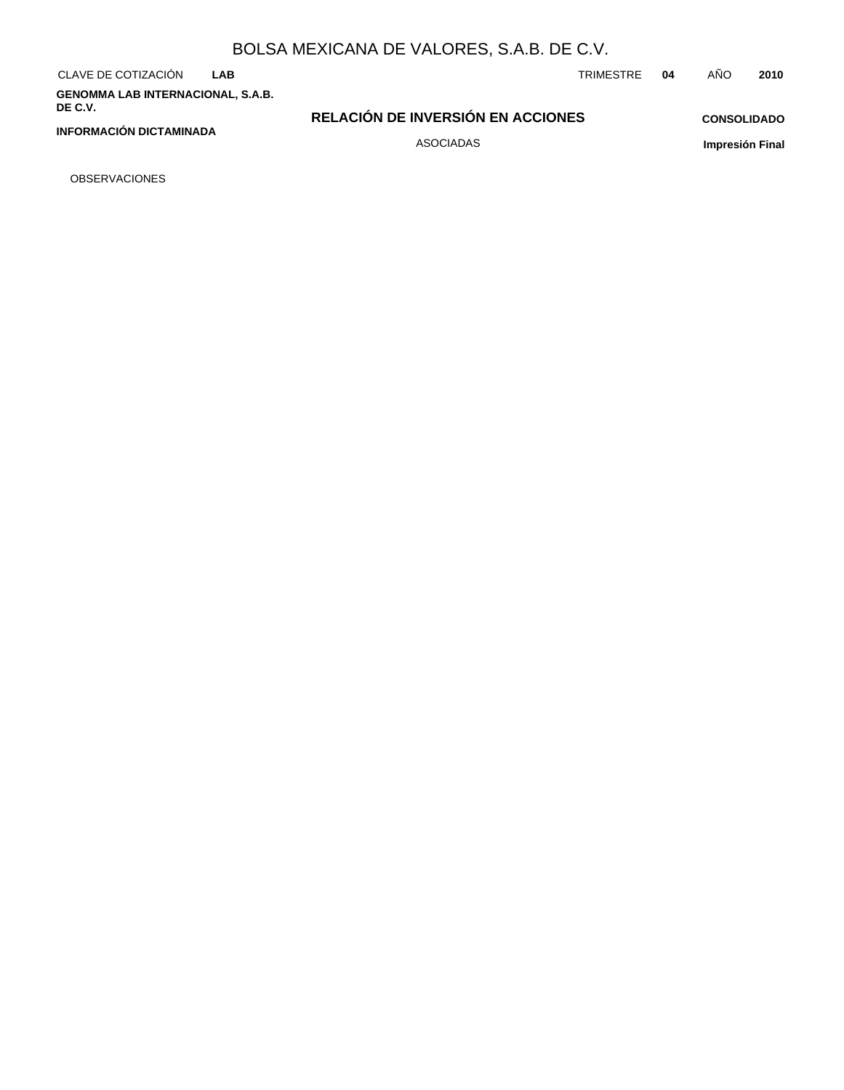| BOLSA MEXICANA DE VALORES, S.A.B. DE C.V. |  |  |
|-------------------------------------------|--|--|
|-------------------------------------------|--|--|

**LAB**

**GENOMMA LAB INTERNACIONAL, S.A.B. DE C.V.**

CLAVE DE COTIZACIÓN TRIMESTRE **04** AÑO **2010**

**RELACIÓN DE INVERSIÓN EN ACCIONES**

**CONSOLIDADO**

**INFORMACIÓN DICTAMINADA**

ASOCIADAS

**Impresión Final**

OBSERVACIONES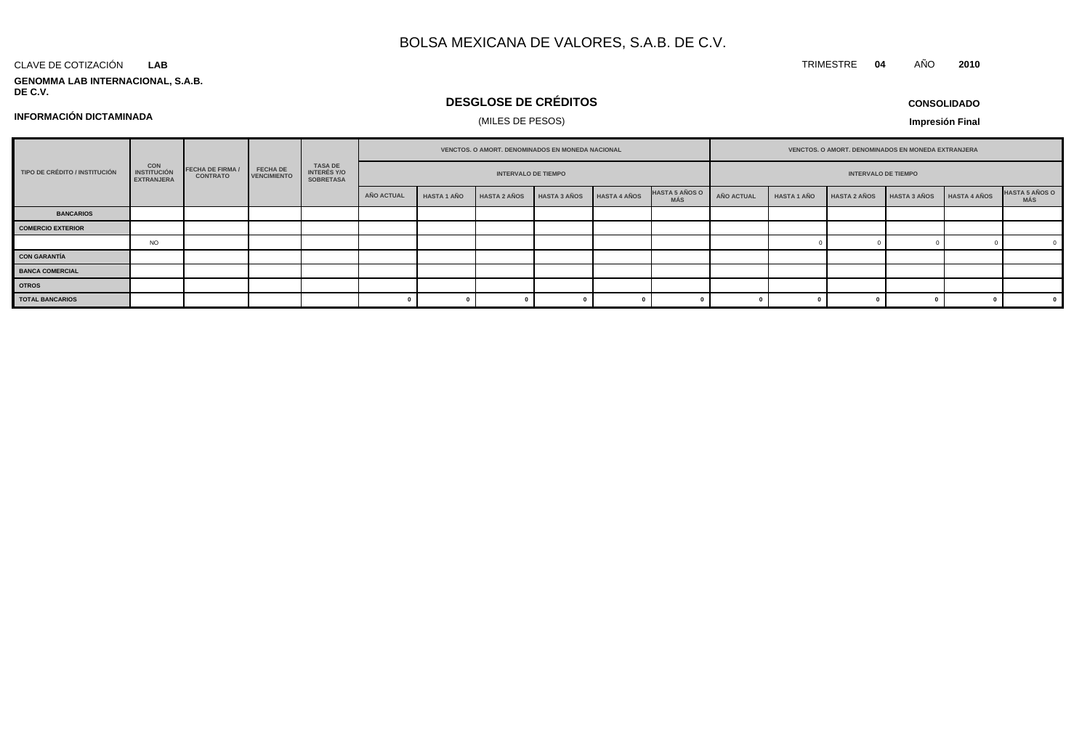#### CLAVE DE COTIZACIÓN **LAB**

**GENOMMA LAB INTERNACIONAL, S.A.B. DE C.V.**

## **DESGLOSE DE CRÉDITOS**

**CONSOLIDADO**

## **INFORMACIÓN DICTAMINADA**

## (MILES DE PESOS)

**Impresión Final**

|                               |                                                       |                                            |                                       |                                            | VENCTOS. O AMORT. DENOMINADOS EN MONEDA NACIONAL |                    |                            |  | VENCTOS. O AMORT. DENOMINADOS EN MONEDA EXTRANJERA |                              |                   |                    |                            |                     |                     |                              |
|-------------------------------|-------------------------------------------------------|--------------------------------------------|---------------------------------------|--------------------------------------------|--------------------------------------------------|--------------------|----------------------------|--|----------------------------------------------------|------------------------------|-------------------|--------------------|----------------------------|---------------------|---------------------|------------------------------|
| TIPO DE CRÉDITO / INSTITUCIÓN | <b>CON</b><br><b>INSTITUCIÓN</b><br><b>EXTRANJERA</b> | <b>FECHA DE FIRMA /</b><br><b>CONTRATO</b> | <b>FECHA DE</b><br><b>VENCIMIENTO</b> | TASA DE<br>INTERÉS Y/O<br><b>SOBRETASA</b> |                                                  |                    | <b>INTERVALO DE TIEMPO</b> |  |                                                    |                              |                   |                    | <b>INTERVALO DE TIEMPO</b> |                     |                     |                              |
|                               |                                                       |                                            |                                       |                                            | AÑO ACTUAL                                       | <b>HASTA 1 AÑO</b> | HASTA 2 AÑOS HASTA 3 AÑOS  |  | <b>HASTA 4 AÑOS</b>                                | HASTA 5 AÑOS O<br><b>MÁS</b> | <b>AÑO ACTUAL</b> | <b>HASTA 1 AÑO</b> | <b>HASTA 2 AÑOS</b>        | <b>HASTA 3 AÑOS</b> | <b>HASTA 4 AÑOS</b> | <b>HASTA 5 AÑOS O</b><br>MÁS |
| <b>BANCARIOS</b>              |                                                       |                                            |                                       |                                            |                                                  |                    |                            |  |                                                    |                              |                   |                    |                            |                     |                     |                              |
| <b>COMERCIO EXTERIOR</b>      |                                                       |                                            |                                       |                                            |                                                  |                    |                            |  |                                                    |                              |                   |                    |                            |                     |                     |                              |
|                               | <b>NO</b>                                             |                                            |                                       |                                            |                                                  |                    |                            |  |                                                    |                              |                   |                    |                            |                     |                     |                              |
| <b>CON GARANTÍA</b>           |                                                       |                                            |                                       |                                            |                                                  |                    |                            |  |                                                    |                              |                   |                    |                            |                     |                     |                              |
| <b>BANCA COMERCIAL</b>        |                                                       |                                            |                                       |                                            |                                                  |                    |                            |  |                                                    |                              |                   |                    |                            |                     |                     |                              |
| <b>OTROS</b>                  |                                                       |                                            |                                       |                                            |                                                  |                    |                            |  |                                                    |                              |                   |                    |                            |                     |                     |                              |
| <b>TOTAL BANCARIOS</b>        |                                                       |                                            |                                       |                                            |                                                  |                    |                            |  |                                                    |                              |                   |                    |                            |                     |                     |                              |

TRIMESTRE **04** AÑO **2010**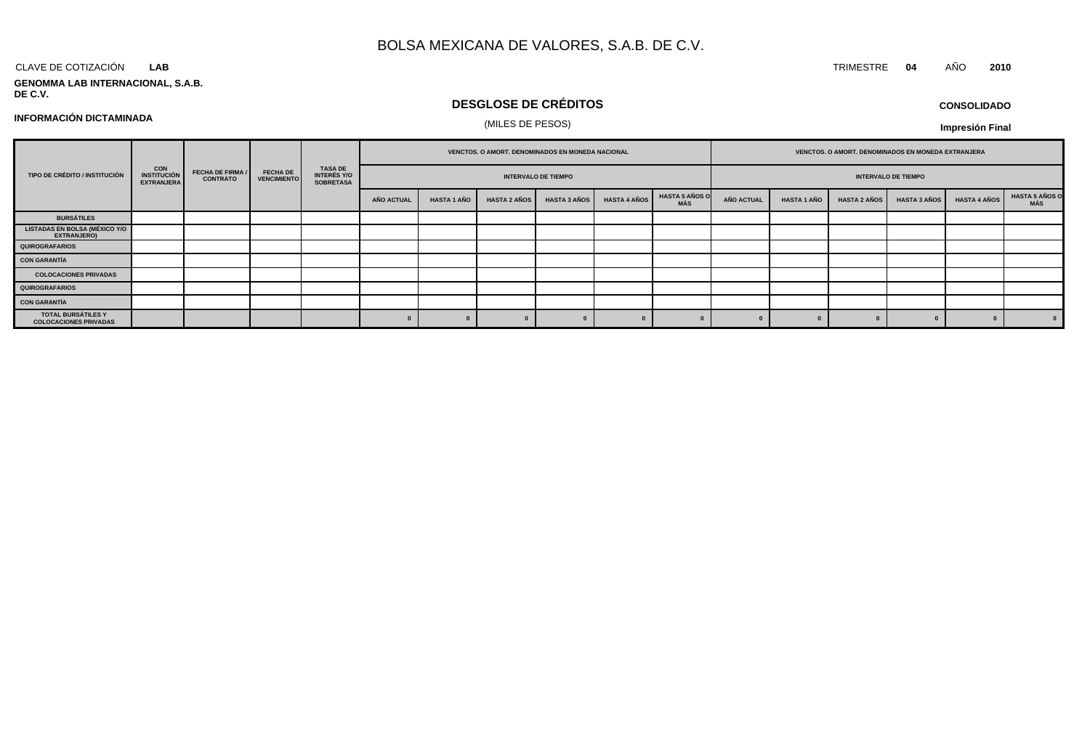#### CLAVE DE COTIZACIÓN TRIMESTRE **04** AÑO **2010 LAB**

# **GENOMMA LAB INTERNACIONAL, S.A.B.**

## **DESGLOSE DE CRÉDITOS**

# (MILES DE PESOS) **INFORMACIÓN DICTAMINADA**

## **CONSOLIDADO**

**Impresión Final**

|                                                     |                                                 | <b>FECHA DE FIRMA /</b><br><b>CONTRATO</b> | <b>FECHA DE</b><br><b>VENCIMIENTO</b> | TASA DE<br>INTERÉS Y/O<br><b>SOBRETASA</b> | VENCTOS. O AMORT. DENOMINADOS EN MONEDA NACIONAL |                    |                     |                     | VENCTOS. O AMORT. DENOMINADOS EN MONEDA EXTRANJERA |                              |                   |                    |                     |                     |                     |                       |
|-----------------------------------------------------|-------------------------------------------------|--------------------------------------------|---------------------------------------|--------------------------------------------|--------------------------------------------------|--------------------|---------------------|---------------------|----------------------------------------------------|------------------------------|-------------------|--------------------|---------------------|---------------------|---------------------|-----------------------|
| TIPO DE CRÉDITO / INSTITUCIÓN                       | <b>CON<br/>INSTITUCIÓN</b><br><b>EXTRANJERA</b> |                                            |                                       |                                            | <b>INTERVALO DE TIEMPO</b>                       |                    |                     |                     |                                                    | <b>INTERVALO DE TIEMPO</b>   |                   |                    |                     |                     |                     |                       |
|                                                     |                                                 |                                            |                                       |                                            | <b>AÑO ACTUAL</b>                                | <b>HASTA 1 AÑO</b> | <b>HASTA 2 AÑOS</b> | <b>HASTA 3 AÑOS</b> | <b>HASTA 4 AÑOS</b>                                | <b>HASTA 5 AÑOS O</b><br>MÁS | <b>AÑO ACTUAL</b> | <b>HASTA 1 AÑO</b> | <b>HASTA 2 AÑOS</b> | <b>HASTA 3 AÑOS</b> | <b>HASTA 4 AÑOS</b> | HASTA 5 AÑOS O<br>MÁS |
| <b>BURSÁTILES</b>                                   |                                                 |                                            |                                       |                                            |                                                  |                    |                     |                     |                                                    |                              |                   |                    |                     |                     |                     |                       |
| <b>LISTADAS EN BOLSA (MÉXICO Y/O</b><br>EXTRANJERO) |                                                 |                                            |                                       |                                            |                                                  |                    |                     |                     |                                                    |                              |                   |                    |                     |                     |                     |                       |
| <b>QUIROGRAFARIOS</b>                               |                                                 |                                            |                                       |                                            |                                                  |                    |                     |                     |                                                    |                              |                   |                    |                     |                     |                     |                       |
| CON GARANTÍA                                        |                                                 |                                            |                                       |                                            |                                                  |                    |                     |                     |                                                    |                              |                   |                    |                     |                     |                     |                       |
| <b>COLOCACIONES PRIVADAS</b>                        |                                                 |                                            |                                       |                                            |                                                  |                    |                     |                     |                                                    |                              |                   |                    |                     |                     |                     |                       |
| <b>QUIROGRAFARIOS</b>                               |                                                 |                                            |                                       |                                            |                                                  |                    |                     |                     |                                                    |                              |                   |                    |                     |                     |                     |                       |
| <b>CON GARANTÍA</b>                                 |                                                 |                                            |                                       |                                            |                                                  |                    |                     |                     |                                                    |                              |                   |                    |                     |                     |                     |                       |
| TOTAL BURSÁTILES Y<br><b>COLOCACIONES PRIVADAS</b>  |                                                 |                                            |                                       |                                            |                                                  |                    |                     |                     |                                                    |                              |                   |                    |                     |                     |                     |                       |

# **DE C.V.**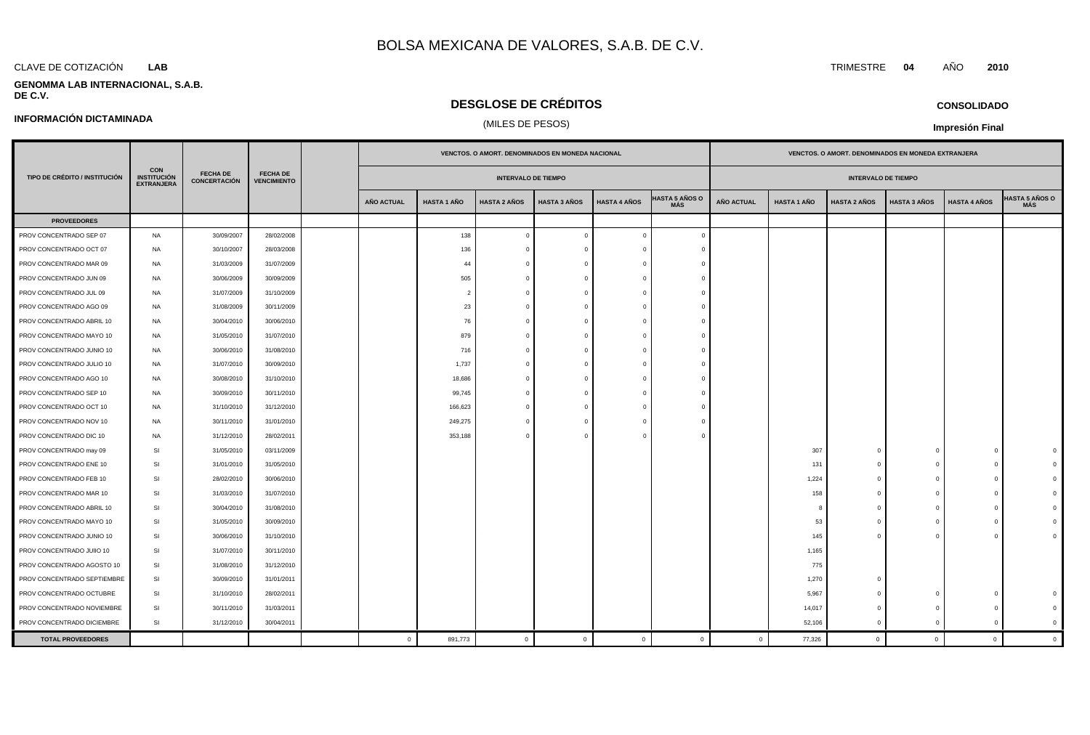**INFORMACIÓN DICTAMINADA**

#### **GENOMMA LAB INTERNACIONAL, S.A.B. DE C.V.**

## **DESGLOSE DE CRÉDITOS**

## (MILES DE PESOS)

**CONSOLIDADO**

**Impresión Final**

|                               |                                                       |                                        |                                       |              |                    |                            | VENCTOS. O AMORT. DENOMINADOS EN MONEDA NACIONAL |                     |                              |                   |                    | VENCTOS. O AMORT. DENOMINADOS EN MONEDA EXTRANJERA |                     |                     |                              |
|-------------------------------|-------------------------------------------------------|----------------------------------------|---------------------------------------|--------------|--------------------|----------------------------|--------------------------------------------------|---------------------|------------------------------|-------------------|--------------------|----------------------------------------------------|---------------------|---------------------|------------------------------|
| TIPO DE CRÉDITO / INSTITUCIÓN | <b>CON</b><br><b>INSTITUCIÓN</b><br><b>EXTRANJERA</b> | <b>FECHA DE</b><br><b>CONCERTACIÓN</b> | <b>FECHA DE</b><br><b>VENCIMIENTO</b> |              |                    | <b>INTERVALO DE TIEMPO</b> |                                                  |                     |                              |                   |                    | <b>INTERVALO DE TIEMPO</b>                         |                     |                     |                              |
|                               |                                                       |                                        |                                       | AÑO ACTUAL   | <b>HASTA 1 AÑO</b> | <b>HASTA 2 AÑOS</b>        | <b>HASTA 3 AÑOS</b>                              | <b>HASTA 4 AÑOS</b> | <b>HASTA 5 AÑOS O</b><br>MÁS | <b>AÑO ACTUAL</b> | <b>HASTA 1 AÑO</b> | HASTA 2 AÑOS                                       | <b>HASTA 3 AÑOS</b> | <b>HASTA 4 AÑOS</b> | <b>HASTA 5 AÑOS O</b><br>MÁS |
| <b>PROVEEDORES</b>            |                                                       |                                        |                                       |              |                    |                            |                                                  |                     |                              |                   |                    |                                                    |                     |                     |                              |
| PROV CONCENTRADO SEP 07       | NA                                                    | 30/09/2007                             | 28/02/2008                            |              | 138                | $\mathbf 0$                | - 0                                              | $\Omega$            |                              |                   |                    |                                                    |                     |                     |                              |
| PROV CONCENTRADO OCT 07       | <b>NA</b>                                             | 30/10/2007                             | 28/03/2008                            |              | 136                | $\mathbf 0$                | $\Omega$                                         | - 0                 | $\Omega$                     |                   |                    |                                                    |                     |                     |                              |
| PROV CONCENTRADO MAR 09       | <b>NA</b>                                             | 31/03/2009                             | 31/07/2009                            |              | 44                 | $\Omega$                   | $\Omega$                                         | - C                 |                              |                   |                    |                                                    |                     |                     |                              |
| PROV CONCENTRADO JUN 09       | NA                                                    | 30/06/2009                             | 30/09/2009                            |              | 505                | $\mathbf 0$                | $\Omega$                                         | $\sqrt{ }$          | $\epsilon$                   |                   |                    |                                                    |                     |                     |                              |
| PROV CONCENTRADO JUL 09       | <b>NA</b>                                             | 31/07/2009                             | 31/10/2009                            |              | $\overline{2}$     | $\Omega$                   | $\Omega$                                         | - C                 |                              |                   |                    |                                                    |                     |                     |                              |
| PROV CONCENTRADO AGO 09       | NA                                                    | 31/08/2009                             | 30/11/2009                            |              | 23                 | $\mathbf 0$                |                                                  |                     |                              |                   |                    |                                                    |                     |                     |                              |
| PROV CONCENTRADO ABRIL 10     | NA                                                    | 30/04/2010                             | 30/06/2010                            |              | 76                 | $\Omega$                   | $\Omega$                                         | $\Omega$            | $\Omega$                     |                   |                    |                                                    |                     |                     |                              |
| PROV CONCENTRADO MAYO 10      | <b>NA</b>                                             | 31/05/2010                             | 31/07/2010                            |              | 879                | $\Omega$                   |                                                  |                     |                              |                   |                    |                                                    |                     |                     |                              |
| PROV CONCENTRADO JUNIO 10     | <b>NA</b>                                             | 30/06/2010                             | 31/08/2010                            |              | 716                | $\mathbf 0$                | $\Omega$                                         | $\Omega$            | $\Omega$                     |                   |                    |                                                    |                     |                     |                              |
| PROV CONCENTRADO JULIO 10     | <b>NA</b>                                             | 31/07/2010                             | 30/09/2010                            |              | 1,737              | $\Omega$                   | $\Omega$                                         | - C                 |                              |                   |                    |                                                    |                     |                     |                              |
| PROV CONCENTRADO AGO 10       | NA                                                    | 30/08/2010                             | 31/10/2010                            |              | 18,686             | $\Omega$                   |                                                  |                     |                              |                   |                    |                                                    |                     |                     |                              |
| PROV CONCENTRADO SEP 10       | <b>NA</b>                                             | 30/09/2010                             | 30/11/2010                            |              | 99,745             | $\Omega$                   | $\Omega$                                         | - 0                 |                              |                   |                    |                                                    |                     |                     |                              |
| PROV CONCENTRADO OCT 10       | <b>NA</b>                                             | 31/10/2010                             | 31/12/2010                            |              | 166,623            | $\mathbf 0$                |                                                  |                     |                              |                   |                    |                                                    |                     |                     |                              |
| PROV CONCENTRADO NOV 10       | <b>NA</b>                                             | 30/11/2010                             | 31/01/2010                            |              | 249,275            | $\Omega$                   | $\Omega$                                         | $\Omega$            | $\Omega$                     |                   |                    |                                                    |                     |                     |                              |
| PROV CONCENTRADO DIC 10       | <b>NA</b>                                             | 31/12/2010                             | 28/02/2011                            |              | 353,188            | $\Omega$                   |                                                  |                     |                              |                   |                    |                                                    |                     |                     |                              |
| PROV CONCENTRADO may 09       | SI                                                    | 31/05/2010                             | 03/11/2009                            |              |                    |                            |                                                  |                     |                              |                   | 307                | $\Omega$                                           |                     | $^{\circ}$          |                              |
| PROV CONCENTRADO ENE 10       | <b>SI</b>                                             | 31/01/2010                             | 31/05/2010                            |              |                    |                            |                                                  |                     |                              |                   | 131                | $\Omega$                                           |                     | $\mathbf 0$         | $\Omega$                     |
| PROV CONCENTRADO FEB 10       | -SI                                                   | 28/02/2010                             | 30/06/2010                            |              |                    |                            |                                                  |                     |                              |                   | 1,224              | $\Omega$                                           |                     | $\mathbf 0$         | $\Omega$                     |
| PROV CONCENTRADO MAR 10       | <b>SI</b>                                             | 31/03/2010                             | 31/07/2010                            |              |                    |                            |                                                  |                     |                              |                   | 158                | $\Omega$                                           |                     | $\mathbf 0$         | $\Omega$                     |
| PROV CONCENTRADO ABRIL 10     | SI                                                    | 30/04/2010                             | 31/08/2010                            |              |                    |                            |                                                  |                     |                              |                   |                    |                                                    |                     | $\Omega$            |                              |
| PROV CONCENTRADO MAYO 10      | SI                                                    | 31/05/2010                             | 30/09/2010                            |              |                    |                            |                                                  |                     |                              |                   | 53                 | $\Omega$                                           |                     | $\mathbf 0$         | $\Omega$                     |
| PROV CONCENTRADO JUNIO 10     | -SI                                                   | 30/06/2010                             | 31/10/2010                            |              |                    |                            |                                                  |                     |                              |                   | 145                | $\Omega$                                           |                     | $\Omega$            |                              |
| PROV CONCENTRADO JUIIO 10     | <b>SI</b>                                             | 31/07/2010                             | 30/11/2010                            |              |                    |                            |                                                  |                     |                              |                   | 1,165              |                                                    |                     |                     |                              |
| PROV CONCENTRADO AGOSTO 10    | SI                                                    | 31/08/2010                             | 31/12/2010                            |              |                    |                            |                                                  |                     |                              |                   | 775                |                                                    |                     |                     |                              |
| PROV CONCENTRADO SEPTIEMBRE   | SI                                                    | 30/09/2010                             | 31/01/2011                            |              |                    |                            |                                                  |                     |                              |                   | 1,270              |                                                    |                     |                     |                              |
| PROV CONCENTRADO OCTUBRE      | <b>SI</b>                                             | 31/10/2010                             | 28/02/2011                            |              |                    |                            |                                                  |                     |                              |                   | 5,967              | $\sqrt{ }$                                         |                     | $\Omega$            |                              |
| PROV CONCENTRADO NOVIEMBRE    | SI                                                    | 30/11/2010                             | 31/03/2011                            |              |                    |                            |                                                  |                     |                              |                   | 14,017             | $\Omega$                                           |                     | $\mathbf{0}$        | $\overline{\mathbf{0}}$      |
| PROV CONCENTRADO DICIEMBRE    | <b>SI</b>                                             | 31/12/2010                             | 30/04/2011                            |              |                    |                            |                                                  |                     |                              |                   | 52,106             | $\mathbf{0}$                                       | $\Omega$            | $\mathbf{0}$        | $\overline{0}$               |
| <b>TOTAL PROVEEDORES</b>      |                                                       |                                        |                                       | $\mathbf{0}$ | 891,773            | $\mathbf{0}$               | $\mathbf{0}$                                     | $\overline{0}$      | $\Omega$                     | $\mathbf{0}$      | 77,326             | $\circ$                                            | $\Omega$            | $\overline{0}$      | $\mathbf{0}$                 |

### **LAB**

CLAVE DE COTIZACIÓN TRIMESTRE **04** AÑO **2010**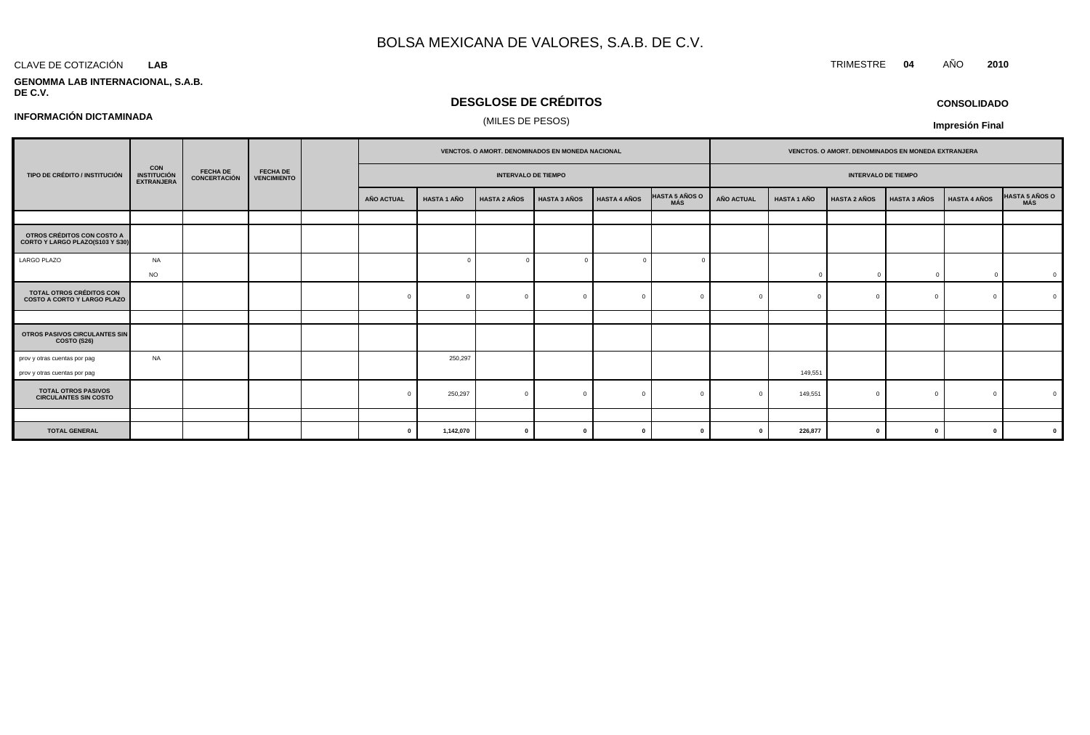#### CLAVE DE COTIZACIÓN TRIMESTRE **04** AÑO **2010 LAB**

**INFORMACIÓN DICTAMINADA**

#### **GENOMMA LAB INTERNACIONAL, S.A.B. DE C.V.**

## **DESGLOSE DE CRÉDITOS**

## (MILES DE PESOS)

**CONSOLIDADO**

|                                                                       |                                                       |                                        |                                       |  | VENCTOS. O AMORT. DENOMINADOS EN MONEDA NACIONAL |                    |                     |                     |                     |                       | VENCTOS. O AMORT. DENOMINADOS EN MONEDA EXTRANJERA |                    |                            |              |                     |                         |
|-----------------------------------------------------------------------|-------------------------------------------------------|----------------------------------------|---------------------------------------|--|--------------------------------------------------|--------------------|---------------------|---------------------|---------------------|-----------------------|----------------------------------------------------|--------------------|----------------------------|--------------|---------------------|-------------------------|
| TIPO DE CRÉDITO / INSTITUCIÓN                                         | <b>CON</b><br><b>INSTITUCIÓN</b><br><b>EXTRANJERA</b> | <b>FECHA DE</b><br><b>CONCERTACIÓN</b> | <b>FECHA DE</b><br><b>VENCIMIENTO</b> |  | <b>INTERVALO DE TIEMPO</b>                       |                    |                     |                     |                     |                       |                                                    |                    | <b>INTERVALO DE TIEMPO</b> |              |                     |                         |
|                                                                       |                                                       |                                        |                                       |  | AÑO ACTUAL                                       | <b>HASTA 1 AÑO</b> | <b>HASTA 2 AÑOS</b> | <b>HASTA 3 AÑOS</b> | <b>HASTA 4 AÑOS</b> | HASTA 5 AÑOS O<br>MÁS | <b>AÑO ACTUAL</b>                                  | <b>HASTA 1 AÑO</b> | <b>HASTA 2 AÑOS</b>        | HASTA 3 AÑOS | <b>HASTA 4 AÑOS</b> | HASTA 5 AÑOS O          |
|                                                                       |                                                       |                                        |                                       |  |                                                  |                    |                     |                     |                     |                       |                                                    |                    |                            |              |                     |                         |
| OTROS CRÉDITOS CON COSTO A<br>CORTO Y LARGO PLAZO(S103 Y S30)         |                                                       |                                        |                                       |  |                                                  |                    |                     |                     |                     |                       |                                                    |                    |                            |              |                     |                         |
| LARGO PLAZO                                                           | <b>NA</b>                                             |                                        |                                       |  |                                                  | $\Omega$           |                     | $\Omega$            |                     |                       |                                                    |                    |                            |              |                     |                         |
|                                                                       | <b>NO</b>                                             |                                        |                                       |  |                                                  |                    |                     |                     |                     |                       |                                                    | $\Omega$           | $\Omega$                   |              | $\Omega$            | $\overline{\mathbf{0}}$ |
| <b>TOTAL OTROS CRÉDITOS CON</b><br><b>COSTO A CORTO Y LARGO PLAZO</b> |                                                       |                                        |                                       |  |                                                  | $\Omega$           |                     | $\Omega$            |                     |                       | $\Omega$                                           |                    | $\Omega$                   | $\sqrt{ }$   |                     |                         |
|                                                                       |                                                       |                                        |                                       |  |                                                  |                    |                     |                     |                     |                       |                                                    |                    |                            |              |                     |                         |
| OTROS PASIVOS CIRCULANTES SIN<br>COSTO (S26)                          |                                                       |                                        |                                       |  |                                                  |                    |                     |                     |                     |                       |                                                    |                    |                            |              |                     |                         |
| prov y otras cuentas por pag<br>prov y otras cuentas por pag          | <b>NA</b>                                             |                                        |                                       |  |                                                  | 250,297            |                     |                     |                     |                       |                                                    | 149,551            |                            |              |                     |                         |
| <b>TOTAL OTROS PASIVOS</b><br><b>CIRCULANTES SIN COSTO</b>            |                                                       |                                        |                                       |  |                                                  | 250,297            |                     | $\cap$              | $\sqrt{ }$          |                       | $\Omega$                                           | 149,551            | $\Omega$                   | $\Omega$     |                     |                         |
|                                                                       |                                                       |                                        |                                       |  |                                                  |                    |                     |                     |                     |                       |                                                    |                    |                            |              |                     |                         |
| <b>TOTAL GENERAL</b>                                                  |                                                       |                                        |                                       |  |                                                  | 1,142,070          |                     | $\mathbf{0}$        |                     |                       | $\mathbf{0}$                                       | 226,877            | $\mathbf{0}$               | $\mathbf{0}$ | 0                   | $\mathbf 0$             |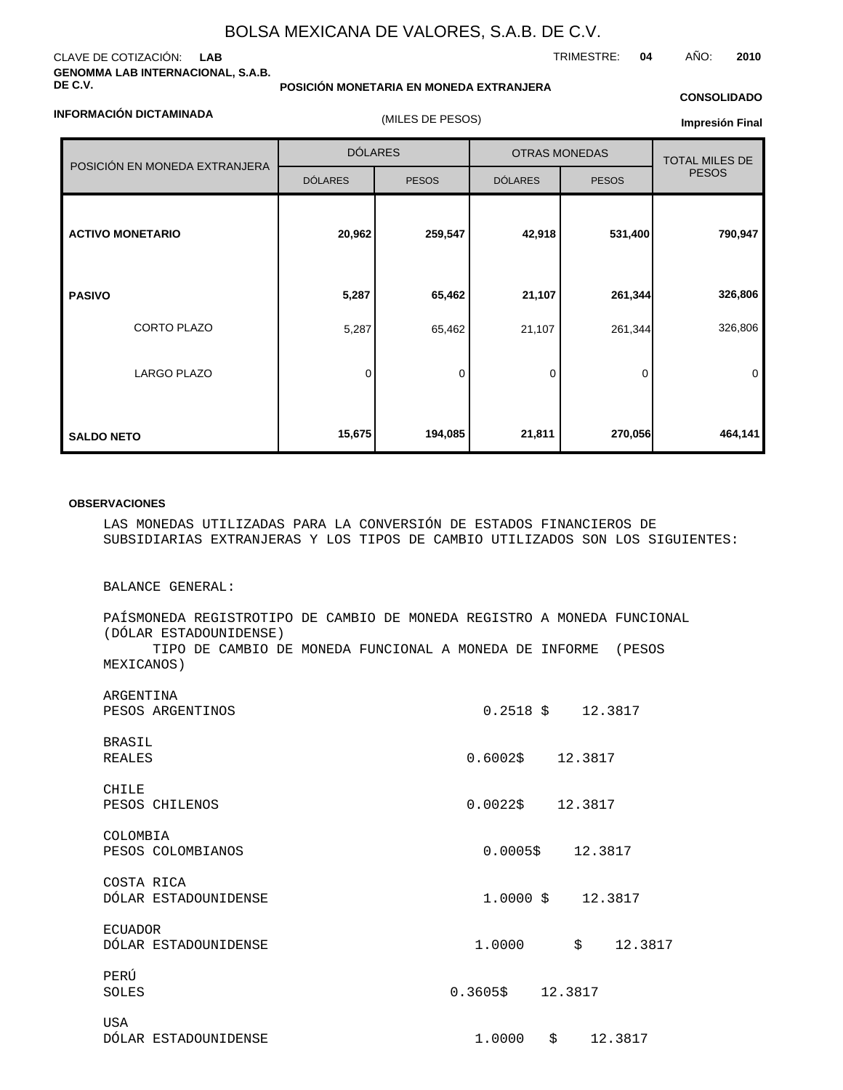### CLAVE DE COTIZACIÓN: **LAB GENOMMA LAB INTERNACIONAL, S.A.B. DE C.V.**

#### **POSICIÓN MONETARIA EN MONEDA EXTRANJERA**

## TRIMESTRE: **04** AÑO: **2010**

## **INFORMACIÓN DICTAMINADA**

(MILES DE PESOS)

# **CONSOLIDADO**

|                               | <b>DÓLARES</b> |              | <b>OTRAS MONEDAS</b> |              | <b>TOTAL MILES DE</b> |  |
|-------------------------------|----------------|--------------|----------------------|--------------|-----------------------|--|
| POSICIÓN EN MONEDA EXTRANJERA | <b>DÓLARES</b> | <b>PESOS</b> | <b>DÓLARES</b>       | <b>PESOS</b> | <b>PESOS</b>          |  |
| <b>ACTIVO MONETARIO</b>       | 20,962         | 259,547      | 42,918               | 531,400      | 790,947               |  |
| <b>PASIVO</b>                 | 5,287          | 65,462       | 21,107               | 261,344      | 326,806               |  |
| CORTO PLAZO                   | 5,287          | 65,462       | 21,107               | 261,344      | 326,806               |  |
| <b>LARGO PLAZO</b>            | 0              | 0            | 0                    | 0            | 0                     |  |
| <b>SALDO NETO</b>             | 15,675         | 194,085      | 21,811               | 270,056      | 464,141               |  |

#### **OBSERVACIONES**

LAS MONEDAS UTILIZADAS PARA LA CONVERSIÓN DE ESTADOS FINANCIEROS DE SUBSIDIARIAS EXTRANJERAS Y LOS TIPOS DE CAMBIO UTILIZADOS SON LOS SIGUIENTES:

BALANCE GENERAL:

PAÍS MONEDA REGISTRO TIPO DE CAMBIO DE MONEDA REGISTRO A MONEDA FUNCIONAL (DÓLAR ESTADOUNIDENSE) TIPO DE CAMBIO DE MONEDA FUNCIONAL A MONEDA DE INFORME (PESOS MEXICANOS)

| ARGENTINA<br>PESOS ARGENTINOS          | $0.2518 \quad $12.3817$ |                        |
|----------------------------------------|-------------------------|------------------------|
| BRASIL<br>REALES                       | $0.6002 \div 12.3817$   |                        |
| CHILE<br>PESOS CHILENOS                | $0.0022 \div 12.3817$   |                        |
| COLOMBIA<br>PESOS COLOMBIANOS          |                         |                        |
| COSTA RICA<br>DÓLAR ESTADOUNIDENSE     | 1.0000 \$ 12.3817       |                        |
| <b>ECUADOR</b><br>DÓLAR ESTADOUNIDENSE | 1,0000                  | \$12.3817              |
| PERÚ<br>SOLES                          |                         |                        |
| USA<br>DÓLAR ESTADOUNIDENSE            | 1,0000                  | $\mathsf S$<br>12.3817 |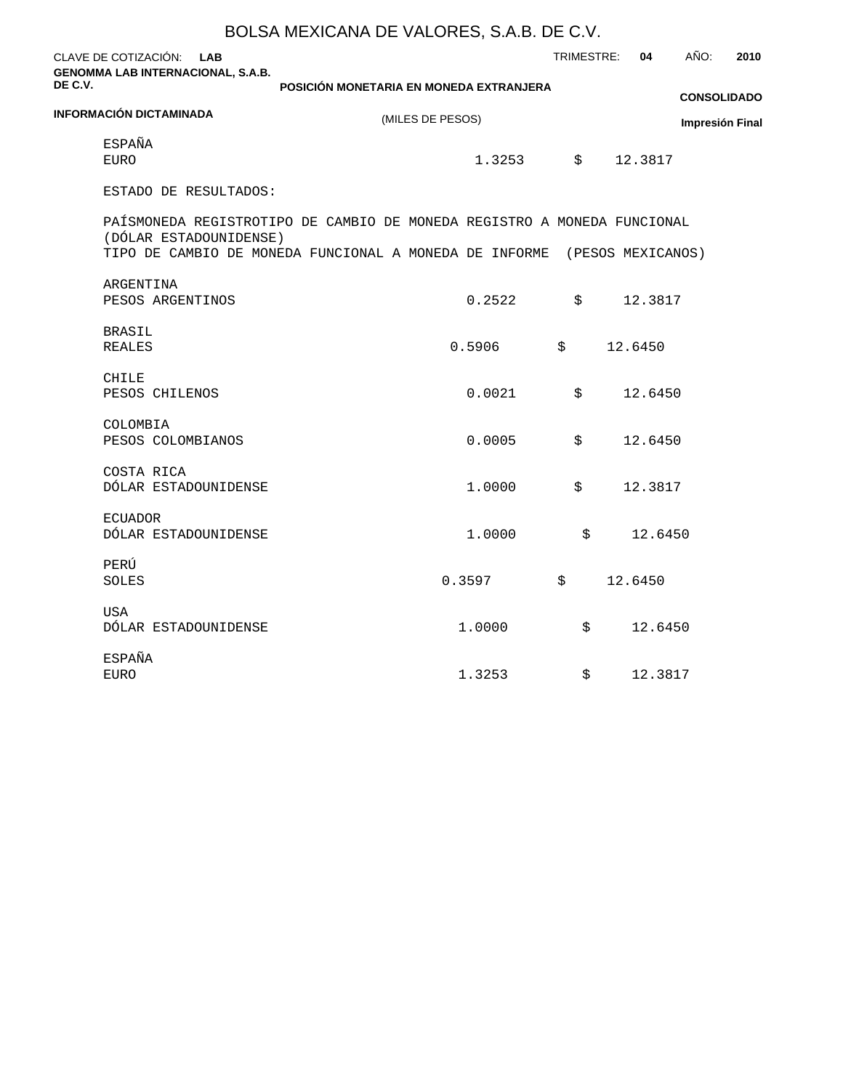| BOLSA MEXICANA DE VALORES, S.A.B. DE C.V.                                      |                                                                           |            |         |                        |      |  |  |  |  |
|--------------------------------------------------------------------------------|---------------------------------------------------------------------------|------------|---------|------------------------|------|--|--|--|--|
| CLAVE DE COTIZACIÓN:<br><b>LAB</b><br><b>GENOMMA LAB INTERNACIONAL, S.A.B.</b> |                                                                           | TRIMESTRE: | 04      | AÑO:                   | 2010 |  |  |  |  |
| DE C.V.                                                                        | POSICIÓN MONETARIA EN MONEDA EXTRANJERA                                   |            |         | <b>CONSOLIDADO</b>     |      |  |  |  |  |
| <b>INFORMACIÓN DICTAMINADA</b>                                                 | (MILES DE PESOS)                                                          |            |         | <b>Impresión Final</b> |      |  |  |  |  |
| ESPAÑA<br><b>EURO</b>                                                          | 1.3253                                                                    | $\ddot{s}$ | 12.3817 |                        |      |  |  |  |  |
| ESTADO DE RESULTADOS:                                                          |                                                                           |            |         |                        |      |  |  |  |  |
| (DÓLAR ESTADOUNIDENSE)                                                         | PAÍS MONEDA REGISTRO TIPO DE CAMBIO DE MONEDA REGISTRO A MONEDA FUNCIONAL |            |         |                        |      |  |  |  |  |
|                                                                                | TIPO DE CAMBIO DE MONEDA FUNCIONAL A MONEDA DE INFORME (PESOS MEXICANOS)  |            |         |                        |      |  |  |  |  |
| ARGENTINA<br>PESOS ARGENTINOS                                                  | 0.2522                                                                    | \$         | 12.3817 |                        |      |  |  |  |  |
| BRASIL<br><b>REALES</b>                                                        | 0.5906                                                                    | \$         | 12.6450 |                        |      |  |  |  |  |
| <b>CHILE</b><br>PESOS CHILENOS                                                 | 0.0021                                                                    | \$         | 12.6450 |                        |      |  |  |  |  |
| COLOMBIA                                                                       |                                                                           |            |         |                        |      |  |  |  |  |
| PESOS COLOMBIANOS                                                              | 0.0005                                                                    | \$         | 12.6450 |                        |      |  |  |  |  |
| COSTA RICA<br>DÓLAR ESTADOUNIDENSE                                             | 1,0000                                                                    | \$         | 12.3817 |                        |      |  |  |  |  |
| <b>ECUADOR</b><br>DÓLAR ESTADOUNIDENSE                                         | 1.0000                                                                    | \$         | 12.6450 |                        |      |  |  |  |  |
| PERÚ<br><b>SOLES</b>                                                           | 0.3597                                                                    | \$         | 12.6450 |                        |      |  |  |  |  |
| USA<br>DÓLAR ESTADOUNIDENSE                                                    | 1.0000                                                                    | \$         | 12.6450 |                        |      |  |  |  |  |
| ESPAÑA<br><b>EURO</b>                                                          | 1.3253                                                                    | \$         | 12.3817 |                        |      |  |  |  |  |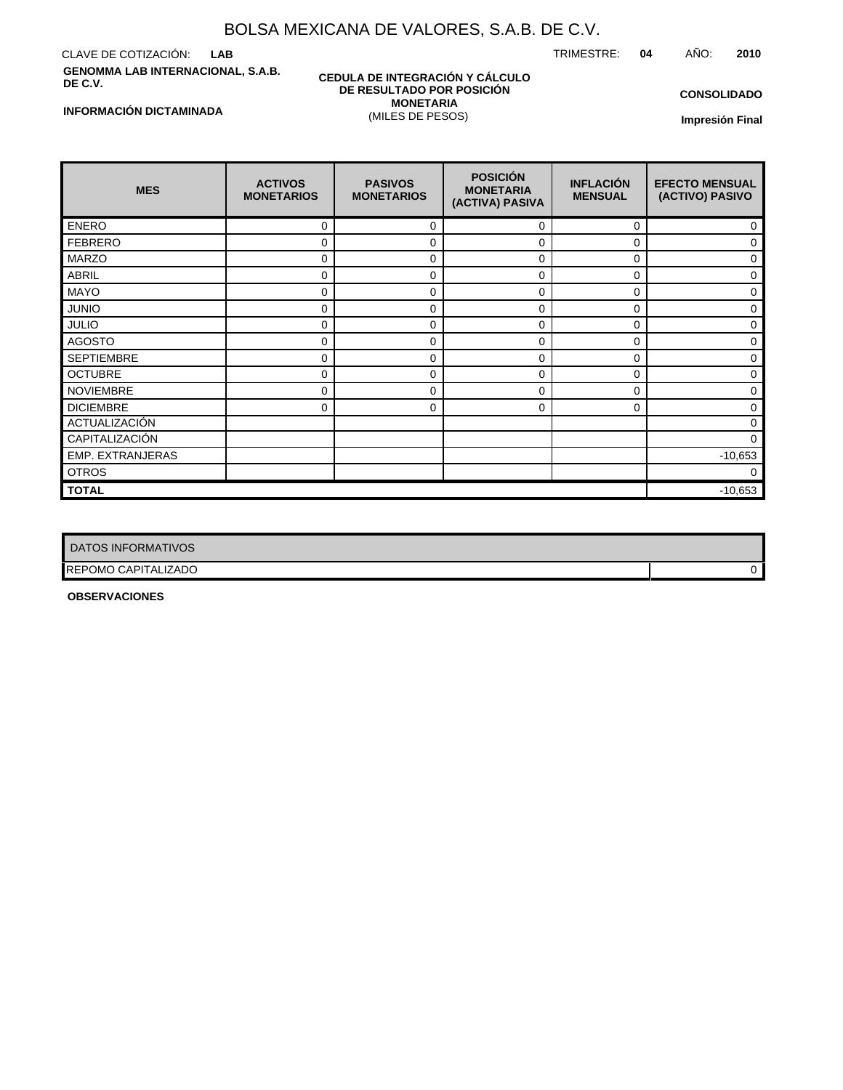CLAVE DE COTIZACIÓN: **LAB GENOMMA LAB INTERNACIONAL, S.A.B. DE C.V.**

#### **CEDULA DE INTEGRACIÓN Y CÁLCULO DE RESULTADO POR POSICIÓN MONETARIA** (MILES DE PESOS)

TRIMESTRE: **04** AÑO: **2010**

**CONSOLIDADO**

**Impresión Final**

| <b>MES</b>              | <b>ACTIVOS</b><br><b>MONETARIOS</b> | <b>PASIVOS</b><br><b>MONETARIOS</b> | <b>POSICIÓN</b><br><b>MONETARIA</b><br>(ACTIVA) PASIVA | <b>INFLACIÓN</b><br><b>MENSUAL</b> | <b>EFECTO MENSUAL</b><br>(ACTIVO) PASIVO |
|-------------------------|-------------------------------------|-------------------------------------|--------------------------------------------------------|------------------------------------|------------------------------------------|
| <b>ENERO</b>            | 0                                   | $\Omega$                            | $\Omega$                                               | 0                                  | 0                                        |
| <b>FEBRERO</b>          | 0                                   | $\mathbf 0$                         | $\Omega$                                               | 0                                  | 0                                        |
| <b>MARZO</b>            | 0                                   | $\mathbf 0$                         | 0                                                      | 0                                  | $\Omega$                                 |
| <b>ABRIL</b>            | 0                                   | $\mathbf 0$                         | $\Omega$                                               | 0                                  | 0                                        |
| <b>MAYO</b>             | 0                                   | $\mathbf 0$                         | $\Omega$                                               | 0                                  | 0                                        |
| <b>JUNIO</b>            | 0                                   | 0                                   | 0                                                      | 0                                  | 0                                        |
| <b>JULIO</b>            | 0                                   | $\mathbf 0$                         | 0                                                      | 0                                  | 0                                        |
| <b>AGOSTO</b>           | 0                                   | $\mathbf 0$                         | 0                                                      | 0                                  | 0                                        |
| <b>SEPTIEMBRE</b>       | 0                                   | $\mathbf 0$                         | $\Omega$                                               | 0                                  | 0                                        |
| <b>OCTUBRE</b>          | 0                                   | $\mathbf 0$                         | 0                                                      | 0                                  | 0                                        |
| <b>NOVIEMBRE</b>        | 0                                   | $\mathbf 0$                         | $\Omega$                                               | 0                                  | 0                                        |
| <b>DICIEMBRE</b>        | 0                                   | 0                                   | 0                                                      | 0                                  | $\mathbf 0$                              |
| <b>ACTUALIZACIÓN</b>    |                                     |                                     |                                                        |                                    | 0                                        |
| CAPITALIZACIÓN          |                                     |                                     |                                                        |                                    | $\Omega$                                 |
| <b>EMP. EXTRANJERAS</b> |                                     |                                     |                                                        |                                    | $-10,653$                                |
| <b>OTROS</b>            |                                     |                                     |                                                        |                                    | 0                                        |
| <b>TOTAL</b>            |                                     |                                     |                                                        |                                    | $-10,653$                                |

| DATOS INFORMATIVOS         |   |
|----------------------------|---|
| <b>REPOMO CAPITALIZADO</b> | υ |

**OBSERVACIONES**

### **INFORMACIÓN DICTAMINADA**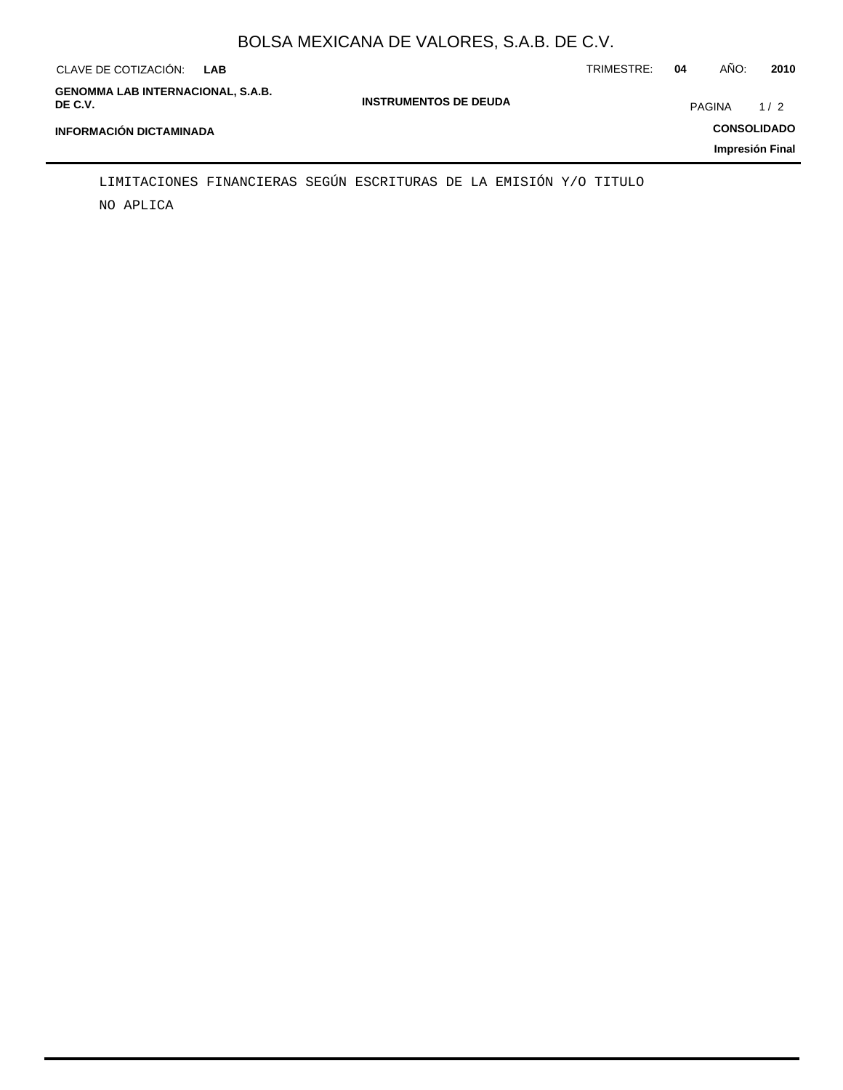| CLAVE DE COTIZACIÓN:<br>LAB                         |                              | TRIMESTRE: | 04 | AÑO:          | 2010               |
|-----------------------------------------------------|------------------------------|------------|----|---------------|--------------------|
| <b>GENOMMA LAB INTERNACIONAL, S.A.B.</b><br>DE C.V. | <b>INSTRUMENTOS DE DEUDA</b> |            |    | <b>PAGINA</b> | 1/2                |
| <b>INFORMACIÓN DICTAMINADA</b>                      |                              |            |    |               | <b>CONSOLIDADO</b> |
|                                                     |                              |            |    |               | Impresión Final    |

NO APLICA LIMITACIONES FINANCIERAS SEGÚN ESCRITURAS DE LA EMISIÓN Y/O TITULO

 $\blacksquare$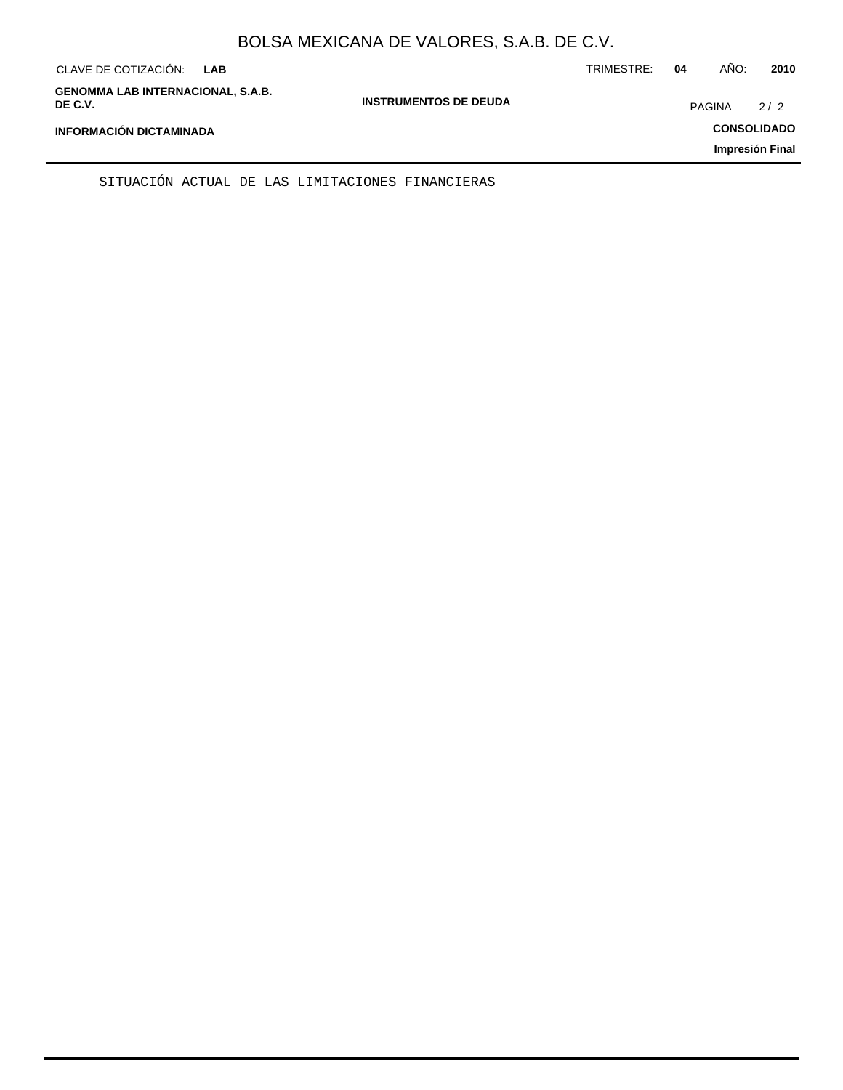| CLAVE DE COTIZACIÓN:<br><b>LAB</b>                  |                              | TRIMESTRE: | 04 | AÑO:          | 2010               |
|-----------------------------------------------------|------------------------------|------------|----|---------------|--------------------|
| <b>GENOMMA LAB INTERNACIONAL, S.A.B.</b><br>DE C.V. | <b>INSTRUMENTOS DE DEUDA</b> |            |    | <b>PAGINA</b> | 2/2                |
| <b>INFORMACIÓN DICTAMINADA</b>                      |                              |            |    |               | <b>CONSOLIDADO</b> |
|                                                     |                              |            |    |               | Impresión Final    |

SITUACIÓN ACTUAL DE LAS LIMITACIONES FINANCIERAS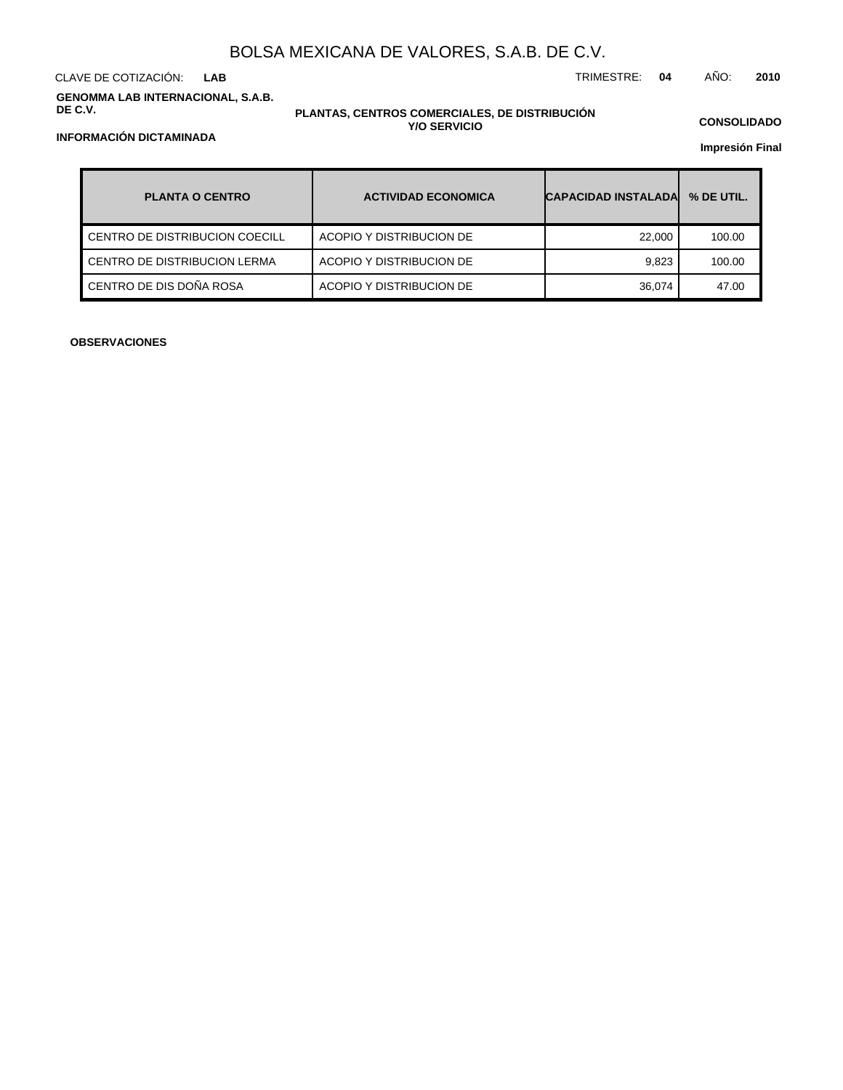CLAVE DE COTIZACIÓN: TRIMESTRE: **04** AÑO: **2010 LAB**

**GENOMMA LAB INTERNACIONAL, S.A.B. DE C.V.**

### **PLANTAS, CENTROS COMERCIALES, DE DISTRIBUCIÓN Y/O SERVICIO**

**CONSOLIDADO**

**Impresión Final**

| <b>PLANTA O CENTRO</b>         | <b>ACTIVIDAD ECONOMICA</b> | <b>CAPACIDAD INSTALADAL</b> | % DE UTIL. |
|--------------------------------|----------------------------|-----------------------------|------------|
| CENTRO DE DISTRIBUCION COECILL | ACOPIO Y DISTRIBUCION DE   | 22,000                      | 100.00     |
| CENTRO DE DISTRIBUCION LERMA   | ACOPIO Y DISTRIBUCION DE   | 9.823                       | 100.00     |
| CENTRO DE DIS DOÑA ROSA        | ACOPIO Y DISTRIBUCION DE   | 36.074                      | 47.00      |

**OBSERVACIONES**

## **INFORMACIÓN DICTAMINADA**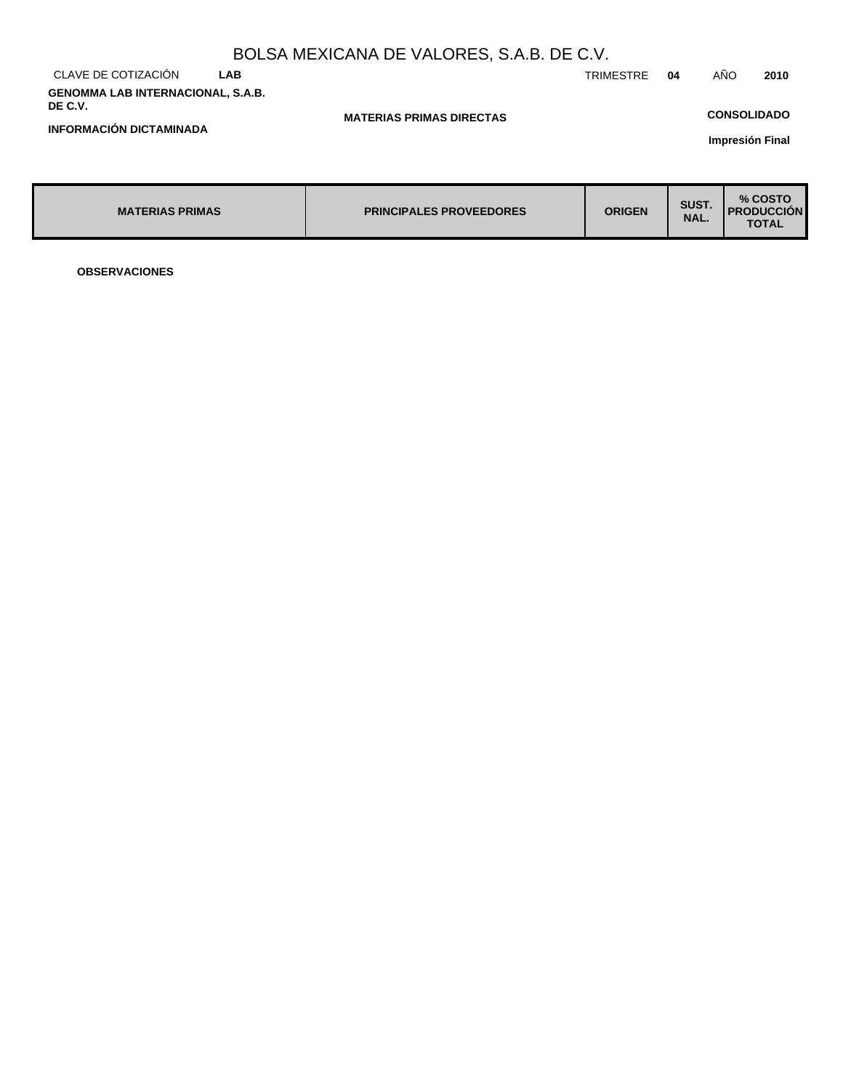|                                                     |            | BOLSA MEXICANA DE VALORES, S.A.B. DE C.V. |                  |                                       |                                                |
|-----------------------------------------------------|------------|-------------------------------------------|------------------|---------------------------------------|------------------------------------------------|
| CLAVE DE COTIZACIÓN                                 | <b>LAB</b> |                                           | <b>TRIMESTRE</b> | 04                                    | <b>AÑO</b><br>2010                             |
| <b>GENOMMA LAB INTERNACIONAL, S.A.B.</b><br>DE C.V. |            |                                           |                  |                                       |                                                |
| <b>INFORMACIÓN DICTAMINADA</b>                      |            | <b>MATERIAS PRIMAS DIRECTAS</b>           |                  | <b>CONSOLIDADO</b><br>Impresión Final |                                                |
|                                                     |            |                                           |                  |                                       |                                                |
|                                                     |            |                                           |                  |                                       |                                                |
| <b>MATERIAS PRIMAS</b>                              |            | <b>PRINCIPALES PROVEEDORES</b>            | <b>ORIGEN</b>    | SUST.<br>NAL.                         | % COSTO<br><b>I PRODUCCION</b><br><b>TOTAL</b> |

**OBSERVACIONES**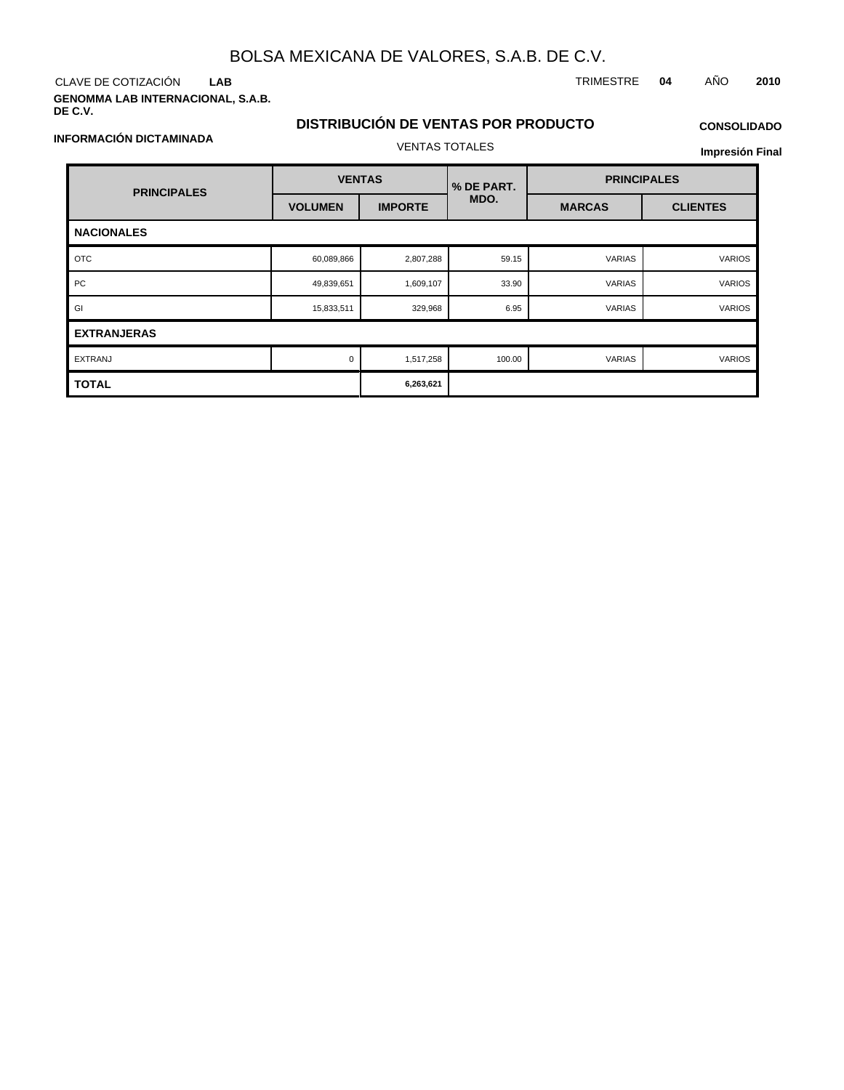CLAVE DE COTIZACIÓN TRIMESTRE **04** AÑO **2010 LAB**

**GENOMMA LAB INTERNACIONAL, S.A.B. DE C.V.**

## **DISTRIBUCIÓN DE VENTAS POR PRODUCTO** VENTAS TOTALES

# **CONSOLIDADO**

**Impresión Final**

| <b>PRINCIPALES</b> | <b>VENTAS</b>  |                | % DE PART. | <b>PRINCIPALES</b> |                 |  |  |
|--------------------|----------------|----------------|------------|--------------------|-----------------|--|--|
|                    | <b>VOLUMEN</b> | <b>IMPORTE</b> | MDO.       | <b>MARCAS</b>      | <b>CLIENTES</b> |  |  |
| <b>NACIONALES</b>  |                |                |            |                    |                 |  |  |
| <b>OTC</b>         | 60,089,866     | 2,807,288      | 59.15      | <b>VARIAS</b>      | <b>VARIOS</b>   |  |  |
| PC                 | 49,839,651     | 1,609,107      | 33.90      | <b>VARIAS</b>      | <b>VARIOS</b>   |  |  |
| GI                 | 15,833,511     | 329,968        | 6.95       | <b>VARIAS</b>      | <b>VARIOS</b>   |  |  |
| <b>EXTRANJERAS</b> |                |                |            |                    |                 |  |  |
| <b>EXTRANJ</b>     | $\mathbf 0$    | 1,517,258      | 100.00     | <b>VARIAS</b>      | <b>VARIOS</b>   |  |  |
| <b>TOTAL</b>       |                | 6,263,621      |            |                    |                 |  |  |

**INFORMACIÓN DICTAMINADA**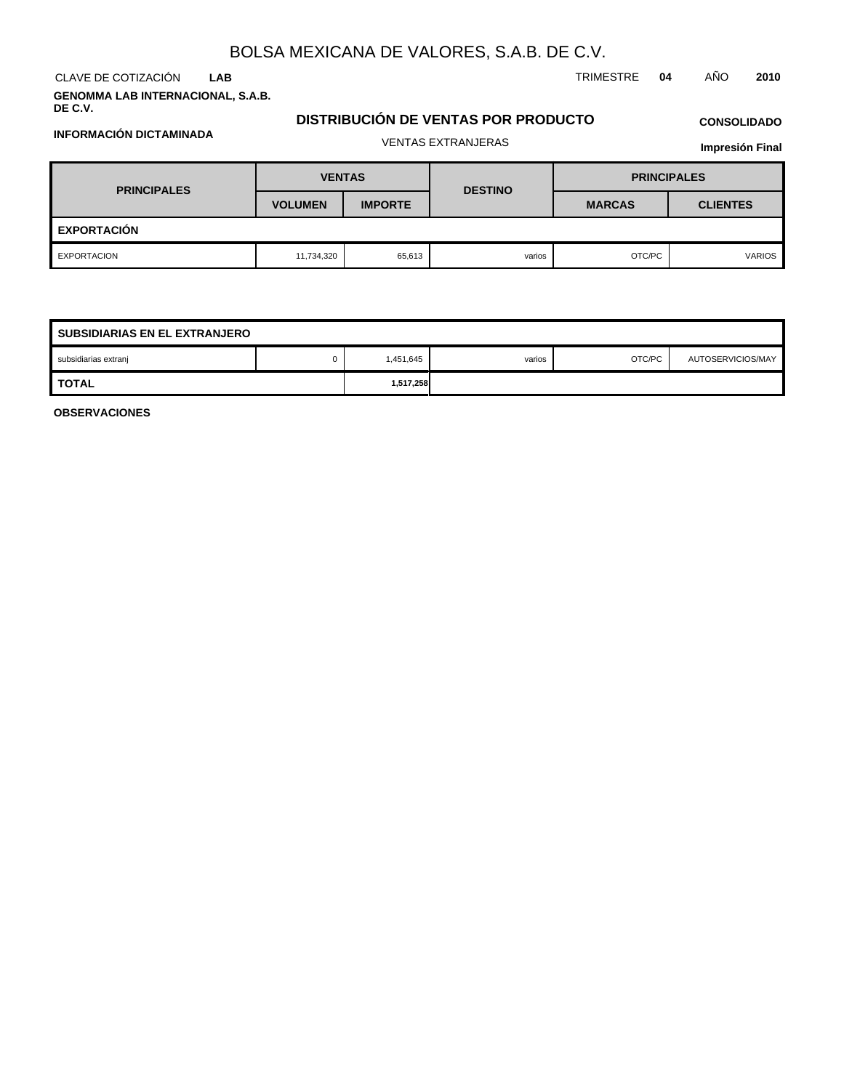CLAVE DE COTIZACIÓN TRIMESTRE **04** AÑO **2010 LAB**

**INFORMACIÓN DICTAMINADA**

**GENOMMA LAB INTERNACIONAL, S.A.B. DE C.V.**

## **DISTRIBUCIÓN DE VENTAS POR PRODUCTO** VENTAS EXTRANJERAS

# **CONSOLIDADO**

| <b>Impresión Final</b> |  |
|------------------------|--|
|------------------------|--|

| <b>PRINCIPALES</b> | <b>VENTAS</b>  |                | <b>DESTINO</b> | <b>PRINCIPALES</b> |                 |  |  |  |
|--------------------|----------------|----------------|----------------|--------------------|-----------------|--|--|--|
|                    | <b>VOLUMEN</b> | <b>IMPORTE</b> |                | <b>MARCAS</b>      | <b>CLIENTES</b> |  |  |  |
| <b>EXPORTACIÓN</b> |                |                |                |                    |                 |  |  |  |
| EXPORTACION        | 11,734,320     | 65,613         | varios         | OTC/PC             | <b>VARIOS</b>   |  |  |  |

| <b>SUBSIDIARIAS EN EL EXTRANJERO</b> |  |           |        |        |                   |  |  |  |
|--------------------------------------|--|-----------|--------|--------|-------------------|--|--|--|
| subsidiarias extranj                 |  | .451,645  | varios | OTC/PC | AUTOSERVICIOS/MAY |  |  |  |
| <b>TOTAL</b>                         |  | 1,517,258 |        |        |                   |  |  |  |

**OBSERVACIONES**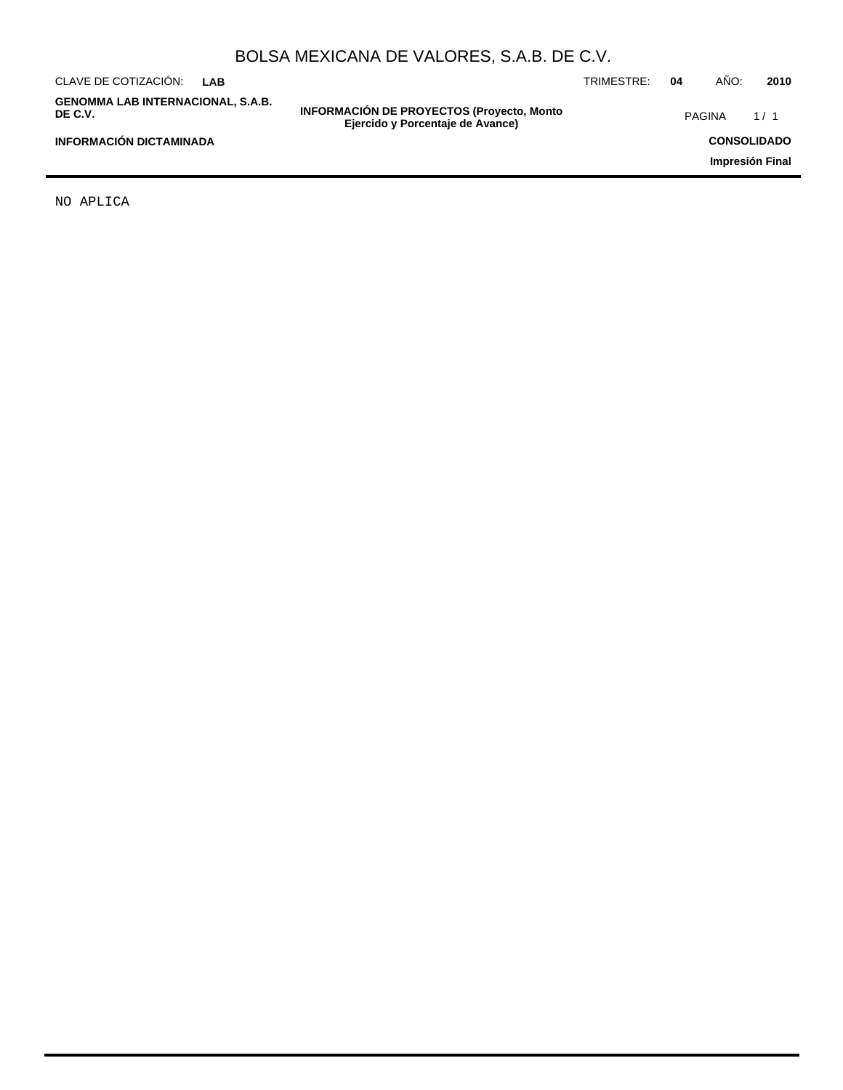|                                                     | BOLSA MEXICANA DE VALORES, S.A.B. DE C.V.                                            |            |               |      |                    |
|-----------------------------------------------------|--------------------------------------------------------------------------------------|------------|---------------|------|--------------------|
| CLAVE DE COTIZACIÓN:<br>LAB                         |                                                                                      | TRIMESTRE: | 04            | AÑO: | 2010               |
| <b>GENOMMA LAB INTERNACIONAL, S.A.B.</b><br>DE C.V. | <b>INFORMACIÓN DE PROYECTOS (Proyecto, Monto</b><br>Ejercido y Porcentaje de Avance) |            | <b>PAGINA</b> |      | 1/1                |
| <b>INFORMACIÓN DICTAMINADA</b>                      |                                                                                      |            |               |      | <b>CONSOLIDADO</b> |
|                                                     |                                                                                      |            |               |      | Impresión Final    |
| NO APLICA                                           |                                                                                      |            |               |      |                    |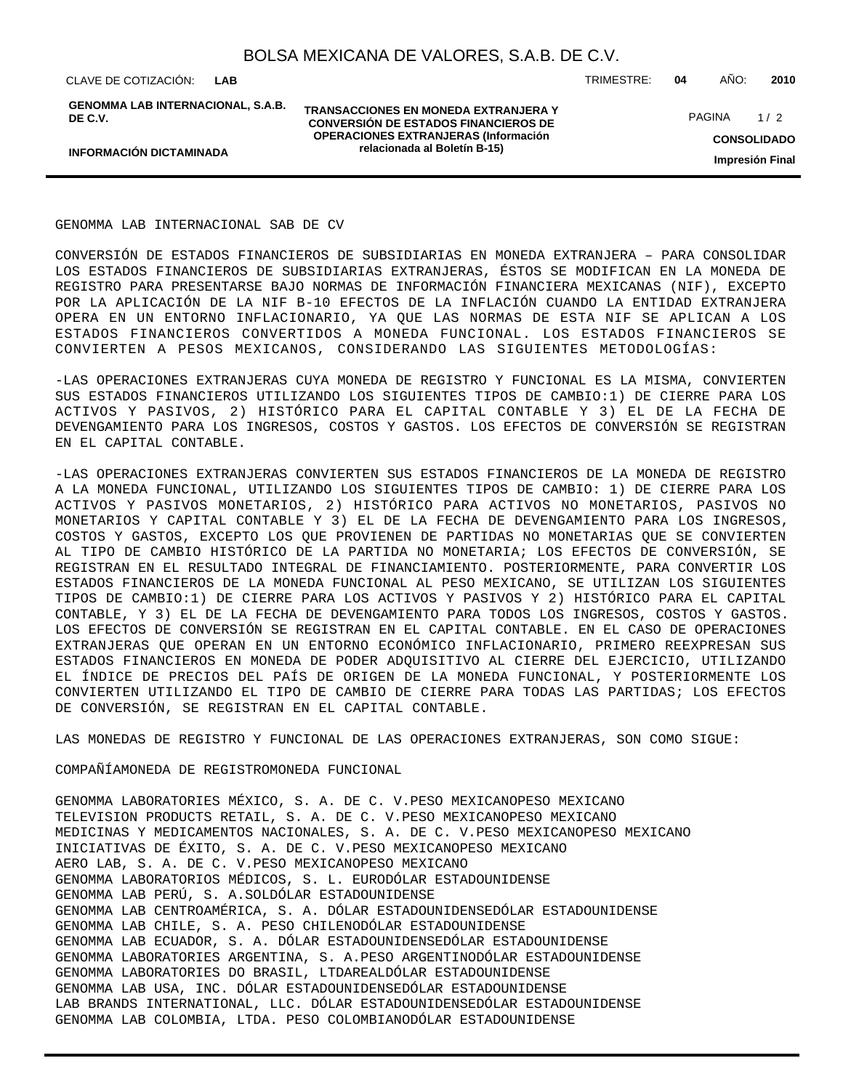**GENOMMA LAB INTERNACIONAL, S.A.B. DE C.V.**

**TRANSACCIONES EN MONEDA EXTRANJERA Y CONVERSIÓN DE ESTADOS FINANCIEROS DE OPERACIONES EXTRANJERAS (Información relacionada al Boletín B-15)**

PAGINA 1/2

**CONSOLIDADO Impresión Final**

**INFORMACIÓN DICTAMINADA**

GENOMMA LAB INTERNACIONAL SAB DE CV

 CONVERSIÓN DE ESTADOS FINANCIEROS DE SUBSIDIARIAS EN MONEDA EXTRANJERA – PARA CONSOLIDAR LOS ESTADOS FINANCIEROS DE SUBSIDIARIAS EXTRANJERAS, ÉSTOS SE MODIFICAN EN LA MONEDA DE REGISTRO PARA PRESENTARSE BAJO NORMAS DE INFORMACIÓN FINANCIERA MEXICANAS (NIF), EXCEPTO POR LA APLICACIÓN DE LA NIF B-10 EFECTOS DE LA INFLACIÓN CUANDO LA ENTIDAD EXTRANJERA OPERA EN UN ENTORNO INFLACIONARIO, YA QUE LAS NORMAS DE ESTA NIF SE APLICAN A LOS ESTADOS FINANCIEROS CONVERTIDOS A MONEDA FUNCIONAL. LOS ESTADOS FINANCIEROS SE CONVIERTEN A PESOS MEXICANOS, CONSIDERANDO LAS SIGUIENTES METODOLOGÍAS:

- LAS OPERACIONES EXTRANJERAS CUYA MONEDA DE REGISTRO Y FUNCIONAL ES LA MISMA, CONVIERTEN SUS ESTADOS FINANCIEROS UTILIZANDO LOS SIGUIENTES TIPOS DE CAMBIO:1) DE CIERRE PARA LOS ACTIVOS Y PASIVOS, 2) HISTÓRICO PARA EL CAPITAL CONTABLE Y 3) EL DE LA FECHA DE DEVENGAMIENTO PARA LOS INGRESOS, COSTOS Y GASTOS. LOS EFECTOS DE CONVERSIÓN SE REGISTRAN EN EL CAPITAL CONTABLE.

- LAS OPERACIONES EXTRANJERAS CONVIERTEN SUS ESTADOS FINANCIEROS DE LA MONEDA DE REGISTRO A LA MONEDA FUNCIONAL, UTILIZANDO LOS SIGUIENTES TIPOS DE CAMBIO: 1) DE CIERRE PARA LOS ACTIVOS Y PASIVOS MONETARIOS, 2) HISTÓRICO PARA ACTIVOS NO MONETARIOS, PASIVOS NO MONETARIOS Y CAPITAL CONTABLE Y 3) EL DE LA FECHA DE DEVENGAMIENTO PARA LOS INGRESOS, COSTOS Y GASTOS, EXCEPTO LOS QUE PROVIENEN DE PARTIDAS NO MONETARIAS QUE SE CONVIERTEN AL TIPO DE CAMBIO HISTÓRICO DE LA PARTIDA NO MONETARIA; LOS EFECTOS DE CONVERSIÓN, SE REGISTRAN EN EL RESULTADO INTEGRAL DE FINANCIAMIENTO. POSTERIORMENTE, PARA CONVERTIR LOS ESTADOS FINANCIEROS DE LA MONEDA FUNCIONAL AL PESO MEXICANO, SE UTILIZAN LOS SIGUIENTES TIPOS DE CAMBIO:1) DE CIERRE PARA LOS ACTIVOS Y PASIVOS Y 2) HISTÓRICO PARA EL CAPITAL CONTABLE, Y 3) EL DE LA FECHA DE DEVENGAMIENTO PARA TODOS LOS INGRESOS, COSTOS Y GASTOS. LOS EFECTOS DE CONVERSIÓN SE REGISTRAN EN EL CAPITAL CONTABLE. EN EL CASO DE OPERACIONES EXTRANJERAS QUE OPERAN EN UN ENTORNO ECONÓMICO INFLACIONARIO, PRIMERO REEXPRESAN SUS ESTADOS FINANCIEROS EN MONEDA DE PODER ADQUISITIVO AL CIERRE DEL EJERCICIO, UTILIZANDO EL ÍNDICE DE PRECIOS DEL PAÍS DE ORIGEN DE LA MONEDA FUNCIONAL, Y POSTERIORMENTE LOS CONVIERTEN UTILIZANDO EL TIPO DE CAMBIO DE CIERRE PARA TODAS LAS PARTIDAS; LOS EFECTOS DE CONVERSIÓN, SE REGISTRAN EN EL CAPITAL CONTABLE.

LAS MONEDAS DE REGISTRO Y FUNCIONAL DE LAS OPERACIONES EXTRANJERAS, SON COMO SIGUE:

COMPAÑÍA MONEDA DE REGISTRO MONEDA FUNCIONAL

GENOMMA LABORATORIES MÉXICO, S. A. DE C. V. PESO MEXICANO PESO MEXICANO TELEVISION PRODUCTS RETAIL, S. A. DE C. V. PESO MEXICANO PESO MEXICANO MEDICINAS Y MEDICAMENTOS NACIONALES, S. A. DE C. V. PESO MEXICANO PESO MEXICANO INICIATIVAS DE ÉXITO, S. A. DE C. V. PESO MEXICANO PESO MEXICANO AERO LAB, S. A. DE C. V. PESO MEXICANO PESO MEXICANO GENOMMA LABORATORIOS MÉDICOS, S. L. EURO DÓLAR ESTADOUNIDENSE GENOMMA LAB PERÚ, S. A. SOL DÓLAR ESTADOUNIDENSE GENOMMA LAB CENTROAMÉRICA, S. A. DÓLAR ESTADOUNIDENSE DÓLAR ESTADOUNIDENSE GENOMMA LAB CHILE, S. A. PESO CHILENO DÓLAR ESTADOUNIDENSE GENOMMA LAB ECUADOR, S. A. DÓLAR ESTADOUNIDENSE DÓLAR ESTADOUNIDENSE GENOMMA LABORATORIES ARGENTINA, S. A. PESO ARGENTINO DÓLAR ESTADOUNIDENSE GENOMMA LABORATORIES DO BRASIL, LTDA REAL DÓLAR ESTADOUNIDENSE GENOMMA LAB USA, INC. DÓLAR ESTADOUNIDENSE DÓLAR ESTADOUNIDENSE LAB BRANDS INTERNATIONAL, LLC. DÓLAR ESTADOUNIDENSE DÓLAR ESTADOUNIDENSE GENOMMA LAB COLOMBIA, LTDA. PESO COLOMBIANO DÓLAR ESTADOUNIDENSE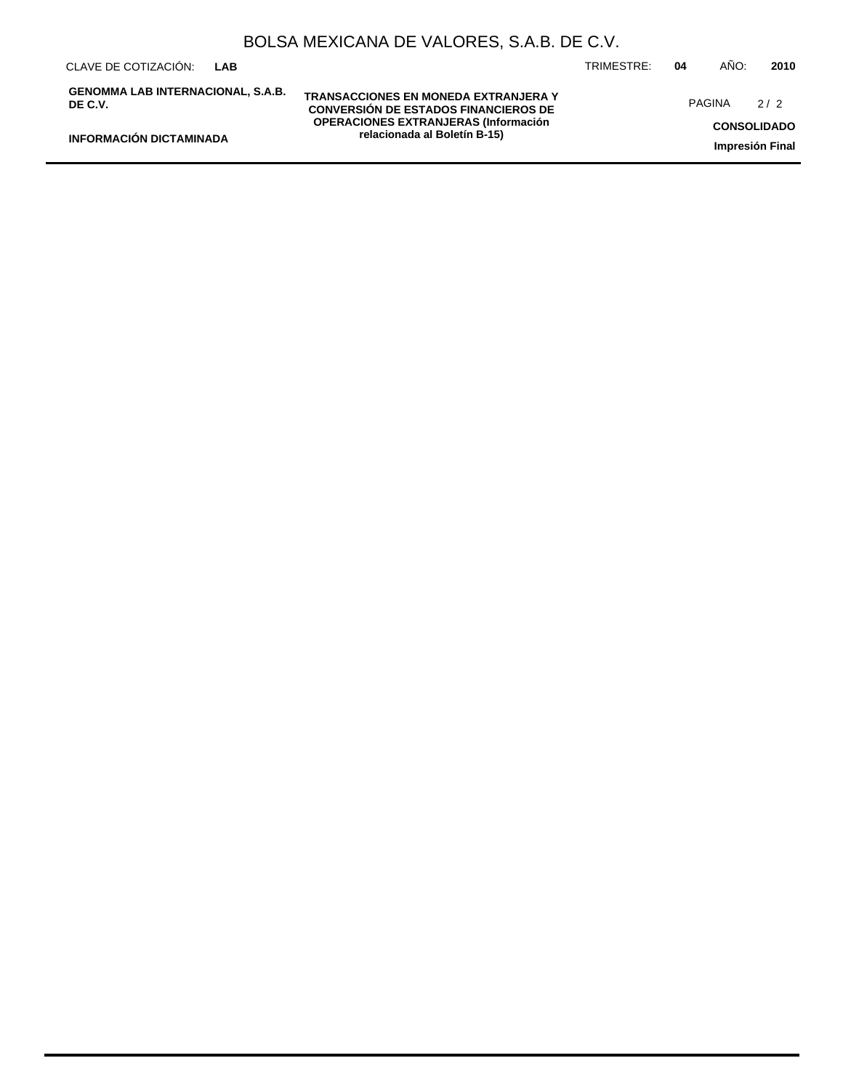**GENOMMA LAB INTERNACIONAL, S.A.B. DE C.V.**

**TRANSACCIONES EN MONEDA EXTRANJERA Y CONVERSIÓN DE ESTADOS FINANCIEROS DE OPERACIONES EXTRANJERAS (Información relacionada al Boletín B-15)**

PAGINA 2/2

**CONSOLIDADO Impresión Final**

**INFORMACIÓN DICTAMINADA**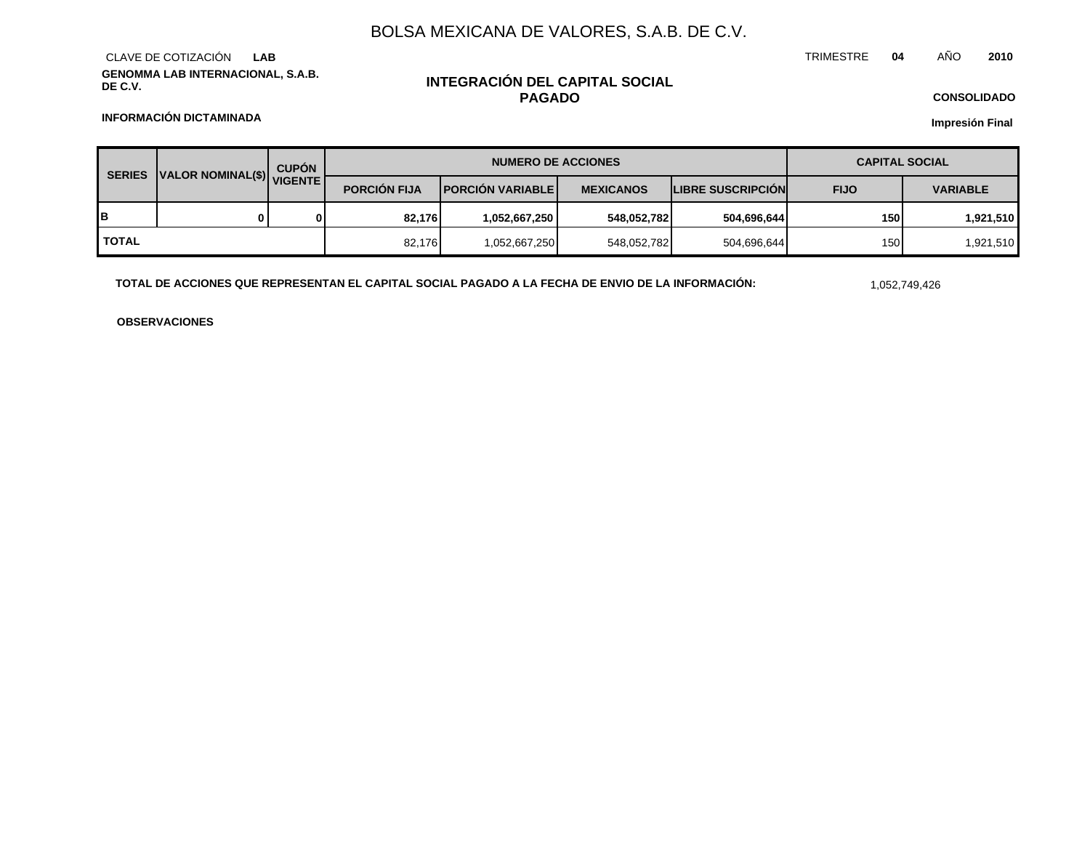**GENOMMA LAB INTERNACIONAL, S.A.B. DE C.V.** CLAVE DE COTIZACIÓN **LAB**

## **INTEGRACIÓN DEL CAPITAL SOCIAL PAGADO**

TRIMESTRE **04** AÑO **2010**

**CONSOLIDADO**

**Impresión Final**

**INFORMACIÓN DICTAMINADA**

| <b>SERIES</b> | JUALOR NOMINAL(\$) VIGENTE | <b>CUPÓN</b> | <b>NUMERO DE ACCIONES</b> |                           |                  |                          | <b>CAPITAL SOCIAL</b> |                 |  |
|---------------|----------------------------|--------------|---------------------------|---------------------------|------------------|--------------------------|-----------------------|-----------------|--|
|               |                            |              | <b>PORCION FIJA</b>       | <b>IPORCIÓN VARIABLEI</b> | <b>MEXICANOS</b> | <b>LIBRE SUSCRIPCION</b> | <b>FIJO</b>           | <b>VARIABLE</b> |  |
| B             | 0                          |              | 82.176                    | 1,052,667,250             | 548,052,782      | 504,696,644              | 150                   | 1,921,510       |  |
| <b>TOTAL</b>  |                            |              | 82,176                    | 1,052,667,2501            | 548,052,782      | 504,696,644              | 150                   | 1,921,510       |  |

**TOTAL DE ACCIONES QUE REPRESENTAN EL CAPITAL SOCIAL PAGADO A LA FECHA DE ENVIO DE LA INFORMACIÓN:** 1,052,749,426

**OBSERVACIONES**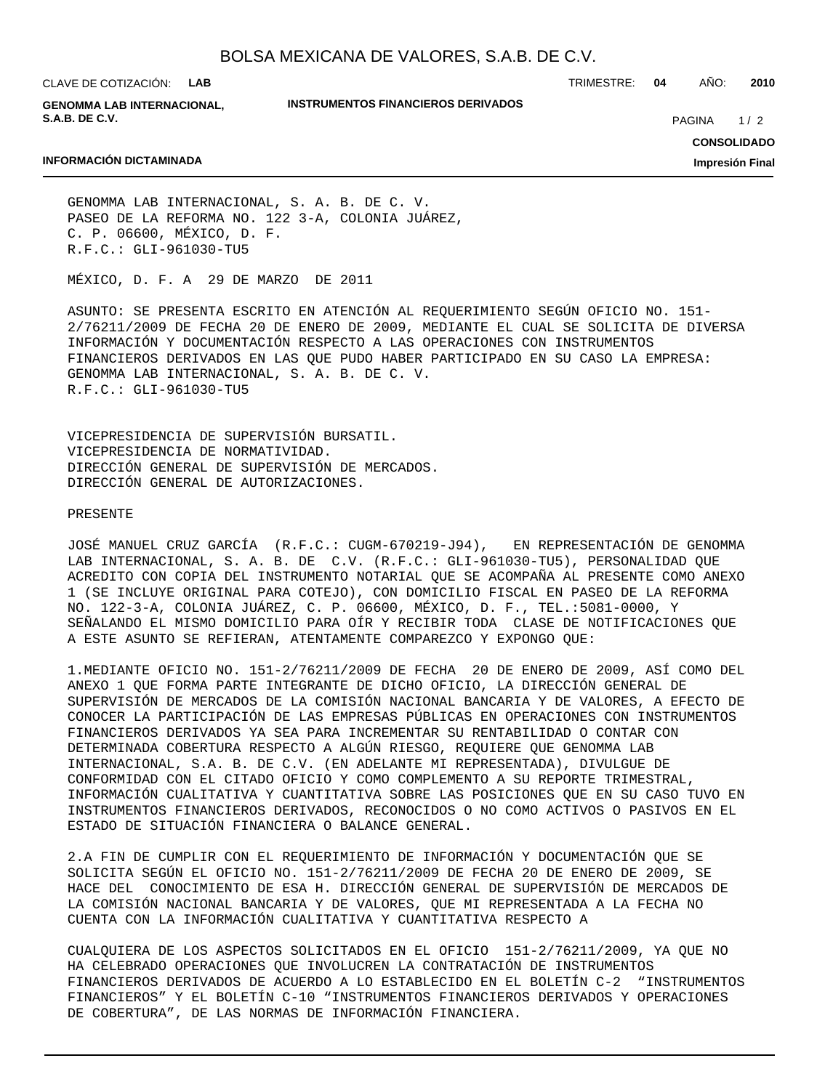CLAVE DE COTIZACIÓN: **LAB**

**GENOMMA LAB INTERNACIONAL, S.A.B. DE C.V.**

**INSTRUMENTOS FINANCIEROS DERIVADOS**

TRIMESTRE: **04** AÑO: **2010**

 $1/2$ PAGINA

### **INFORMACIÓN DICTAMINADA**

**CONSOLIDADO Impresión Final**

GENOMMA LAB INTERNACIONAL, S. A. B. DE C. V. PASEO DE LA REFORMA NO. 122 3-A, COLONIA JUÁREZ, C. P. 06600, MÉXICO, D. F. R.F.C.: GLI-961030-TU5

MÉXICO, D. F. A 29 DE MARZO DE 2011

ASUNTO: SE PRESENTA ESCRITO EN ATENCIÓN AL REQUERIMIENTO SEGÚN OFICIO NO. 151- 2/76211/2009 DE FECHA 20 DE ENERO DE 2009, MEDIANTE EL CUAL SE SOLICITA DE DIVERSA INFORMACIÓN Y DOCUMENTACIÓN RESPECTO A LAS OPERACIONES CON INSTRUMENTOS FINANCIEROS DERIVADOS EN LAS QUE PUDO HABER PARTICIPADO EN SU CASO LA EMPRESA: GENOMMA LAB INTERNACIONAL, S. A. B. DE C. V. R.F.C.: GLI-961030-TU5

VICEPRESIDENCIA DE SUPERVISIÓN BURSATIL. VICEPRESIDENCIA DE NORMATIVIDAD. DIRECCIÓN GENERAL DE SUPERVISIÓN DE MERCADOS. DIRECCIÓN GENERAL DE AUTORIZACIONES.

#### PRESENTE

JOSÉ MANUEL CRUZ GARCÍA (R.F.C.: CUGM-670219-J94), EN REPRESENTACIÓN DE GENOMMA LAB INTERNACIONAL, S. A. B. DE C.V. (R.F.C.: GLI-961030-TU5), PERSONALIDAD QUE ACREDITO CON COPIA DEL INSTRUMENTO NOTARIAL QUE SE ACOMPAÑA AL PRESENTE COMO ANEXO 1 (SE INCLUYE ORIGINAL PARA COTEJO), CON DOMICILIO FISCAL EN PASEO DE LA REFORMA NO. 122-3-A, COLONIA JUÁREZ, C. P. 06600, MÉXICO, D. F., TEL.:5081-0000, Y SEÑALANDO EL MISMO DOMICILIO PARA OÍR Y RECIBIR TODA CLASE DE NOTIFICACIONES QUE A ESTE ASUNTO SE REFIERAN, ATENTAMENTE COMPAREZCO Y EXPONGO QUE:

1. MEDIANTE OFICIO NO. 151-2/76211/2009 DE FECHA 20 DE ENERO DE 2009, ASÍ COMO DEL ANEXO 1 QUE FORMA PARTE INTEGRANTE DE DICHO OFICIO, LA DIRECCIÓN GENERAL DE SUPERVISIÓN DE MERCADOS DE LA COMISIÓN NACIONAL BANCARIA Y DE VALORES, A EFECTO DE CONOCER LA PARTICIPACIÓN DE LAS EMPRESAS PÚBLICAS EN OPERACIONES CON INSTRUMENTOS FINANCIEROS DERIVADOS YA SEA PARA INCREMENTAR SU RENTABILIDAD O CONTAR CON DETERMINADA COBERTURA RESPECTO A ALGÚN RIESGO, REQUIERE QUE GENOMMA LAB INTERNACIONAL, S.A. B. DE C.V. (EN ADELANTE MI REPRESENTADA), DIVULGUE DE CONFORMIDAD CON EL CITADO OFICIO Y COMO COMPLEMENTO A SU REPORTE TRIMESTRAL, INFORMACIÓN CUALITATIVA Y CUANTITATIVA SOBRE LAS POSICIONES QUE EN SU CASO TUVO EN INSTRUMENTOS FINANCIEROS DERIVADOS, RECONOCIDOS O NO COMO ACTIVOS O PASIVOS EN EL ESTADO DE SITUACIÓN FINANCIERA O BALANCE GENERAL.

2. A FIN DE CUMPLIR CON EL REQUERIMIENTO DE INFORMACIÓN Y DOCUMENTACIÓN QUE SE SOLICITA SEGÚN EL OFICIO NO. 151-2/76211/2009 DE FECHA 20 DE ENERO DE 2009, SE HACE DEL CONOCIMIENTO DE ESA H. DIRECCIÓN GENERAL DE SUPERVISIÓN DE MERCADOS DE LA COMISIÓN NACIONAL BANCARIA Y DE VALORES, QUE MI REPRESENTADA A LA FECHA NO CUENTA CON LA INFORMACIÓN CUALITATIVA Y CUANTITATIVA RESPECTO A

CUALQUIERA DE LOS ASPECTOS SOLICITADOS EN EL OFICIO 151-2/76211/2009, YA QUE NO HA CELEBRADO OPERACIONES QUE INVOLUCREN LA CONTRATACIÓN DE INSTRUMENTOS FINANCIEROS DERIVADOS DE ACUERDO A LO ESTABLECIDO EN EL BOLETÍN C-2 "INSTRUMENTOS FINANCIEROS" Y EL BOLETÍN C-10 "INSTRUMENTOS FINANCIEROS DERIVADOS Y OPERACIONES DE COBERTURA", DE LAS NORMAS DE INFORMACIÓN FINANCIERA.